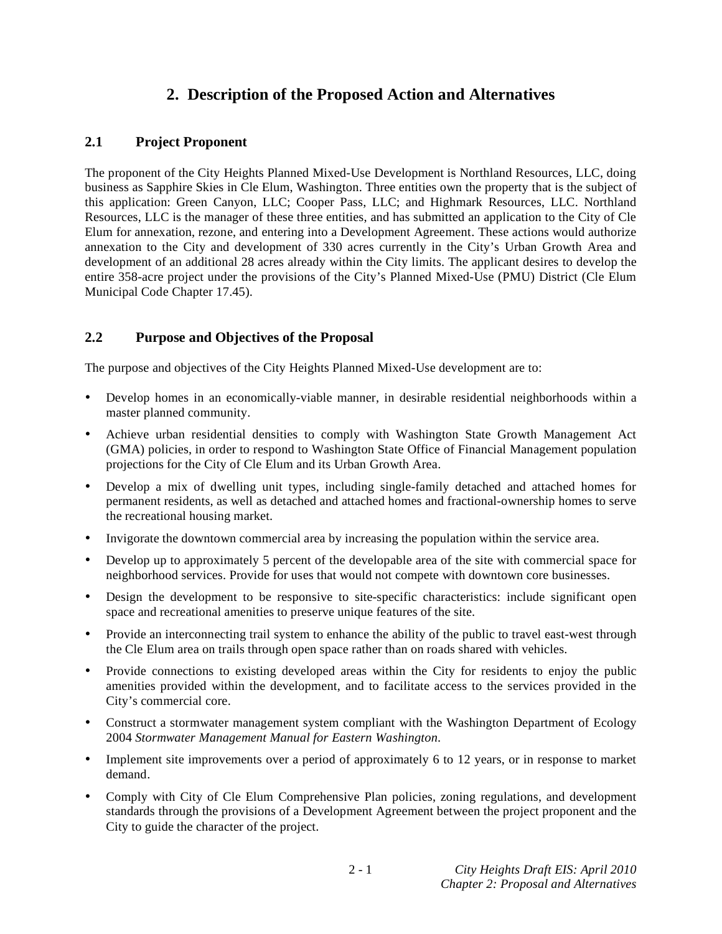# **2. Description of the Proposed Action and Alternatives**

# **2.1 Project Proponent**

The proponent of the City Heights Planned Mixed-Use Development is Northland Resources, LLC, doing business as Sapphire Skies in Cle Elum, Washington. Three entities own the property that is the subject of this application: Green Canyon, LLC; Cooper Pass, LLC; and Highmark Resources, LLC. Northland Resources, LLC is the manager of these three entities, and has submitted an application to the City of Cle Elum for annexation, rezone, and entering into a Development Agreement. These actions would authorize annexation to the City and development of 330 acres currently in the City's Urban Growth Area and development of an additional 28 acres already within the City limits. The applicant desires to develop the entire 358-acre project under the provisions of the City's Planned Mixed-Use (PMU) District (Cle Elum Municipal Code Chapter 17.45).

# **2.2 Purpose and Objectives of the Proposal**

The purpose and objectives of the City Heights Planned Mixed-Use development are to:

- Develop homes in an economically-viable manner, in desirable residential neighborhoods within a master planned community.
- Achieve urban residential densities to comply with Washington State Growth Management Act (GMA) policies, in order to respond to Washington State Office of Financial Management population projections for the City of Cle Elum and its Urban Growth Area.
- Develop a mix of dwelling unit types, including single-family detached and attached homes for permanent residents, as well as detached and attached homes and fractional-ownership homes to serve the recreational housing market.
- Invigorate the downtown commercial area by increasing the population within the service area.
- Develop up to approximately 5 percent of the developable area of the site with commercial space for neighborhood services. Provide for uses that would not compete with downtown core businesses.
- Design the development to be responsive to site-specific characteristics: include significant open space and recreational amenities to preserve unique features of the site.
- Provide an interconnecting trail system to enhance the ability of the public to travel east-west through the Cle Elum area on trails through open space rather than on roads shared with vehicles.
- Provide connections to existing developed areas within the City for residents to enjoy the public amenities provided within the development, and to facilitate access to the services provided in the City's commercial core.
- Construct a stormwater management system compliant with the Washington Department of Ecology 2004 *Stormwater Management Manual for Eastern Washington*.
- Implement site improvements over a period of approximately 6 to 12 years, or in response to market demand.
- Comply with City of Cle Elum Comprehensive Plan policies, zoning regulations, and development standards through the provisions of a Development Agreement between the project proponent and the City to guide the character of the project.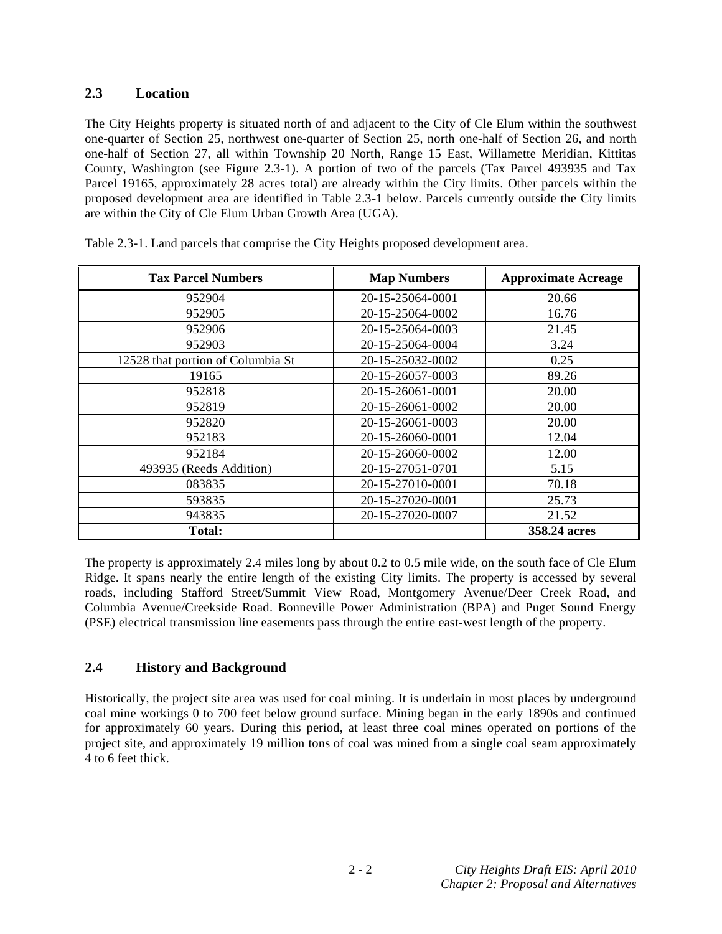# **2.3 Location**

The City Heights property is situated north of and adjacent to the City of Cle Elum within the southwest one-quarter of Section 25, northwest one-quarter of Section 25, north one-half of Section 26, and north one-half of Section 27, all within Township 20 North, Range 15 East, Willamette Meridian, Kittitas County, Washington (see Figure 2.3-1). A portion of two of the parcels (Tax Parcel 493935 and Tax Parcel 19165, approximately 28 acres total) are already within the City limits. Other parcels within the proposed development area are identified in Table 2.3-1 below. Parcels currently outside the City limits are within the City of Cle Elum Urban Growth Area (UGA).

| <b>Tax Parcel Numbers</b>         | <b>Map Numbers</b> | <b>Approximate Acreage</b> |
|-----------------------------------|--------------------|----------------------------|
| 952904                            | 20-15-25064-0001   | 20.66                      |
| 952905                            | 20-15-25064-0002   | 16.76                      |
| 952906                            | 20-15-25064-0003   | 21.45                      |
| 952903                            | 20-15-25064-0004   | 3.24                       |
| 12528 that portion of Columbia St | 20-15-25032-0002   | 0.25                       |
| 19165                             | 20-15-26057-0003   | 89.26                      |
| 952818                            | 20-15-26061-0001   | 20.00                      |
| 952819                            | 20-15-26061-0002   | 20.00                      |
| 952820                            | 20-15-26061-0003   | 20.00                      |
| 952183                            | 20-15-26060-0001   | 12.04                      |
| 952184                            | 20-15-26060-0002   | 12.00                      |
| 493935 (Reeds Addition)           | 20-15-27051-0701   | 5.15                       |
| 083835                            | 20-15-27010-0001   | 70.18                      |
| 593835                            | 20-15-27020-0001   | 25.73                      |
| 943835                            | 20-15-27020-0007   | 21.52                      |
| <b>Total:</b>                     |                    | 358.24 acres               |

Table 2.3-1. Land parcels that comprise the City Heights proposed development area.

The property is approximately 2.4 miles long by about 0.2 to 0.5 mile wide, on the south face of Cle Elum Ridge. It spans nearly the entire length of the existing City limits. The property is accessed by several roads, including Stafford Street/Summit View Road, Montgomery Avenue/Deer Creek Road, and Columbia Avenue/Creekside Road. Bonneville Power Administration (BPA) and Puget Sound Energy (PSE) electrical transmission line easements pass through the entire east-west length of the property.

# **2.4 History and Background**

Historically, the project site area was used for coal mining. It is underlain in most places by underground coal mine workings 0 to 700 feet below ground surface. Mining began in the early 1890s and continued for approximately 60 years. During this period, at least three coal mines operated on portions of the project site, and approximately 19 million tons of coal was mined from a single coal seam approximately 4 to 6 feet thick.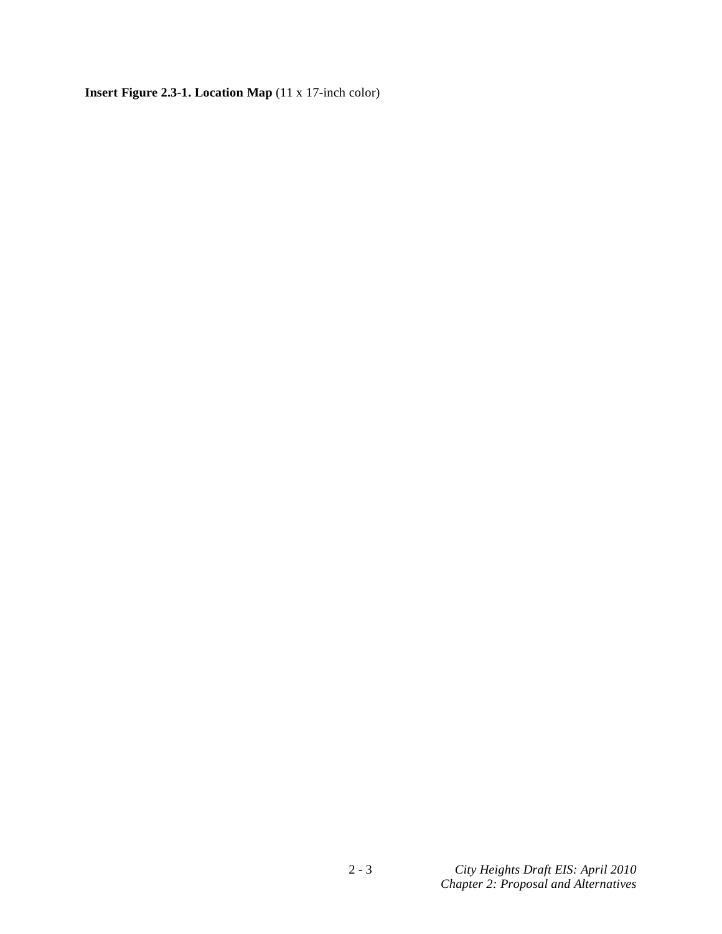**Insert Figure 2.3-1. Location Map** (11 x 17-inch color)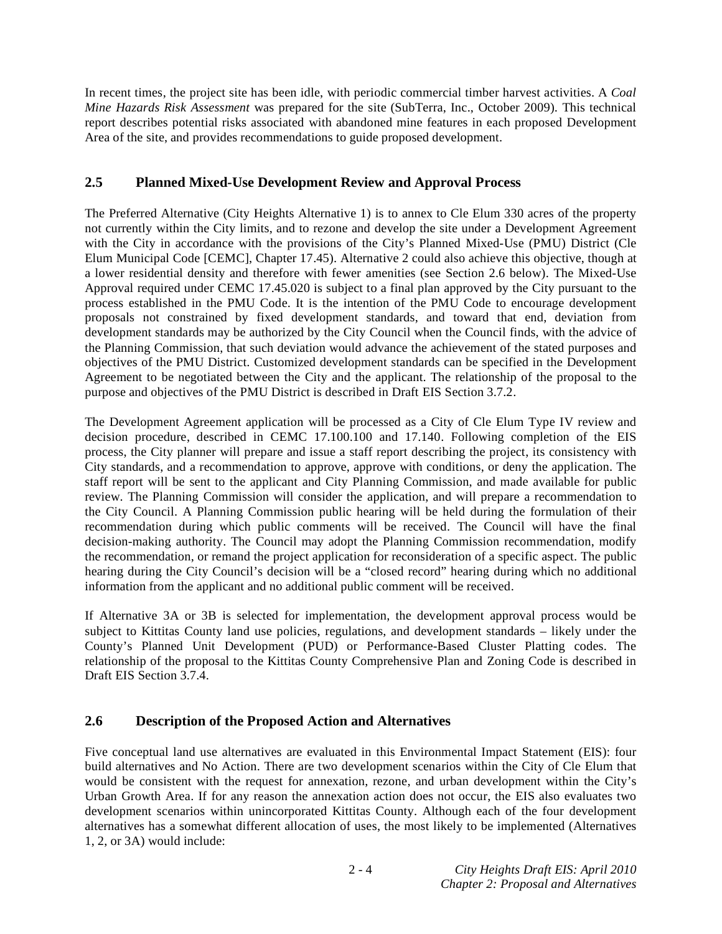In recent times, the project site has been idle, with periodic commercial timber harvest activities. A *Coal Mine Hazards Risk Assessment* was prepared for the site (SubTerra, Inc., October 2009). This technical report describes potential risks associated with abandoned mine features in each proposed Development Area of the site, and provides recommendations to guide proposed development.

# **2.5 Planned Mixed-Use Development Review and Approval Process**

The Preferred Alternative (City Heights Alternative 1) is to annex to Cle Elum 330 acres of the property not currently within the City limits, and to rezone and develop the site under a Development Agreement with the City in accordance with the provisions of the City's Planned Mixed-Use (PMU) District (Cle Elum Municipal Code [CEMC], Chapter 17.45). Alternative 2 could also achieve this objective, though at a lower residential density and therefore with fewer amenities (see Section 2.6 below). The Mixed-Use Approval required under CEMC 17.45.020 is subject to a final plan approved by the City pursuant to the process established in the PMU Code. It is the intention of the PMU Code to encourage development proposals not constrained by fixed development standards, and toward that end, deviation from development standards may be authorized by the City Council when the Council finds, with the advice of the Planning Commission, that such deviation would advance the achievement of the stated purposes and objectives of the PMU District. Customized development standards can be specified in the Development Agreement to be negotiated between the City and the applicant. The relationship of the proposal to the purpose and objectives of the PMU District is described in Draft EIS Section 3.7.2.

The Development Agreement application will be processed as a City of Cle Elum Type IV review and decision procedure, described in CEMC 17.100.100 and 17.140. Following completion of the EIS process, the City planner will prepare and issue a staff report describing the project, its consistency with City standards, and a recommendation to approve, approve with conditions, or deny the application. The staff report will be sent to the applicant and City Planning Commission, and made available for public review. The Planning Commission will consider the application, and will prepare a recommendation to the City Council. A Planning Commission public hearing will be held during the formulation of their recommendation during which public comments will be received. The Council will have the final decision-making authority. The Council may adopt the Planning Commission recommendation, modify the recommendation, or remand the project application for reconsideration of a specific aspect. The public hearing during the City Council's decision will be a "closed record" hearing during which no additional information from the applicant and no additional public comment will be received.

If Alternative 3A or 3B is selected for implementation, the development approval process would be subject to Kittitas County land use policies, regulations, and development standards – likely under the County's Planned Unit Development (PUD) or Performance-Based Cluster Platting codes. The relationship of the proposal to the Kittitas County Comprehensive Plan and Zoning Code is described in Draft EIS Section 3.7.4.

## **2.6 Description of the Proposed Action and Alternatives**

Five conceptual land use alternatives are evaluated in this Environmental Impact Statement (EIS): four build alternatives and No Action. There are two development scenarios within the City of Cle Elum that would be consistent with the request for annexation, rezone, and urban development within the City's Urban Growth Area. If for any reason the annexation action does not occur, the EIS also evaluates two development scenarios within unincorporated Kittitas County. Although each of the four development alternatives has a somewhat different allocation of uses, the most likely to be implemented (Alternatives 1, 2, or 3A) would include: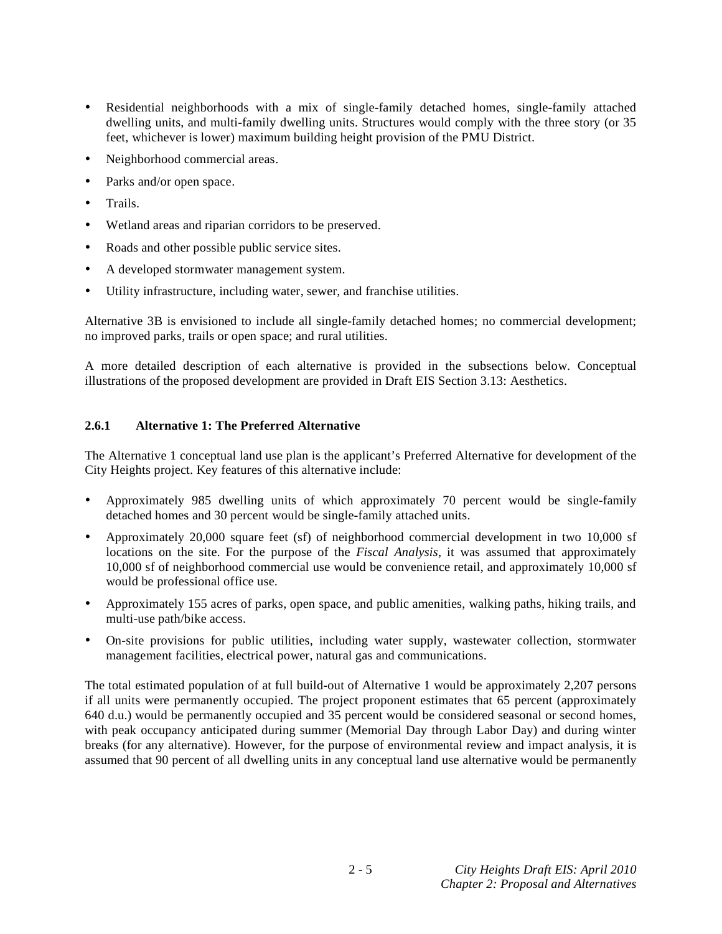- Residential neighborhoods with a mix of single-family detached homes, single-family attached dwelling units, and multi-family dwelling units. Structures would comply with the three story (or 35 feet, whichever is lower) maximum building height provision of the PMU District.
- Neighborhood commercial areas.
- Parks and/or open space.
- Trails.
- Wetland areas and riparian corridors to be preserved.
- Roads and other possible public service sites.
- A developed stormwater management system.
- Utility infrastructure, including water, sewer, and franchise utilities.

Alternative 3B is envisioned to include all single-family detached homes; no commercial development; no improved parks, trails or open space; and rural utilities.

A more detailed description of each alternative is provided in the subsections below. Conceptual illustrations of the proposed development are provided in Draft EIS Section 3.13: Aesthetics.

## **2.6.1 Alternative 1: The Preferred Alternative**

The Alternative 1 conceptual land use plan is the applicant's Preferred Alternative for development of the City Heights project. Key features of this alternative include:

- Approximately 985 dwelling units of which approximately 70 percent would be single-family detached homes and 30 percent would be single-family attached units.
- Approximately 20,000 square feet (sf) of neighborhood commercial development in two 10,000 sf locations on the site. For the purpose of the *Fiscal Analysis*, it was assumed that approximately 10,000 sf of neighborhood commercial use would be convenience retail, and approximately 10,000 sf would be professional office use.
- Approximately 155 acres of parks, open space, and public amenities, walking paths, hiking trails, and multi-use path/bike access.
- On-site provisions for public utilities, including water supply, wastewater collection, stormwater management facilities, electrical power, natural gas and communications.

The total estimated population of at full build-out of Alternative 1 would be approximately 2,207 persons if all units were permanently occupied. The project proponent estimates that 65 percent (approximately 640 d.u.) would be permanently occupied and 35 percent would be considered seasonal or second homes, with peak occupancy anticipated during summer (Memorial Day through Labor Day) and during winter breaks (for any alternative). However, for the purpose of environmental review and impact analysis, it is assumed that 90 percent of all dwelling units in any conceptual land use alternative would be permanently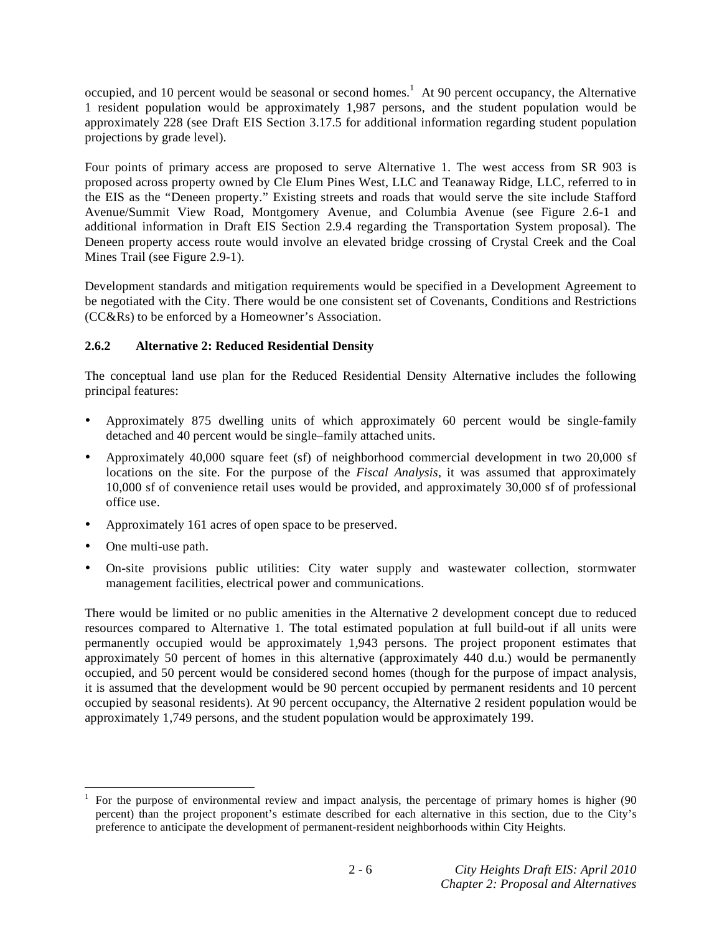occupied, and 10 percent would be seasonal or second homes.<sup>1</sup> At 90 percent occupancy, the Alternative 1 resident population would be approximately 1,987 persons, and the student population would be approximately 228 (see Draft EIS Section 3.17.5 for additional information regarding student population projections by grade level).

Four points of primary access are proposed to serve Alternative 1. The west access from SR 903 is proposed across property owned by Cle Elum Pines West, LLC and Teanaway Ridge, LLC, referred to in the EIS as the "Deneen property." Existing streets and roads that would serve the site include Stafford Avenue/Summit View Road, Montgomery Avenue, and Columbia Avenue (see Figure 2.6-1 and additional information in Draft EIS Section 2.9.4 regarding the Transportation System proposal). The Deneen property access route would involve an elevated bridge crossing of Crystal Creek and the Coal Mines Trail (see Figure 2.9-1).

Development standards and mitigation requirements would be specified in a Development Agreement to be negotiated with the City. There would be one consistent set of Covenants, Conditions and Restrictions (CC&Rs) to be enforced by a Homeowner's Association.

## **2.6.2 Alternative 2: Reduced Residential Density**

The conceptual land use plan for the Reduced Residential Density Alternative includes the following principal features:

- Approximately 875 dwelling units of which approximately 60 percent would be single-family detached and 40 percent would be single–family attached units.
- Approximately 40,000 square feet (sf) of neighborhood commercial development in two 20,000 sf locations on the site. For the purpose of the *Fiscal Analysis*, it was assumed that approximately 10,000 sf of convenience retail uses would be provided, and approximately 30,000 sf of professional office use.
- Approximately 161 acres of open space to be preserved.
- One multi-use path.
- On-site provisions public utilities: City water supply and wastewater collection, stormwater management facilities, electrical power and communications.

There would be limited or no public amenities in the Alternative 2 development concept due to reduced resources compared to Alternative 1. The total estimated population at full build-out if all units were permanently occupied would be approximately 1,943 persons. The project proponent estimates that approximately 50 percent of homes in this alternative (approximately 440 d.u.) would be permanently occupied, and 50 percent would be considered second homes (though for the purpose of impact analysis, it is assumed that the development would be 90 percent occupied by permanent residents and 10 percent occupied by seasonal residents). At 90 percent occupancy, the Alternative 2 resident population would be approximately 1,749 persons, and the student population would be approximately 199.

<sup>1</sup> 1 For the purpose of environmental review and impact analysis, the percentage of primary homes is higher (90 percent) than the project proponent's estimate described for each alternative in this section, due to the City's preference to anticipate the development of permanent-resident neighborhoods within City Heights.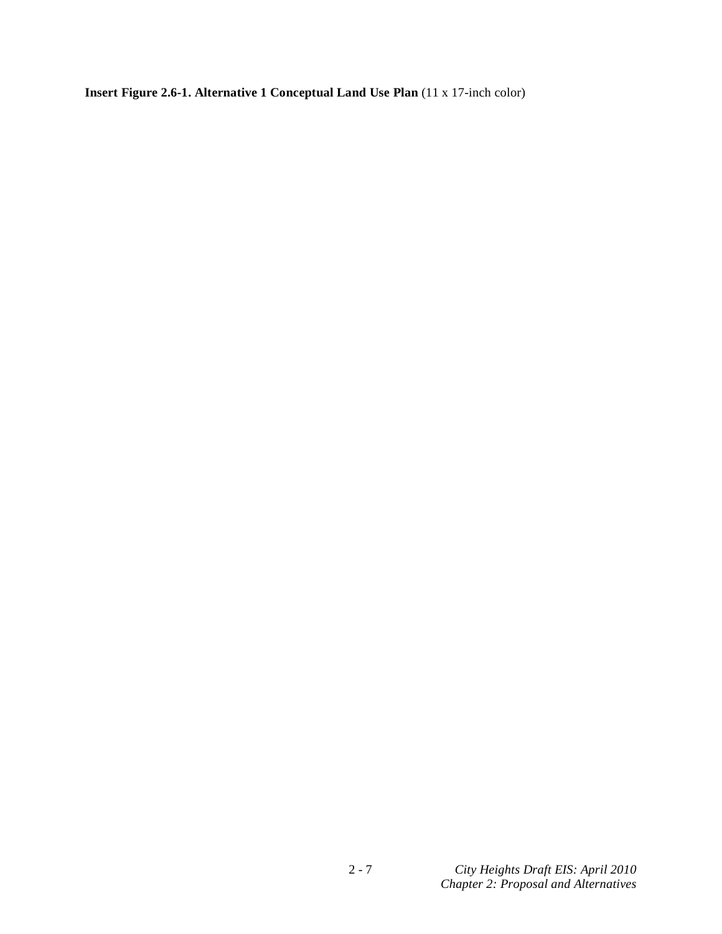**Insert Figure 2.6-1. Alternative 1 Conceptual Land Use Plan** (11 x 17-inch color)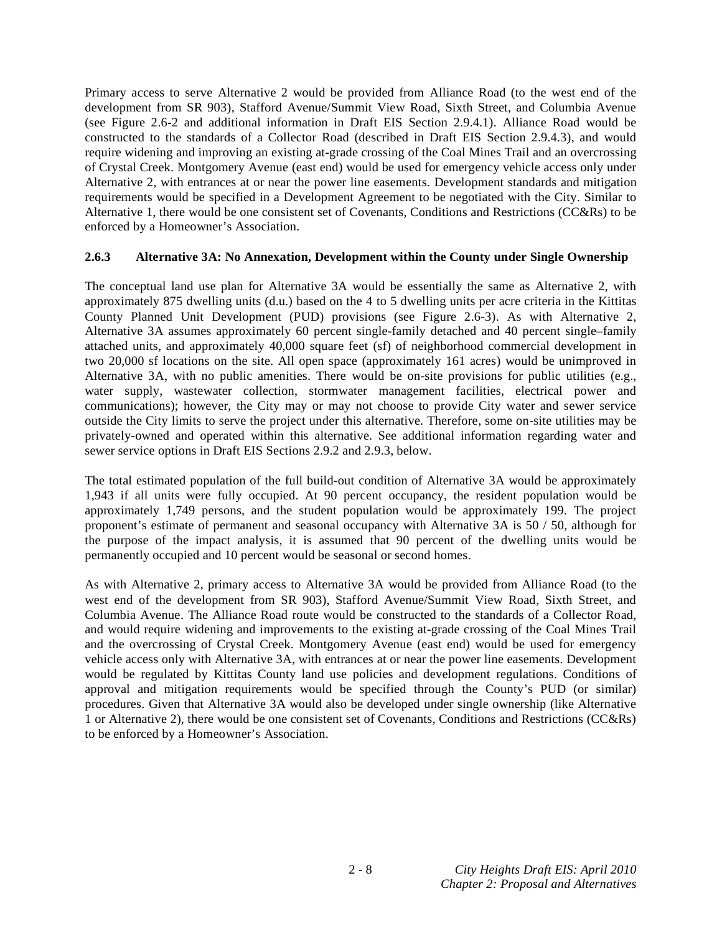Primary access to serve Alternative 2 would be provided from Alliance Road (to the west end of the development from SR 903), Stafford Avenue/Summit View Road, Sixth Street, and Columbia Avenue (see Figure 2.6-2 and additional information in Draft EIS Section 2.9.4.1). Alliance Road would be constructed to the standards of a Collector Road (described in Draft EIS Section 2.9.4.3), and would require widening and improving an existing at-grade crossing of the Coal Mines Trail and an overcrossing of Crystal Creek. Montgomery Avenue (east end) would be used for emergency vehicle access only under Alternative 2, with entrances at or near the power line easements. Development standards and mitigation requirements would be specified in a Development Agreement to be negotiated with the City. Similar to Alternative 1, there would be one consistent set of Covenants, Conditions and Restrictions (CC&Rs) to be enforced by a Homeowner's Association.

## **2.6.3 Alternative 3A: No Annexation, Development within the County under Single Ownership**

The conceptual land use plan for Alternative 3A would be essentially the same as Alternative 2, with approximately 875 dwelling units (d.u.) based on the 4 to 5 dwelling units per acre criteria in the Kittitas County Planned Unit Development (PUD) provisions (see Figure 2.6-3). As with Alternative 2, Alternative 3A assumes approximately 60 percent single-family detached and 40 percent single–family attached units, and approximately 40,000 square feet (sf) of neighborhood commercial development in two 20,000 sf locations on the site. All open space (approximately 161 acres) would be unimproved in Alternative 3A, with no public amenities. There would be on-site provisions for public utilities (e.g., water supply, wastewater collection, stormwater management facilities, electrical power and communications); however, the City may or may not choose to provide City water and sewer service outside the City limits to serve the project under this alternative. Therefore, some on-site utilities may be privately-owned and operated within this alternative. See additional information regarding water and sewer service options in Draft EIS Sections 2.9.2 and 2.9.3, below.

The total estimated population of the full build-out condition of Alternative 3A would be approximately 1,943 if all units were fully occupied. At 90 percent occupancy, the resident population would be approximately 1,749 persons, and the student population would be approximately 199. The project proponent's estimate of permanent and seasonal occupancy with Alternative 3A is 50 / 50, although for the purpose of the impact analysis, it is assumed that 90 percent of the dwelling units would be permanently occupied and 10 percent would be seasonal or second homes.

As with Alternative 2, primary access to Alternative 3A would be provided from Alliance Road (to the west end of the development from SR 903), Stafford Avenue/Summit View Road, Sixth Street, and Columbia Avenue. The Alliance Road route would be constructed to the standards of a Collector Road, and would require widening and improvements to the existing at-grade crossing of the Coal Mines Trail and the overcrossing of Crystal Creek. Montgomery Avenue (east end) would be used for emergency vehicle access only with Alternative 3A, with entrances at or near the power line easements. Development would be regulated by Kittitas County land use policies and development regulations. Conditions of approval and mitigation requirements would be specified through the County's PUD (or similar) procedures. Given that Alternative 3A would also be developed under single ownership (like Alternative 1 or Alternative 2), there would be one consistent set of Covenants, Conditions and Restrictions (CC&Rs) to be enforced by a Homeowner's Association.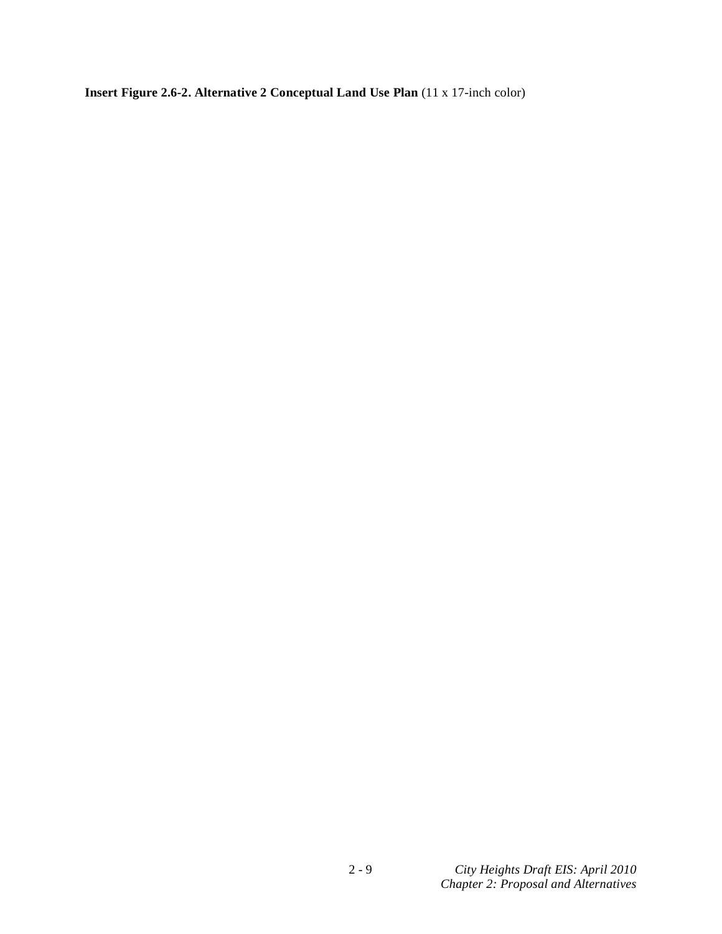**Insert Figure 2.6-2. Alternative 2 Conceptual Land Use Plan** (11 x 17-inch color)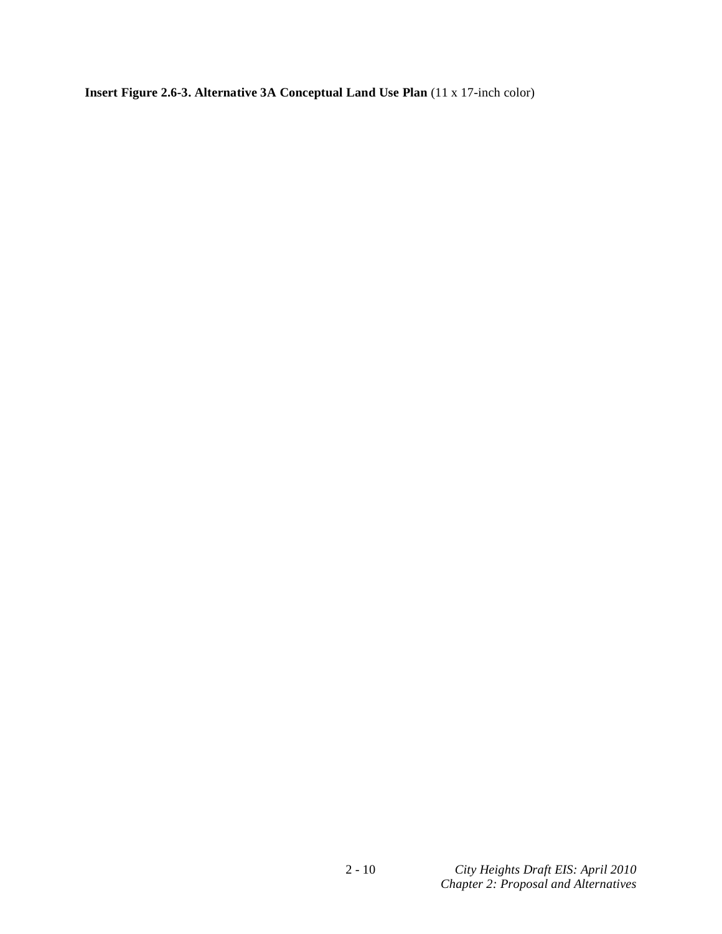**Insert Figure 2.6-3. Alternative 3A Conceptual Land Use Plan** (11 x 17-inch color)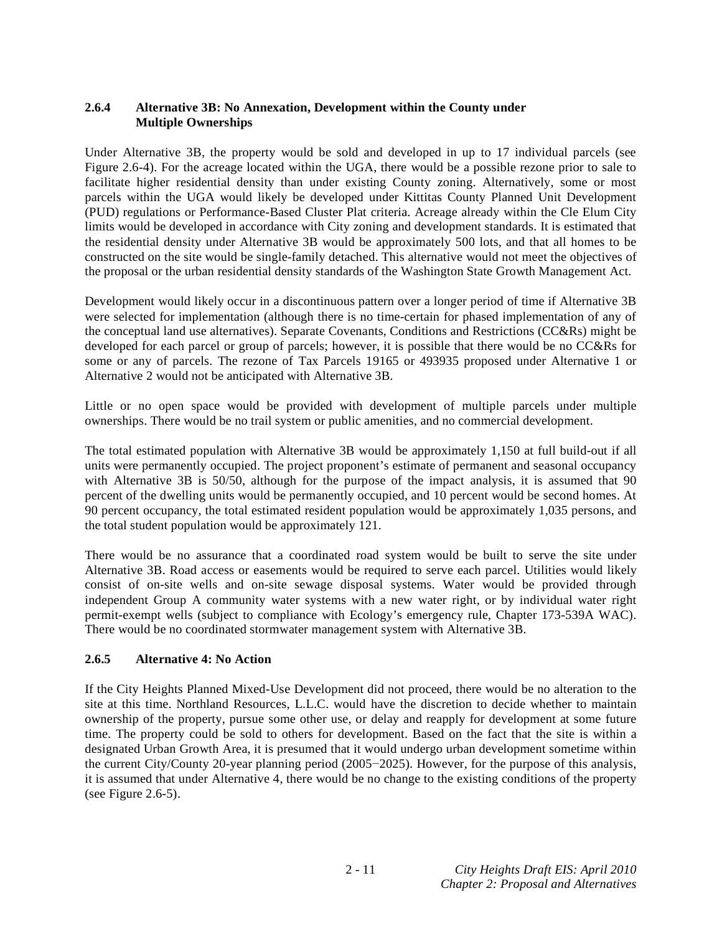## **2.6.4 Alternative 3B: No Annexation, Development within the County under Multiple Ownerships**

Under Alternative 3B, the property would be sold and developed in up to 17 individual parcels (see Figure 2.6-4). For the acreage located within the UGA, there would be a possible rezone prior to sale to facilitate higher residential density than under existing County zoning. Alternatively, some or most parcels within the UGA would likely be developed under Kittitas County Planned Unit Development (PUD) regulations or Performance-Based Cluster Plat criteria. Acreage already within the Cle Elum City limits would be developed in accordance with City zoning and development standards. It is estimated that the residential density under Alternative 3B would be approximately 500 lots, and that all homes to be constructed on the site would be single-family detached. This alternative would not meet the objectives of the proposal or the urban residential density standards of the Washington State Growth Management Act.

Development would likely occur in a discontinuous pattern over a longer period of time if Alternative 3B were selected for implementation (although there is no time-certain for phased implementation of any of the conceptual land use alternatives). Separate Covenants, Conditions and Restrictions (CC&Rs) might be developed for each parcel or group of parcels; however, it is possible that there would be no CC&Rs for some or any of parcels. The rezone of Tax Parcels 19165 or 493935 proposed under Alternative 1 or Alternative 2 would not be anticipated with Alternative 3B.

Little or no open space would be provided with development of multiple parcels under multiple ownerships. There would be no trail system or public amenities, and no commercial development.

The total estimated population with Alternative 3B would be approximately 1,150 at full build-out if all units were permanently occupied. The project proponent's estimate of permanent and seasonal occupancy with Alternative 3B is 50/50, although for the purpose of the impact analysis, it is assumed that 90 percent of the dwelling units would be permanently occupied, and 10 percent would be second homes. At 90 percent occupancy, the total estimated resident population would be approximately 1,035 persons, and the total student population would be approximately 121.

There would be no assurance that a coordinated road system would be built to serve the site under Alternative 3B. Road access or easements would be required to serve each parcel. Utilities would likely consist of on-site wells and on-site sewage disposal systems. Water would be provided through independent Group A community water systems with a new water right, or by individual water right permit-exempt wells (subject to compliance with Ecology's emergency rule, Chapter 173-539A WAC). There would be no coordinated stormwater management system with Alternative 3B.

#### **2.6.5 Alternative 4: No Action**

If the City Heights Planned Mixed-Use Development did not proceed, there would be no alteration to the site at this time. Northland Resources, L.L.C. would have the discretion to decide whether to maintain ownership of the property, pursue some other use, or delay and reapply for development at some future time. The property could be sold to others for development. Based on the fact that the site is within a designated Urban Growth Area, it is presumed that it would undergo urban development sometime within the current City/County 20-year planning period (2005–2025). However, for the purpose of this analysis, it is assumed that under Alternative 4, there would be no change to the existing conditions of the property (see Figure 2.6-5).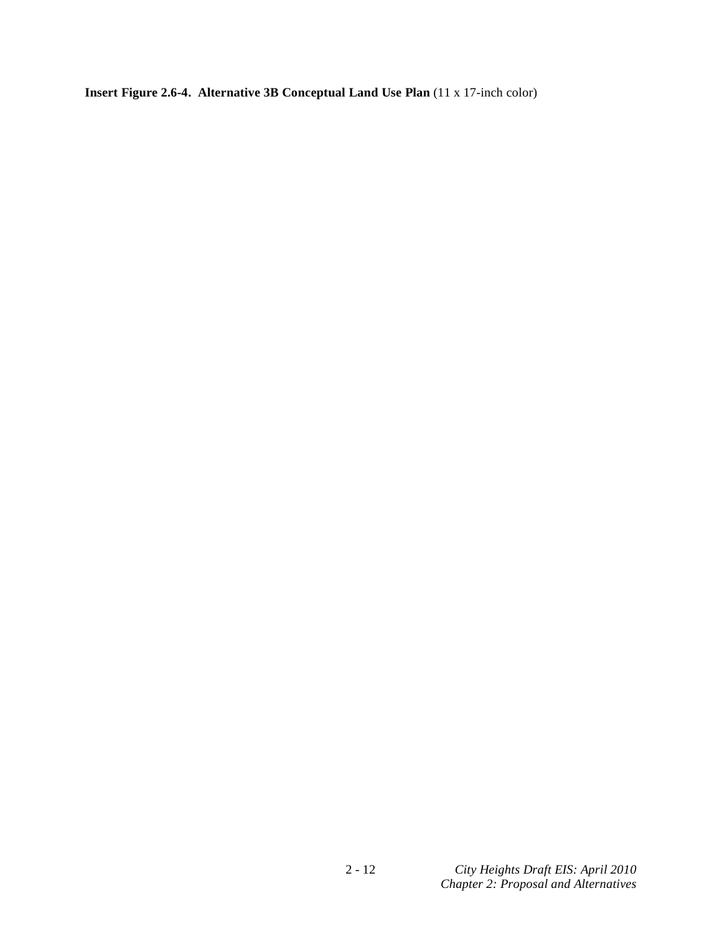**Insert Figure 2.6-4. Alternative 3B Conceptual Land Use Plan** (11 x 17-inch color)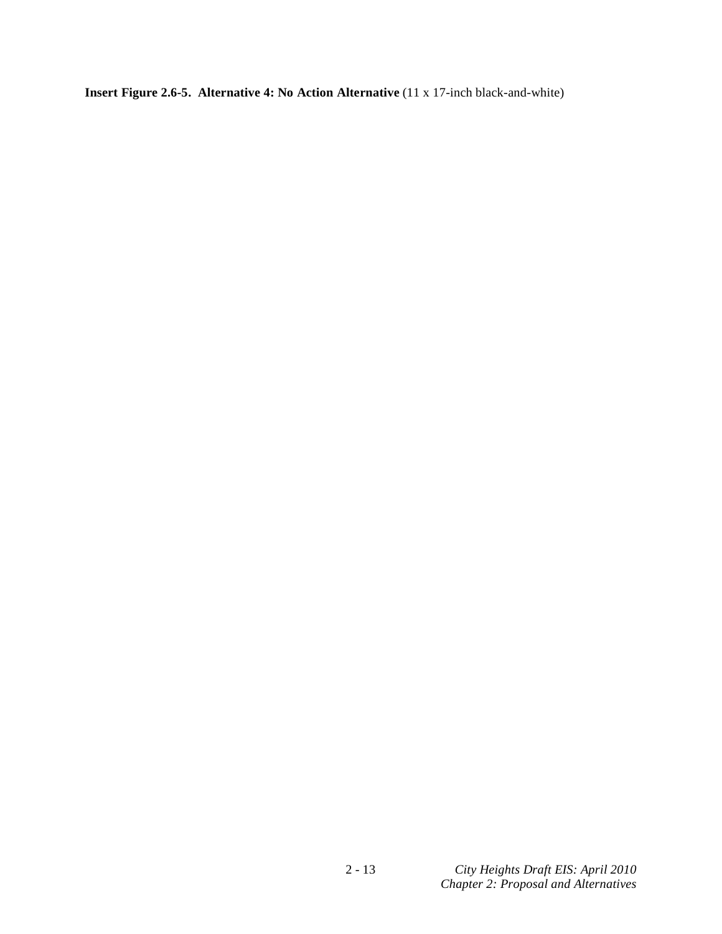**Insert Figure 2.6-5. Alternative 4: No Action Alternative** (11 x 17-inch black-and-white)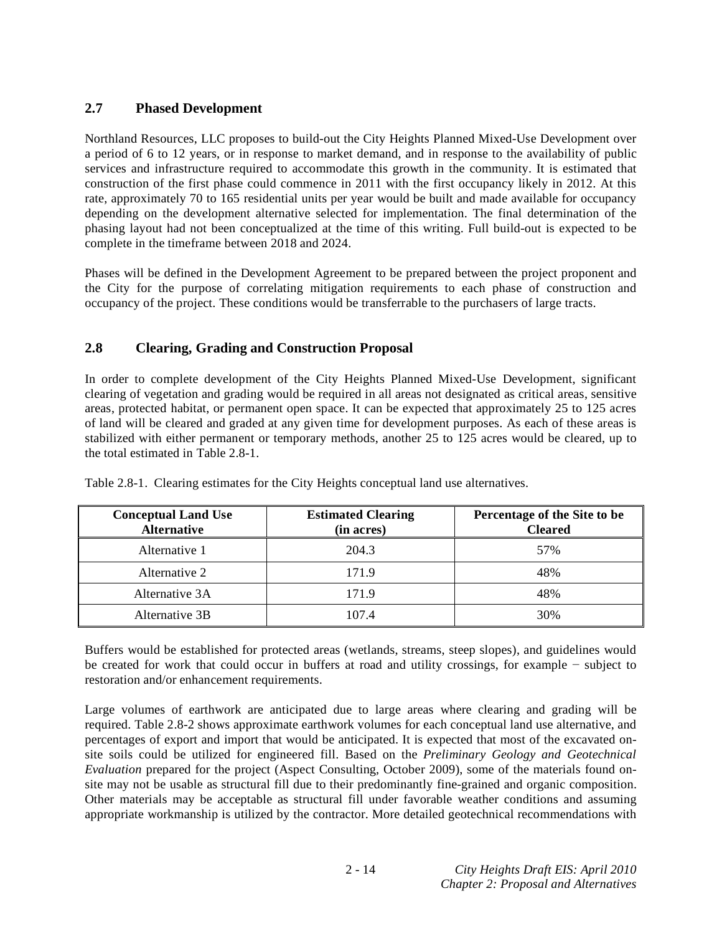# **2.7 Phased Development**

Northland Resources, LLC proposes to build-out the City Heights Planned Mixed-Use Development over a period of 6 to 12 years, or in response to market demand, and in response to the availability of public services and infrastructure required to accommodate this growth in the community. It is estimated that construction of the first phase could commence in 2011 with the first occupancy likely in 2012. At this rate, approximately 70 to 165 residential units per year would be built and made available for occupancy depending on the development alternative selected for implementation. The final determination of the phasing layout had not been conceptualized at the time of this writing. Full build-out is expected to be complete in the timeframe between 2018 and 2024.

Phases will be defined in the Development Agreement to be prepared between the project proponent and the City for the purpose of correlating mitigation requirements to each phase of construction and occupancy of the project. These conditions would be transferrable to the purchasers of large tracts.

# **2.8 Clearing, Grading and Construction Proposal**

In order to complete development of the City Heights Planned Mixed-Use Development, significant clearing of vegetation and grading would be required in all areas not designated as critical areas, sensitive areas, protected habitat, or permanent open space. It can be expected that approximately 25 to 125 acres of land will be cleared and graded at any given time for development purposes. As each of these areas is stabilized with either permanent or temporary methods, another 25 to 125 acres would be cleared, up to the total estimated in Table 2.8-1.

| <b>Conceptual Land Use</b><br><b>Alternative</b> | <b>Estimated Clearing</b><br>(in acres) | Percentage of the Site to be<br><b>Cleared</b> |
|--------------------------------------------------|-----------------------------------------|------------------------------------------------|
| Alternative 1                                    | 204.3                                   | 57%                                            |
| Alternative 2                                    | 171.9                                   | 48%                                            |
| Alternative 3A                                   | 171.9                                   | 48%                                            |
| Alternative 3B                                   | 107.4                                   | 30%                                            |

Table 2.8-1. Clearing estimates for the City Heights conceptual land use alternatives.

Buffers would be established for protected areas (wetlands, streams, steep slopes), and guidelines would be created for work that could occur in buffers at road and utility crossings, for example  $-$  subject to restoration and/or enhancement requirements.

Large volumes of earthwork are anticipated due to large areas where clearing and grading will be required. Table 2.8-2 shows approximate earthwork volumes for each conceptual land use alternative, and percentages of export and import that would be anticipated. It is expected that most of the excavated onsite soils could be utilized for engineered fill. Based on the *Preliminary Geology and Geotechnical Evaluation* prepared for the project (Aspect Consulting, October 2009), some of the materials found onsite may not be usable as structural fill due to their predominantly fine-grained and organic composition. Other materials may be acceptable as structural fill under favorable weather conditions and assuming appropriate workmanship is utilized by the contractor. More detailed geotechnical recommendations with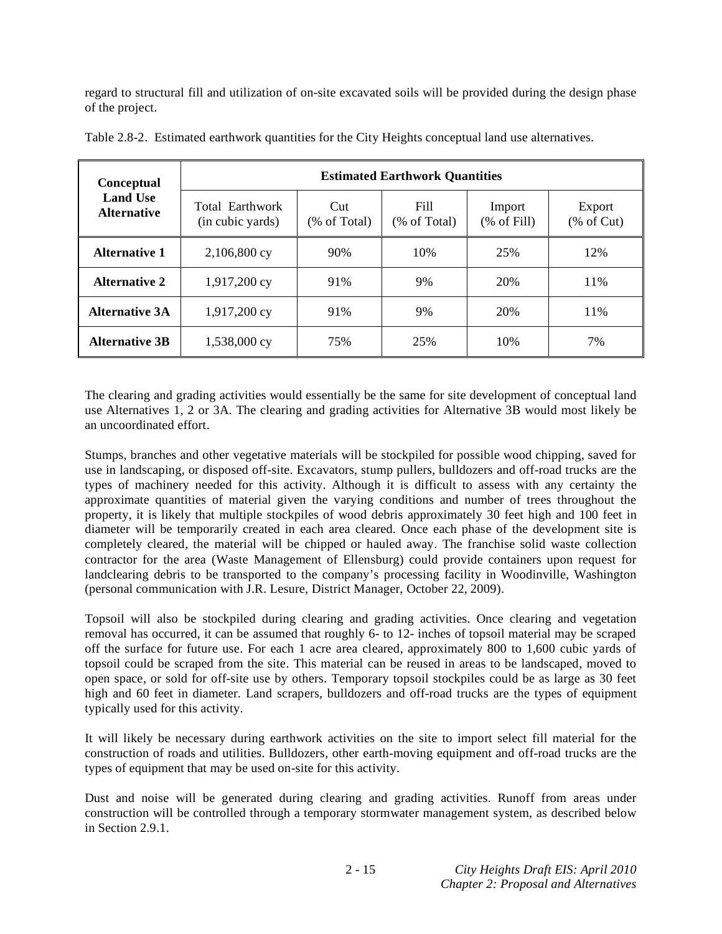regard to structural fill and utilization of on-site excavated soils will be provided during the design phase of the project.

| Conceptual                            | <b>Estimated Earthwork Quantities</b> |                     |                      |                        |                       |
|---------------------------------------|---------------------------------------|---------------------|----------------------|------------------------|-----------------------|
| <b>Land Use</b><br><b>Alternative</b> | Total Earthwork<br>(in cubic yards)   | Cut<br>(% of Total) | Fill<br>(% of Total) | Import<br>$%$ of Fill) | Export<br>$%$ of Cut) |
| <b>Alternative 1</b>                  | 2,106,800 cy                          | 90%                 | 10%                  | 25%                    | 12%                   |
| <b>Alternative 2</b>                  | 1,917,200 cy                          | 91%                 | 9%                   | 20%                    | 11%                   |
| <b>Alternative 3A</b>                 | 1,917,200 cy                          | 91%                 | 9%                   | 20%                    | 11%                   |
| <b>Alternative 3B</b>                 | 1,538,000 cy                          | 75%                 | 25%                  | 10%                    | 7%                    |

Table 2.8-2. Estimated earthwork quantities for the City Heights conceptual land use alternatives.

The clearing and grading activities would essentially be the same for site development of conceptual land use Alternatives 1, 2 or 3A. The clearing and grading activities for Alternative 3B would most likely be an uncoordinated effort.

Stumps, branches and other vegetative materials will be stockpiled for possible wood chipping, saved for use in landscaping, or disposed off-site. Excavators, stump pullers, bulldozers and off-road trucks are the types of machinery needed for this activity. Although it is difficult to assess with any certainty the approximate quantities of material given the varying conditions and number of trees throughout the property, it is likely that multiple stockpiles of wood debris approximately 30 feet high and 100 feet in diameter will be temporarily created in each area cleared. Once each phase of the development site is completely cleared, the material will be chipped or hauled away. The franchise solid waste collection contractor for the area (Waste Management of Ellensburg) could provide containers upon request for landclearing debris to be transported to the company's processing facility in Woodinville, Washington (personal communication with J.R. Lesure, District Manager, October 22, 2009).

Topsoil will also be stockpiled during clearing and grading activities. Once clearing and vegetation removal has occurred, it can be assumed that roughly 6- to 12- inches of topsoil material may be scraped off the surface for future use. For each 1 acre area cleared, approximately 800 to 1,600 cubic yards of topsoil could be scraped from the site. This material can be reused in areas to be landscaped, moved to open space, or sold for off-site use by others. Temporary topsoil stockpiles could be as large as 30 feet high and 60 feet in diameter. Land scrapers, bulldozers and off-road trucks are the types of equipment typically used for this activity.

It will likely be necessary during earthwork activities on the site to import select fill material for the construction of roads and utilities. Bulldozers, other earth-moving equipment and off-road trucks are the types of equipment that may be used on-site for this activity.

Dust and noise will be generated during clearing and grading activities. Runoff from areas under construction will be controlled through a temporary stormwater management system, as described below in Section 2.9.1.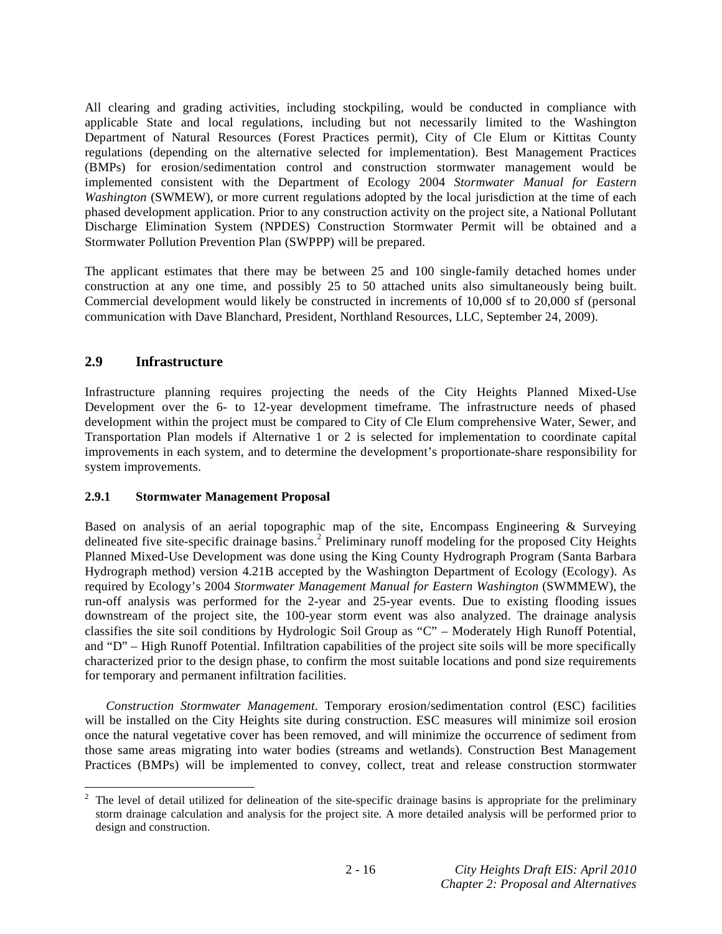All clearing and grading activities, including stockpiling, would be conducted in compliance with applicable State and local regulations, including but not necessarily limited to the Washington Department of Natural Resources (Forest Practices permit), City of Cle Elum or Kittitas County regulations (depending on the alternative selected for implementation). Best Management Practices (BMPs) for erosion/sedimentation control and construction stormwater management would be implemented consistent with the Department of Ecology 2004 *Stormwater Manual for Eastern Washington* (SWMEW), or more current regulations adopted by the local jurisdiction at the time of each phased development application. Prior to any construction activity on the project site, a National Pollutant Discharge Elimination System (NPDES) Construction Stormwater Permit will be obtained and a Stormwater Pollution Prevention Plan (SWPPP) will be prepared.

The applicant estimates that there may be between 25 and 100 single-family detached homes under construction at any one time, and possibly 25 to 50 attached units also simultaneously being built. Commercial development would likely be constructed in increments of 10,000 sf to 20,000 sf (personal communication with Dave Blanchard, President, Northland Resources, LLC, September 24, 2009).

# **2.9 Infrastructure**

Infrastructure planning requires projecting the needs of the City Heights Planned Mixed-Use Development over the 6- to 12-year development timeframe. The infrastructure needs of phased development within the project must be compared to City of Cle Elum comprehensive Water, Sewer, and Transportation Plan models if Alternative 1 or 2 is selected for implementation to coordinate capital improvements in each system, and to determine the development's proportionate-share responsibility for system improvements.

## **2.9.1 Stormwater Management Proposal**

Based on analysis of an aerial topographic map of the site, Encompass Engineering  $\&$  Surveying delineated five site-specific drainage basins.<sup>2</sup> Preliminary runoff modeling for the proposed City Heights Planned Mixed-Use Development was done using the King County Hydrograph Program (Santa Barbara Hydrograph method) version 4.21B accepted by the Washington Department of Ecology (Ecology). As required by Ecology's 2004 *Stormwater Management Manual for Eastern Washington* (SWMMEW), the run-off analysis was performed for the 2-year and 25-year events. Due to existing flooding issues downstream of the project site, the 100-year storm event was also analyzed. The drainage analysis classifies the site soil conditions by Hydrologic Soil Group as "C" – Moderately High Runoff Potential, and "D" – High Runoff Potential. Infiltration capabilities of the project site soils will be more specifically characterized prior to the design phase, to confirm the most suitable locations and pond size requirements for temporary and permanent infiltration facilities.

*Construction Stormwater Management*. Temporary erosion/sedimentation control (ESC) facilities will be installed on the City Heights site during construction. ESC measures will minimize soil erosion once the natural vegetative cover has been removed, and will minimize the occurrence of sediment from those same areas migrating into water bodies (streams and wetlands). Construction Best Management Practices (BMPs) will be implemented to convey, collect, treat and release construction stormwater

<sup>&</sup>lt;sup>2</sup> The level of detail utilized for delineation of the site-specific drainage basins is appropriate for the preliminary storm drainage calculation and analysis for the project site. A more detailed analysis will be performed prior to design and construction.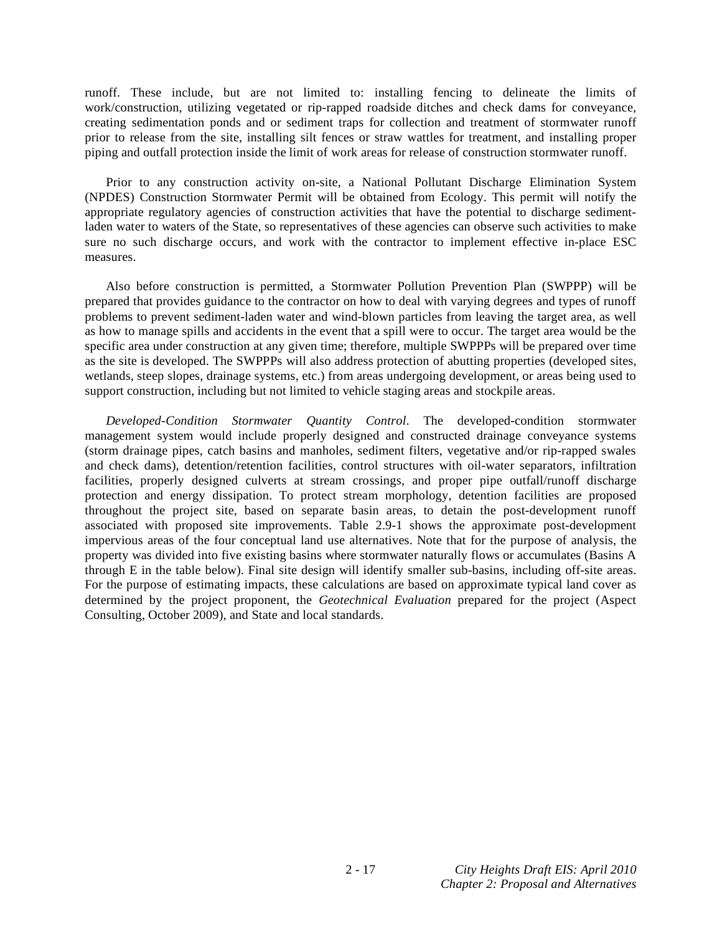runoff. These include, but are not limited to: installing fencing to delineate the limits of work/construction, utilizing vegetated or rip-rapped roadside ditches and check dams for conveyance, creating sedimentation ponds and or sediment traps for collection and treatment of stormwater runoff prior to release from the site, installing silt fences or straw wattles for treatment, and installing proper piping and outfall protection inside the limit of work areas for release of construction stormwater runoff.

 Prior to any construction activity on-site, a National Pollutant Discharge Elimination System (NPDES) Construction Stormwater Permit will be obtained from Ecology. This permit will notify the appropriate regulatory agencies of construction activities that have the potential to discharge sedimentladen water to waters of the State, so representatives of these agencies can observe such activities to make sure no such discharge occurs, and work with the contractor to implement effective in-place ESC measures.

 Also before construction is permitted, a Stormwater Pollution Prevention Plan (SWPPP) will be prepared that provides guidance to the contractor on how to deal with varying degrees and types of runoff problems to prevent sediment-laden water and wind-blown particles from leaving the target area, as well as how to manage spills and accidents in the event that a spill were to occur. The target area would be the specific area under construction at any given time; therefore, multiple SWPPPs will be prepared over time as the site is developed. The SWPPPs will also address protection of abutting properties (developed sites, wetlands, steep slopes, drainage systems, etc.) from areas undergoing development, or areas being used to support construction, including but not limited to vehicle staging areas and stockpile areas.

*Developed-Condition Stormwater Quantity Control*. The developed-condition stormwater management system would include properly designed and constructed drainage conveyance systems (storm drainage pipes, catch basins and manholes, sediment filters, vegetative and/or rip-rapped swales and check dams), detention/retention facilities, control structures with oil-water separators, infiltration facilities, properly designed culverts at stream crossings, and proper pipe outfall/runoff discharge protection and energy dissipation. To protect stream morphology, detention facilities are proposed throughout the project site, based on separate basin areas, to detain the post-development runoff associated with proposed site improvements. Table 2.9-1 shows the approximate post-development impervious areas of the four conceptual land use alternatives. Note that for the purpose of analysis, the property was divided into five existing basins where stormwater naturally flows or accumulates (Basins A through E in the table below). Final site design will identify smaller sub-basins, including off-site areas. For the purpose of estimating impacts, these calculations are based on approximate typical land cover as determined by the project proponent, the *Geotechnical Evaluation* prepared for the project (Aspect Consulting, October 2009), and State and local standards.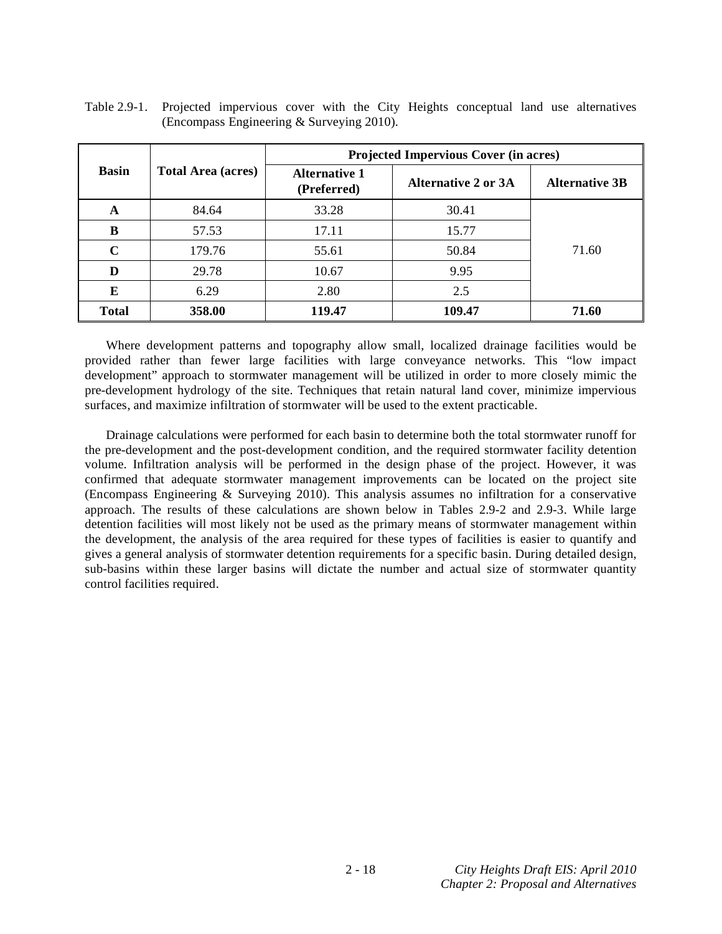|              |                           | <b>Projected Impervious Cover (in acres)</b> |                     |                       |  |
|--------------|---------------------------|----------------------------------------------|---------------------|-----------------------|--|
| <b>Basin</b> | <b>Total Area (acres)</b> | <b>Alternative 1</b><br>(Preferred)          | Alternative 2 or 3A | <b>Alternative 3B</b> |  |
| A            | 84.64                     | 33.28                                        | 30.41               |                       |  |
| B            | 57.53                     | 17.11                                        | 15.77               |                       |  |
| $\mathbf C$  | 179.76                    | 55.61                                        | 50.84               | 71.60                 |  |
| D            | 29.78                     | 10.67                                        | 9.95                |                       |  |
| E            | 6.29                      | 2.80                                         | 2.5                 |                       |  |
| <b>Total</b> | 358.00                    | 119.47                                       | 109.47              | 71.60                 |  |

Table 2.9-1. Projected impervious cover with the City Heights conceptual land use alternatives (Encompass Engineering & Surveying 2010).

 Where development patterns and topography allow small, localized drainage facilities would be provided rather than fewer large facilities with large conveyance networks. This "low impact development" approach to stormwater management will be utilized in order to more closely mimic the pre-development hydrology of the site. Techniques that retain natural land cover, minimize impervious surfaces, and maximize infiltration of stormwater will be used to the extent practicable.

 Drainage calculations were performed for each basin to determine both the total stormwater runoff for the pre-development and the post-development condition, and the required stormwater facility detention volume. Infiltration analysis will be performed in the design phase of the project. However, it was confirmed that adequate stormwater management improvements can be located on the project site (Encompass Engineering & Surveying 2010). This analysis assumes no infiltration for a conservative approach. The results of these calculations are shown below in Tables 2.9-2 and 2.9-3. While large detention facilities will most likely not be used as the primary means of stormwater management within the development, the analysis of the area required for these types of facilities is easier to quantify and gives a general analysis of stormwater detention requirements for a specific basin. During detailed design, sub-basins within these larger basins will dictate the number and actual size of stormwater quantity control facilities required.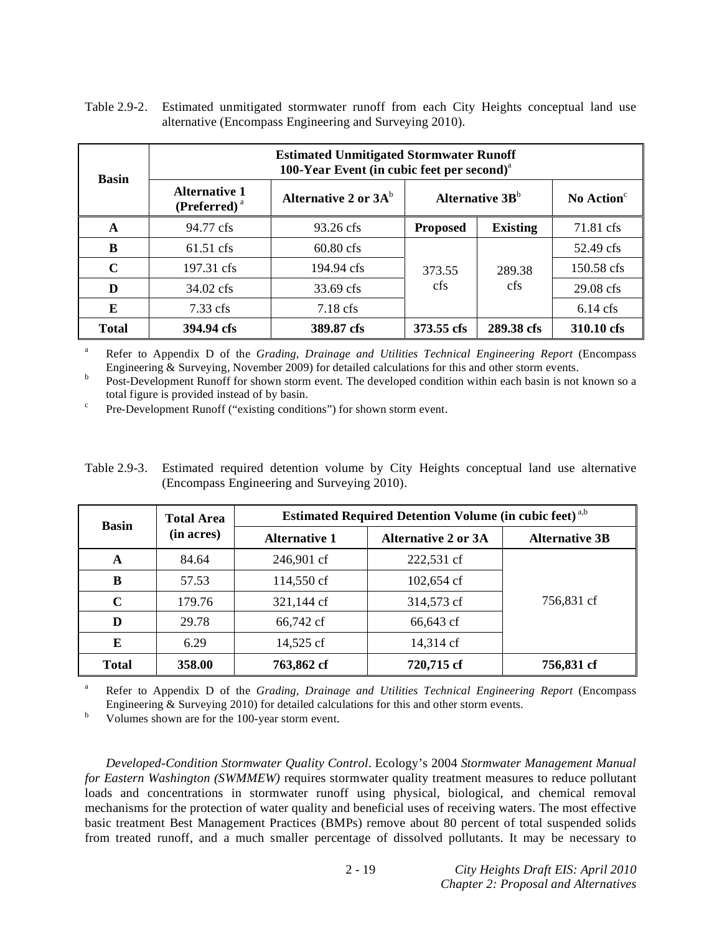| <b>Basin</b> | <b>Estimated Unmitigated Stormwater Runoff</b><br>100-Year Event (in cubic feet per second) <sup>a</sup> |                         |                             |                          |                        |
|--------------|----------------------------------------------------------------------------------------------------------|-------------------------|-----------------------------|--------------------------|------------------------|
|              | <b>Alternative 1</b><br>$(Perferred)^a$                                                                  | Alternative 2 or $3A^b$ | Alternative 3B <sup>b</sup> |                          | No Action <sup>c</sup> |
| A            | 94.77 cfs                                                                                                | 93.26 cfs               | <b>Proposed</b>             | <b>Existing</b>          | 71.81 cfs              |
| B            | $61.51 \text{ cfs}$                                                                                      | $60.80 \text{ cfs}$     | 373.55<br><sub>cfs</sub>    | 289.38<br><sub>cfs</sub> | 52.49 cfs              |
| $\mathbf C$  | 197.31 cfs                                                                                               | 194.94 cfs              |                             |                          | 150.58 cfs             |
| D            | 34.02 cfs                                                                                                | 33.69 cfs               |                             |                          | 29.08 cfs              |
| E            | $7.33 \text{ cfs}$                                                                                       | $7.18 \text{ cfs}$      |                             |                          | $6.14 \text{ cfs}$     |
| <b>Total</b> | 394.94 cfs                                                                                               | 389.87 cfs              | 373.55 cfs                  | 289.38 cfs               | 310.10 cfs             |

Table 2.9-2. Estimated unmitigated stormwater runoff from each City Heights conceptual land use alternative (Encompass Engineering and Surveying 2010).

a Refer to Appendix D of the *Grading, Drainage and Utilities Technical Engineering Report* (Encompass Engineering & Surveying, November 2009) for detailed calculations for this and other storm events. b

 Post-Development Runoff for shown storm event. The developed condition within each basin is not known so a total figure is provided instead of by basin.

Pre-Development Runoff ("existing conditions") for shown storm event.

Table 2.9-3. Estimated required detention volume by City Heights conceptual land use alternative (Encompass Engineering and Surveying 2010).

| <b>Basin</b> | <b>Total Area</b> | <b>Estimated Required Detention Volume (in cubic feet)</b> <sup>a,b</sup> |                            |                       |  |
|--------------|-------------------|---------------------------------------------------------------------------|----------------------------|-----------------------|--|
|              | (in acres)        | <b>Alternative 1</b>                                                      | <b>Alternative 2 or 3A</b> | <b>Alternative 3B</b> |  |
| A            | 84.64             | 246,901 cf                                                                | 222,531 cf                 |                       |  |
| B            | 57.53             | 114,550 cf                                                                | 102,654 cf                 |                       |  |
| $\mathbf C$  | 179.76            | 321,144 cf                                                                | 314,573 cf                 | 756,831 cf            |  |
| D            | 29.78             | 66,742 cf                                                                 | 66,643 cf                  |                       |  |
| E            | 6.29              | 14,525 cf                                                                 | 14,314 cf                  |                       |  |
| <b>Total</b> | 358.00            | 763,862 cf                                                                | 720,715 cf                 | 756,831 cf            |  |

a Refer to Appendix D of the *Grading, Drainage and Utilities Technical Engineering Report* (Encompass Engineering & Surveying 2010) for detailed calculations for this and other storm events.

Volumes shown are for the 100-year storm event.

*Developed-Condition Stormwater Quality Control*. Ecology's 2004 *Stormwater Management Manual for Eastern Washington (SWMMEW)* requires stormwater quality treatment measures to reduce pollutant loads and concentrations in stormwater runoff using physical, biological, and chemical removal mechanisms for the protection of water quality and beneficial uses of receiving waters. The most effective basic treatment Best Management Practices (BMPs) remove about 80 percent of total suspended solids from treated runoff, and a much smaller percentage of dissolved pollutants. It may be necessary to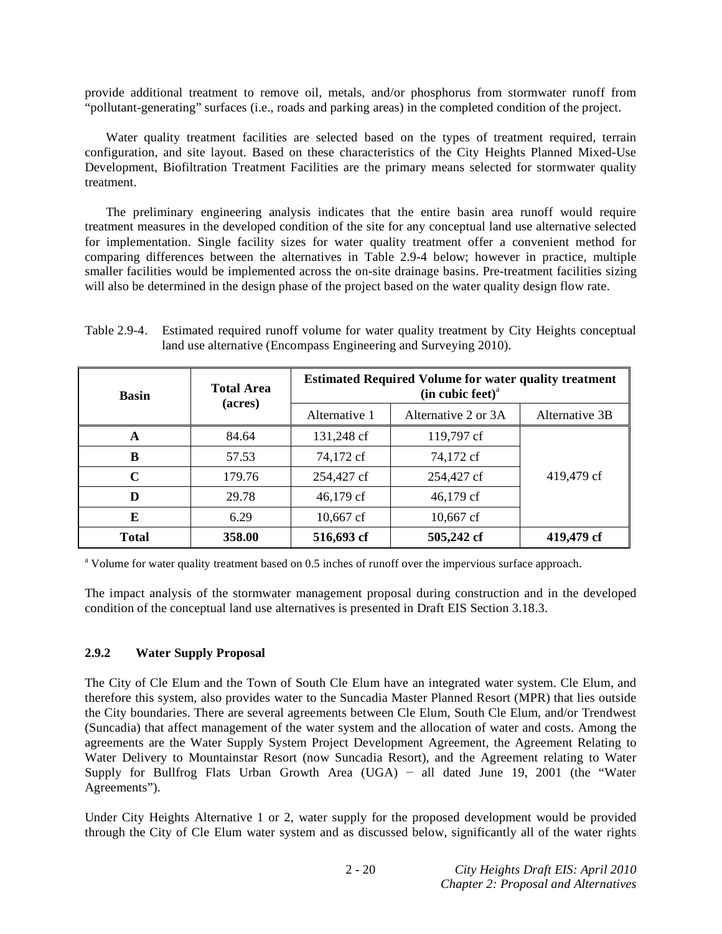provide additional treatment to remove oil, metals, and/or phosphorus from stormwater runoff from "pollutant-generating" surfaces (i.e., roads and parking areas) in the completed condition of the project.

 Water quality treatment facilities are selected based on the types of treatment required, terrain configuration, and site layout. Based on these characteristics of the City Heights Planned Mixed-Use Development, Biofiltration Treatment Facilities are the primary means selected for stormwater quality treatment.

 The preliminary engineering analysis indicates that the entire basin area runoff would require treatment measures in the developed condition of the site for any conceptual land use alternative selected for implementation. Single facility sizes for water quality treatment offer a convenient method for comparing differences between the alternatives in Table 2.9-4 below; however in practice, multiple smaller facilities would be implemented across the on-site drainage basins. Pre-treatment facilities sizing will also be determined in the design phase of the project based on the water quality design flow rate.

Table 2.9-4. Estimated required runoff volume for water quality treatment by City Heights conceptual land use alternative (Encompass Engineering and Surveying 2010).

| <b>Basin</b> | <b>Total Area</b> |               | <b>Estimated Required Volume for water quality treatment</b><br>(in cubic feet) <sup>a</sup> |                |
|--------------|-------------------|---------------|----------------------------------------------------------------------------------------------|----------------|
|              | (acres)           | Alternative 1 | Alternative 2 or 3A                                                                          | Alternative 3B |
| A            | 84.64             | 131,248 cf    | 119,797 cf                                                                                   |                |
| B            | 57.53             | 74,172 cf     | 74,172 cf                                                                                    |                |
| $\mathbf C$  | 179.76            | 254,427 cf    | 254,427 cf                                                                                   | 419,479 cf     |
| D            | 29.78             | 46,179 cf     | 46,179 cf                                                                                    |                |
| E            | 6.29              | $10,667$ cf   | $10,667$ cf                                                                                  |                |
| <b>Total</b> | 358.00            | 516,693 cf    | 505,242 cf                                                                                   | 419,479 cf     |

<sup>a</sup> Volume for water quality treatment based on 0.5 inches of runoff over the impervious surface approach.

The impact analysis of the stormwater management proposal during construction and in the developed condition of the conceptual land use alternatives is presented in Draft EIS Section 3.18.3.

#### **2.9.2 Water Supply Proposal**

The City of Cle Elum and the Town of South Cle Elum have an integrated water system. Cle Elum, and therefore this system, also provides water to the Suncadia Master Planned Resort (MPR) that lies outside the City boundaries. There are several agreements between Cle Elum, South Cle Elum, and/or Trendwest (Suncadia) that affect management of the water system and the allocation of water and costs. Among the agreements are the Water Supply System Project Development Agreement, the Agreement Relating to Water Delivery to Mountainstar Resort (now Suncadia Resort), and the Agreement relating to Water Supply for Bullfrog Flats Urban Growth Area (UGA)  $-$  all dated June 19, 2001 (the "Water Agreements").

Under City Heights Alternative 1 or 2, water supply for the proposed development would be provided through the City of Cle Elum water system and as discussed below, significantly all of the water rights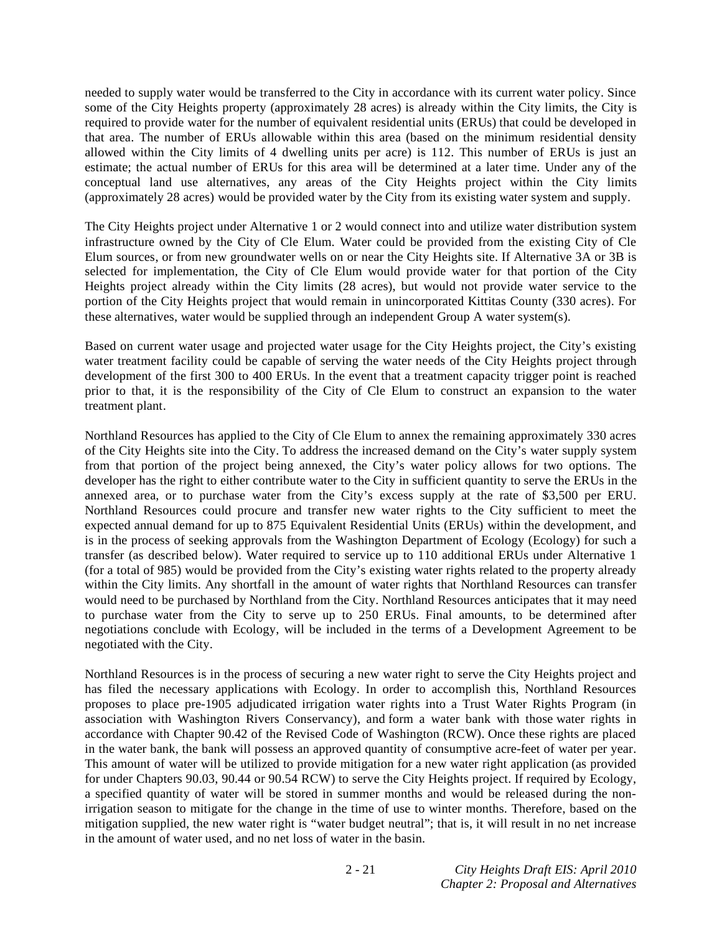needed to supply water would be transferred to the City in accordance with its current water policy. Since some of the City Heights property (approximately 28 acres) is already within the City limits, the City is required to provide water for the number of equivalent residential units (ERUs) that could be developed in that area. The number of ERUs allowable within this area (based on the minimum residential density allowed within the City limits of 4 dwelling units per acre) is 112. This number of ERUs is just an estimate; the actual number of ERUs for this area will be determined at a later time. Under any of the conceptual land use alternatives, any areas of the City Heights project within the City limits (approximately 28 acres) would be provided water by the City from its existing water system and supply.

The City Heights project under Alternative 1 or 2 would connect into and utilize water distribution system infrastructure owned by the City of Cle Elum. Water could be provided from the existing City of Cle Elum sources, or from new groundwater wells on or near the City Heights site. If Alternative 3A or 3B is selected for implementation, the City of Cle Elum would provide water for that portion of the City Heights project already within the City limits (28 acres), but would not provide water service to the portion of the City Heights project that would remain in unincorporated Kittitas County (330 acres). For these alternatives, water would be supplied through an independent Group A water system(s).

Based on current water usage and projected water usage for the City Heights project, the City's existing water treatment facility could be capable of serving the water needs of the City Heights project through development of the first 300 to 400 ERUs. In the event that a treatment capacity trigger point is reached prior to that, it is the responsibility of the City of Cle Elum to construct an expansion to the water treatment plant.

Northland Resources has applied to the City of Cle Elum to annex the remaining approximately 330 acres of the City Heights site into the City. To address the increased demand on the City's water supply system from that portion of the project being annexed, the City's water policy allows for two options. The developer has the right to either contribute water to the City in sufficient quantity to serve the ERUs in the annexed area, or to purchase water from the City's excess supply at the rate of \$3,500 per ERU. Northland Resources could procure and transfer new water rights to the City sufficient to meet the expected annual demand for up to 875 Equivalent Residential Units (ERUs) within the development, and is in the process of seeking approvals from the Washington Department of Ecology (Ecology) for such a transfer (as described below). Water required to service up to 110 additional ERUs under Alternative 1 (for a total of 985) would be provided from the City's existing water rights related to the property already within the City limits. Any shortfall in the amount of water rights that Northland Resources can transfer would need to be purchased by Northland from the City. Northland Resources anticipates that it may need to purchase water from the City to serve up to 250 ERUs. Final amounts, to be determined after negotiations conclude with Ecology, will be included in the terms of a Development Agreement to be negotiated with the City.

Northland Resources is in the process of securing a new water right to serve the City Heights project and has filed the necessary applications with Ecology. In order to accomplish this, Northland Resources proposes to place pre-1905 adjudicated irrigation water rights into a Trust Water Rights Program (in association with Washington Rivers Conservancy), and form a water bank with those water rights in accordance with Chapter 90.42 of the Revised Code of Washington (RCW). Once these rights are placed in the water bank, the bank will possess an approved quantity of consumptive acre-feet of water per year. This amount of water will be utilized to provide mitigation for a new water right application (as provided for under Chapters 90.03, 90.44 or 90.54 RCW) to serve the City Heights project. If required by Ecology, a specified quantity of water will be stored in summer months and would be released during the nonirrigation season to mitigate for the change in the time of use to winter months. Therefore, based on the mitigation supplied, the new water right is "water budget neutral"; that is, it will result in no net increase in the amount of water used, and no net loss of water in the basin.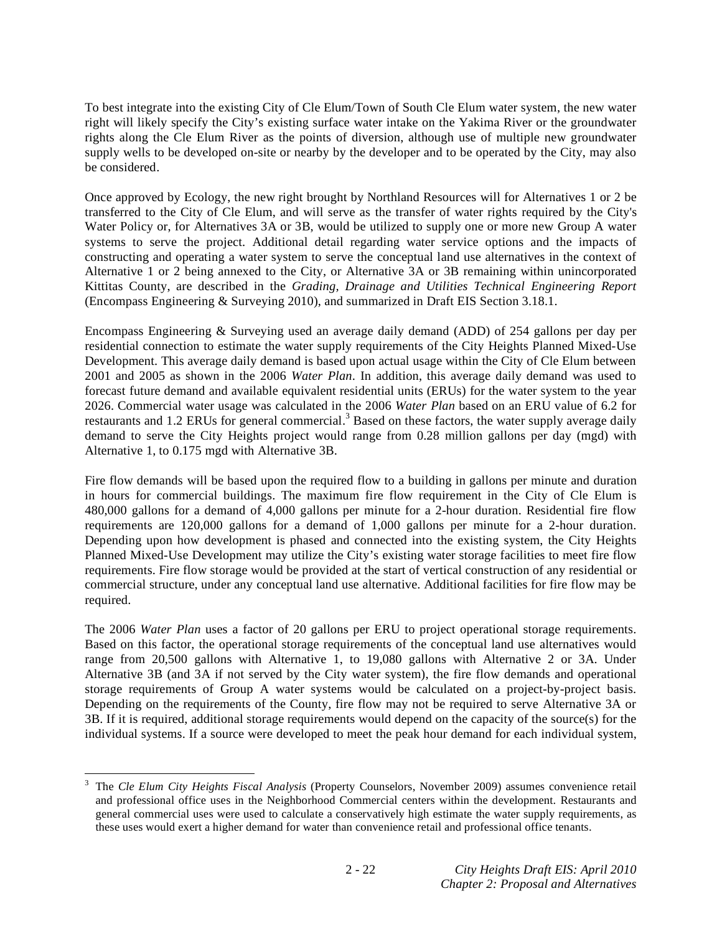To best integrate into the existing City of Cle Elum/Town of South Cle Elum water system, the new water right will likely specify the City's existing surface water intake on the Yakima River or the groundwater rights along the Cle Elum River as the points of diversion, although use of multiple new groundwater supply wells to be developed on-site or nearby by the developer and to be operated by the City, may also be considered.

Once approved by Ecology, the new right brought by Northland Resources will for Alternatives 1 or 2 be transferred to the City of Cle Elum, and will serve as the transfer of water rights required by the City's Water Policy or, for Alternatives 3A or 3B, would be utilized to supply one or more new Group A water systems to serve the project. Additional detail regarding water service options and the impacts of constructing and operating a water system to serve the conceptual land use alternatives in the context of Alternative 1 or 2 being annexed to the City, or Alternative 3A or 3B remaining within unincorporated Kittitas County, are described in the *Grading, Drainage and Utilities Technical Engineering Report* (Encompass Engineering & Surveying 2010), and summarized in Draft EIS Section 3.18.1.

Encompass Engineering & Surveying used an average daily demand (ADD) of 254 gallons per day per residential connection to estimate the water supply requirements of the City Heights Planned Mixed-Use Development. This average daily demand is based upon actual usage within the City of Cle Elum between 2001 and 2005 as shown in the 2006 *Water Plan*. In addition, this average daily demand was used to forecast future demand and available equivalent residential units (ERUs) for the water system to the year 2026. Commercial water usage was calculated in the 2006 *Water Plan* based on an ERU value of 6.2 for restaurants and 1.2 ERUs for general commercial.<sup>3</sup> Based on these factors, the water supply average daily demand to serve the City Heights project would range from 0.28 million gallons per day (mgd) with Alternative 1, to 0.175 mgd with Alternative 3B.

Fire flow demands will be based upon the required flow to a building in gallons per minute and duration in hours for commercial buildings. The maximum fire flow requirement in the City of Cle Elum is 480,000 gallons for a demand of 4,000 gallons per minute for a 2-hour duration. Residential fire flow requirements are 120,000 gallons for a demand of 1,000 gallons per minute for a 2-hour duration. Depending upon how development is phased and connected into the existing system, the City Heights Planned Mixed-Use Development may utilize the City's existing water storage facilities to meet fire flow requirements. Fire flow storage would be provided at the start of vertical construction of any residential or commercial structure, under any conceptual land use alternative. Additional facilities for fire flow may be required.

The 2006 *Water Plan* uses a factor of 20 gallons per ERU to project operational storage requirements. Based on this factor, the operational storage requirements of the conceptual land use alternatives would range from 20,500 gallons with Alternative 1, to 19,080 gallons with Alternative 2 or 3A. Under Alternative 3B (and 3A if not served by the City water system), the fire flow demands and operational storage requirements of Group A water systems would be calculated on a project-by-project basis. Depending on the requirements of the County, fire flow may not be required to serve Alternative 3A or 3B. If it is required, additional storage requirements would depend on the capacity of the source(s) for the individual systems. If a source were developed to meet the peak hour demand for each individual system,

<sup>3</sup> The *Cle Elum City Heights Fiscal Analysis* (Property Counselors, November 2009) assumes convenience retail and professional office uses in the Neighborhood Commercial centers within the development. Restaurants and general commercial uses were used to calculate a conservatively high estimate the water supply requirements, as these uses would exert a higher demand for water than convenience retail and professional office tenants.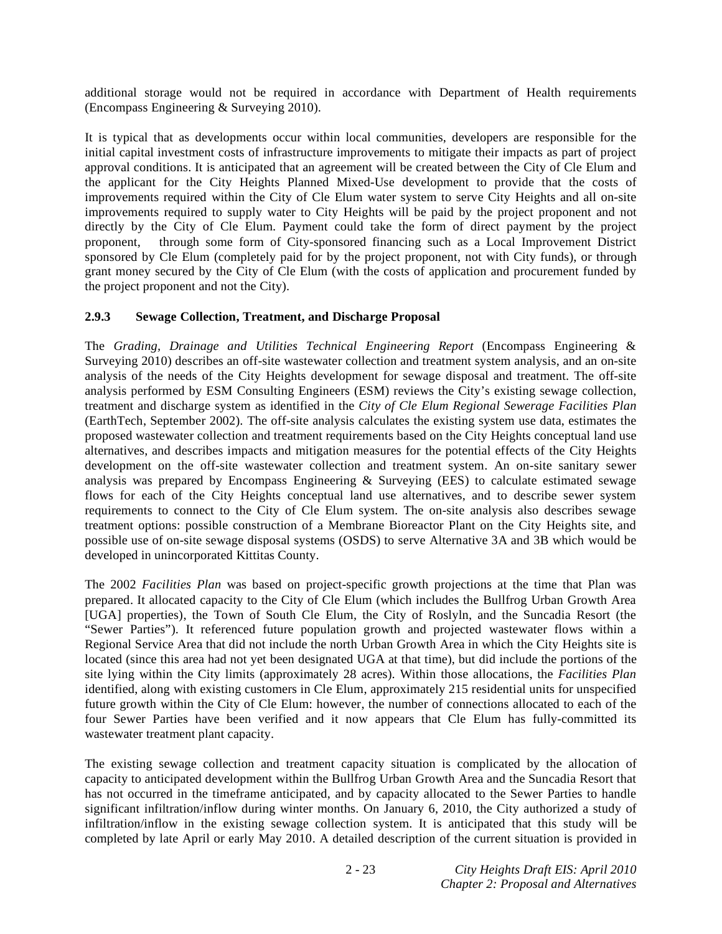additional storage would not be required in accordance with Department of Health requirements (Encompass Engineering & Surveying 2010).

It is typical that as developments occur within local communities, developers are responsible for the initial capital investment costs of infrastructure improvements to mitigate their impacts as part of project approval conditions. It is anticipated that an agreement will be created between the City of Cle Elum and the applicant for the City Heights Planned Mixed-Use development to provide that the costs of improvements required within the City of Cle Elum water system to serve City Heights and all on-site improvements required to supply water to City Heights will be paid by the project proponent and not directly by the City of Cle Elum. Payment could take the form of direct payment by the project proponent, through some form of City-sponsored financing such as a Local Improvement District sponsored by Cle Elum (completely paid for by the project proponent, not with City funds), or through grant money secured by the City of Cle Elum (with the costs of application and procurement funded by the project proponent and not the City).

## **2.9.3 Sewage Collection, Treatment, and Discharge Proposal**

The *Grading, Drainage and Utilities Technical Engineering Report* (Encompass Engineering & Surveying 2010) describes an off-site wastewater collection and treatment system analysis, and an on-site analysis of the needs of the City Heights development for sewage disposal and treatment. The off-site analysis performed by ESM Consulting Engineers (ESM) reviews the City's existing sewage collection, treatment and discharge system as identified in the *City of Cle Elum Regional Sewerage Facilities Plan*  (EarthTech, September 2002). The off-site analysis calculates the existing system use data, estimates the proposed wastewater collection and treatment requirements based on the City Heights conceptual land use alternatives, and describes impacts and mitigation measures for the potential effects of the City Heights development on the off-site wastewater collection and treatment system. An on-site sanitary sewer analysis was prepared by Encompass Engineering  $\&$  Surveying (EES) to calculate estimated sewage flows for each of the City Heights conceptual land use alternatives, and to describe sewer system requirements to connect to the City of Cle Elum system. The on-site analysis also describes sewage treatment options: possible construction of a Membrane Bioreactor Plant on the City Heights site, and possible use of on-site sewage disposal systems (OSDS) to serve Alternative 3A and 3B which would be developed in unincorporated Kittitas County.

The 2002 *Facilities Plan* was based on project-specific growth projections at the time that Plan was prepared. It allocated capacity to the City of Cle Elum (which includes the Bullfrog Urban Growth Area [UGA] properties), the Town of South Cle Elum, the City of Roslyln, and the Suncadia Resort (the "Sewer Parties"). It referenced future population growth and projected wastewater flows within a Regional Service Area that did not include the north Urban Growth Area in which the City Heights site is located (since this area had not yet been designated UGA at that time), but did include the portions of the site lying within the City limits (approximately 28 acres). Within those allocations, the *Facilities Plan*  identified, along with existing customers in Cle Elum, approximately 215 residential units for unspecified future growth within the City of Cle Elum: however, the number of connections allocated to each of the four Sewer Parties have been verified and it now appears that Cle Elum has fully-committed its wastewater treatment plant capacity.

The existing sewage collection and treatment capacity situation is complicated by the allocation of capacity to anticipated development within the Bullfrog Urban Growth Area and the Suncadia Resort that has not occurred in the timeframe anticipated, and by capacity allocated to the Sewer Parties to handle significant infiltration/inflow during winter months. On January 6, 2010, the City authorized a study of infiltration/inflow in the existing sewage collection system. It is anticipated that this study will be completed by late April or early May 2010. A detailed description of the current situation is provided in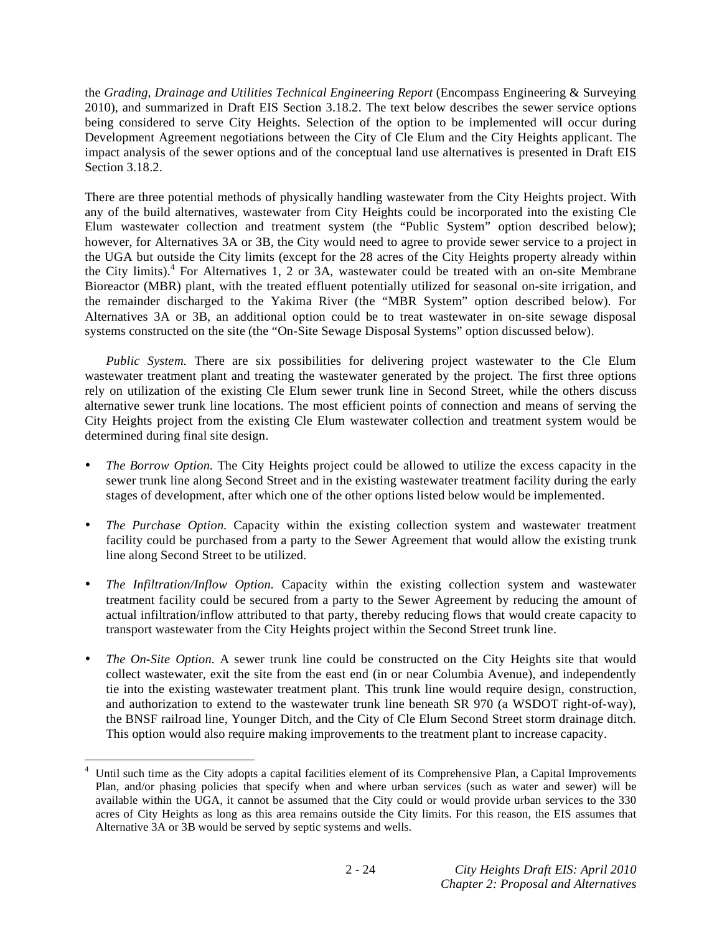the *Grading, Drainage and Utilities Technical Engineering Report* (Encompass Engineering & Surveying 2010), and summarized in Draft EIS Section 3.18.2. The text below describes the sewer service options being considered to serve City Heights. Selection of the option to be implemented will occur during Development Agreement negotiations between the City of Cle Elum and the City Heights applicant. The impact analysis of the sewer options and of the conceptual land use alternatives is presented in Draft EIS Section 3.18.2.

There are three potential methods of physically handling wastewater from the City Heights project. With any of the build alternatives, wastewater from City Heights could be incorporated into the existing Cle Elum wastewater collection and treatment system (the "Public System" option described below); however, for Alternatives 3A or 3B, the City would need to agree to provide sewer service to a project in the UGA but outside the City limits (except for the 28 acres of the City Heights property already within the City limits).<sup>4</sup> For Alternatives 1, 2 or 3A, wastewater could be treated with an on-site Membrane Bioreactor (MBR) plant, with the treated effluent potentially utilized for seasonal on-site irrigation, and the remainder discharged to the Yakima River (the "MBR System" option described below). For Alternatives 3A or 3B, an additional option could be to treat wastewater in on-site sewage disposal systems constructed on the site (the "On-Site Sewage Disposal Systems" option discussed below).

*Public System.* There are six possibilities for delivering project wastewater to the Cle Elum wastewater treatment plant and treating the wastewater generated by the project. The first three options rely on utilization of the existing Cle Elum sewer trunk line in Second Street, while the others discuss alternative sewer trunk line locations. The most efficient points of connection and means of serving the City Heights project from the existing Cle Elum wastewater collection and treatment system would be determined during final site design.

- *The Borrow Option.* The City Heights project could be allowed to utilize the excess capacity in the sewer trunk line along Second Street and in the existing wastewater treatment facility during the early stages of development, after which one of the other options listed below would be implemented.
- *The Purchase Option.* Capacity within the existing collection system and wastewater treatment facility could be purchased from a party to the Sewer Agreement that would allow the existing trunk line along Second Street to be utilized.
- *The Infiltration/Inflow Option.* Capacity within the existing collection system and wastewater treatment facility could be secured from a party to the Sewer Agreement by reducing the amount of actual infiltration/inflow attributed to that party, thereby reducing flows that would create capacity to transport wastewater from the City Heights project within the Second Street trunk line.
- *The On-Site Option.* A sewer trunk line could be constructed on the City Heights site that would collect wastewater, exit the site from the east end (in or near Columbia Avenue), and independently tie into the existing wastewater treatment plant. This trunk line would require design, construction, and authorization to extend to the wastewater trunk line beneath SR 970 (a WSDOT right-of-way), the BNSF railroad line, Younger Ditch, and the City of Cle Elum Second Street storm drainage ditch. This option would also require making improvements to the treatment plant to increase capacity.

-

<sup>4</sup> Until such time as the City adopts a capital facilities element of its Comprehensive Plan, a Capital Improvements Plan, and/or phasing policies that specify when and where urban services (such as water and sewer) will be available within the UGA, it cannot be assumed that the City could or would provide urban services to the 330 acres of City Heights as long as this area remains outside the City limits. For this reason, the EIS assumes that Alternative 3A or 3B would be served by septic systems and wells.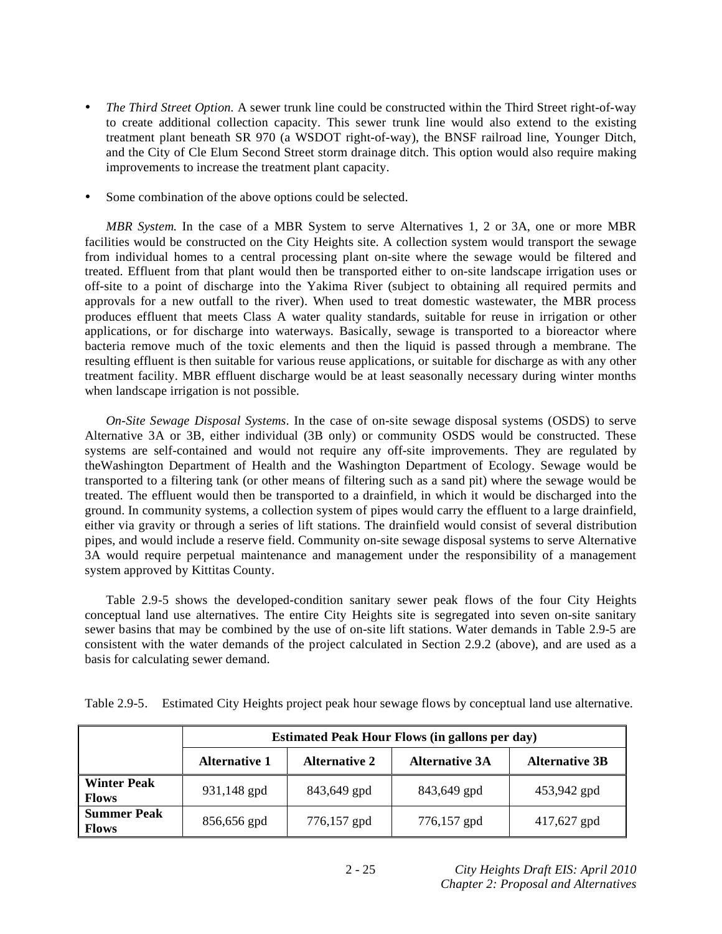- *The Third Street Option.* A sewer trunk line could be constructed within the Third Street right-of-way to create additional collection capacity. This sewer trunk line would also extend to the existing treatment plant beneath SR 970 (a WSDOT right-of-way), the BNSF railroad line, Younger Ditch, and the City of Cle Elum Second Street storm drainage ditch. This option would also require making improvements to increase the treatment plant capacity.
- Some combination of the above options could be selected.

*MBR System.* In the case of a MBR System to serve Alternatives 1, 2 or 3A, one or more MBR facilities would be constructed on the City Heights site. A collection system would transport the sewage from individual homes to a central processing plant on-site where the sewage would be filtered and treated. Effluent from that plant would then be transported either to on-site landscape irrigation uses or off-site to a point of discharge into the Yakima River (subject to obtaining all required permits and approvals for a new outfall to the river). When used to treat domestic wastewater, the MBR process produces effluent that meets Class A water quality standards, suitable for reuse in irrigation or other applications, or for discharge into waterways. Basically, sewage is transported to a bioreactor where bacteria remove much of the toxic elements and then the liquid is passed through a membrane. The resulting effluent is then suitable for various reuse applications, or suitable for discharge as with any other treatment facility. MBR effluent discharge would be at least seasonally necessary during winter months when landscape irrigation is not possible.

*On-Site Sewage Disposal Systems.* In the case of on-site sewage disposal systems (OSDS) to serve Alternative 3A or 3B, either individual (3B only) or community OSDS would be constructed. These systems are self-contained and would not require any off-site improvements. They are regulated by theWashington Department of Health and the Washington Department of Ecology. Sewage would be transported to a filtering tank (or other means of filtering such as a sand pit) where the sewage would be treated. The effluent would then be transported to a drainfield, in which it would be discharged into the ground. In community systems, a collection system of pipes would carry the effluent to a large drainfield, either via gravity or through a series of lift stations. The drainfield would consist of several distribution pipes, and would include a reserve field. Community on-site sewage disposal systems to serve Alternative 3A would require perpetual maintenance and management under the responsibility of a management system approved by Kittitas County.

 Table 2.9-5 shows the developed-condition sanitary sewer peak flows of the four City Heights conceptual land use alternatives. The entire City Heights site is segregated into seven on-site sanitary sewer basins that may be combined by the use of on-site lift stations. Water demands in Table 2.9-5 are consistent with the water demands of the project calculated in Section 2.9.2 (above), and are used as a basis for calculating sewer demand.

Table 2.9-5. Estimated City Heights project peak hour sewage flows by conceptual land use alternative.

|                                    | <b>Estimated Peak Hour Flows (in gallons per day)</b>                                          |             |             |             |  |
|------------------------------------|------------------------------------------------------------------------------------------------|-------------|-------------|-------------|--|
|                                    | <b>Alternative 2</b><br><b>Alternative 3B</b><br><b>Alternative 1</b><br><b>Alternative 3A</b> |             |             |             |  |
| <b>Winter Peak</b><br><b>Flows</b> | 931,148 gpd                                                                                    | 843,649 gpd | 843,649 gpd | 453,942 gpd |  |
| <b>Summer Peak</b><br><b>Flows</b> | 856,656 gpd                                                                                    | 776,157 gpd | 776,157 gpd | 417,627 gpd |  |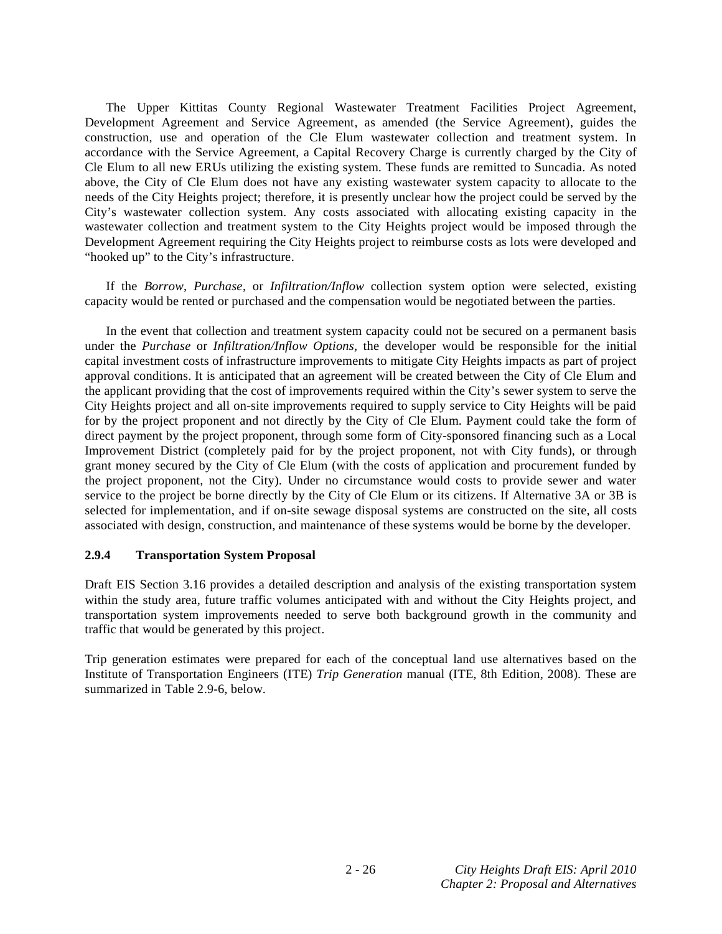The Upper Kittitas County Regional Wastewater Treatment Facilities Project Agreement, Development Agreement and Service Agreement, as amended (the Service Agreement), guides the construction, use and operation of the Cle Elum wastewater collection and treatment system. In accordance with the Service Agreement, a Capital Recovery Charge is currently charged by the City of Cle Elum to all new ERUs utilizing the existing system. These funds are remitted to Suncadia. As noted above, the City of Cle Elum does not have any existing wastewater system capacity to allocate to the needs of the City Heights project; therefore, it is presently unclear how the project could be served by the City's wastewater collection system. Any costs associated with allocating existing capacity in the wastewater collection and treatment system to the City Heights project would be imposed through the Development Agreement requiring the City Heights project to reimburse costs as lots were developed and "hooked up" to the City's infrastructure.

 If the *Borrow*, *Purchase*, or *Infiltration/Inflow* collection system option were selected, existing capacity would be rented or purchased and the compensation would be negotiated between the parties.

 In the event that collection and treatment system capacity could not be secured on a permanent basis under the *Purchase* or *Infiltration/Inflow Options*, the developer would be responsible for the initial capital investment costs of infrastructure improvements to mitigate City Heights impacts as part of project approval conditions. It is anticipated that an agreement will be created between the City of Cle Elum and the applicant providing that the cost of improvements required within the City's sewer system to serve the City Heights project and all on-site improvements required to supply service to City Heights will be paid for by the project proponent and not directly by the City of Cle Elum. Payment could take the form of direct payment by the project proponent, through some form of City-sponsored financing such as a Local Improvement District (completely paid for by the project proponent, not with City funds), or through grant money secured by the City of Cle Elum (with the costs of application and procurement funded by the project proponent, not the City). Under no circumstance would costs to provide sewer and water service to the project be borne directly by the City of Cle Elum or its citizens. If Alternative 3A or 3B is selected for implementation, and if on-site sewage disposal systems are constructed on the site, all costs associated with design, construction, and maintenance of these systems would be borne by the developer.

#### **2.9.4 Transportation System Proposal**

Draft EIS Section 3.16 provides a detailed description and analysis of the existing transportation system within the study area, future traffic volumes anticipated with and without the City Heights project, and transportation system improvements needed to serve both background growth in the community and traffic that would be generated by this project.

Trip generation estimates were prepared for each of the conceptual land use alternatives based on the Institute of Transportation Engineers (ITE) *Trip Generation* manual (ITE, 8th Edition, 2008). These are summarized in Table 2.9-6, below.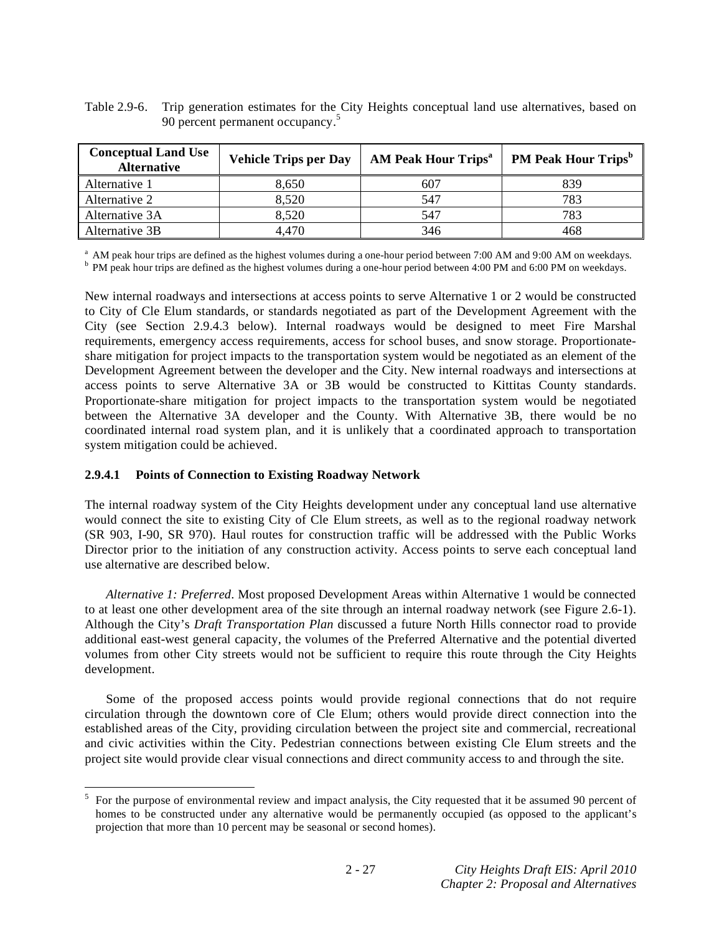Table 2.9-6. Trip generation estimates for the City Heights conceptual land use alternatives, based on 90 percent permanent occupancy.<sup>5</sup>

| <b>Conceptual Land Use</b><br><b>Alternative</b> | <b>Vehicle Trips per Day</b> | <b>AM Peak Hour Trips<sup>a</sup></b> | <b>PM Peak Hour Trips</b> <sup>b</sup> |
|--------------------------------------------------|------------------------------|---------------------------------------|----------------------------------------|
| Alternative 1                                    | 8,650                        | 607                                   | 839                                    |
| Alternative 2                                    | 8,520                        | 547                                   | 783                                    |
| Alternative 3A                                   | 8,520                        | 547                                   | 783                                    |
| Alternative 3B                                   | 4,470                        | 346                                   |                                        |

<sup>a</sup> AM peak hour trips are defined as the highest volumes during a one-hour period between 7:00 AM and 9:00 AM on weekdays.

<sup>b</sup> PM peak hour trips are defined as the highest volumes during a one-hour period between 4:00 PM and 6:00 PM on weekdays.

New internal roadways and intersections at access points to serve Alternative 1 or 2 would be constructed to City of Cle Elum standards, or standards negotiated as part of the Development Agreement with the City (see Section 2.9.4.3 below). Internal roadways would be designed to meet Fire Marshal requirements, emergency access requirements, access for school buses, and snow storage. Proportionateshare mitigation for project impacts to the transportation system would be negotiated as an element of the Development Agreement between the developer and the City. New internal roadways and intersections at access points to serve Alternative 3A or 3B would be constructed to Kittitas County standards. Proportionate-share mitigation for project impacts to the transportation system would be negotiated between the Alternative 3A developer and the County. With Alternative 3B, there would be no coordinated internal road system plan, and it is unlikely that a coordinated approach to transportation system mitigation could be achieved.

#### **2.9.4.1 Points of Connection to Existing Roadway Network**

The internal roadway system of the City Heights development under any conceptual land use alternative would connect the site to existing City of Cle Elum streets, as well as to the regional roadway network (SR 903, I-90, SR 970). Haul routes for construction traffic will be addressed with the Public Works Director prior to the initiation of any construction activity. Access points to serve each conceptual land use alternative are described below.

*Alternative 1: Preferred*. Most proposed Development Areas within Alternative 1 would be connected to at least one other development area of the site through an internal roadway network (see Figure 2.6-1). Although the City's *Draft Transportation Plan* discussed a future North Hills connector road to provide additional east-west general capacity, the volumes of the Preferred Alternative and the potential diverted volumes from other City streets would not be sufficient to require this route through the City Heights development.

 Some of the proposed access points would provide regional connections that do not require circulation through the downtown core of Cle Elum; others would provide direct connection into the established areas of the City, providing circulation between the project site and commercial, recreational and civic activities within the City. Pedestrian connections between existing Cle Elum streets and the project site would provide clear visual connections and direct community access to and through the site.

<sup>&</sup>lt;sup>5</sup> For the purpose of environmental review and impact analysis, the City requested that it be assumed 90 percent of homes to be constructed under any alternative would be permanently occupied (as opposed to the applicant's projection that more than 10 percent may be seasonal or second homes).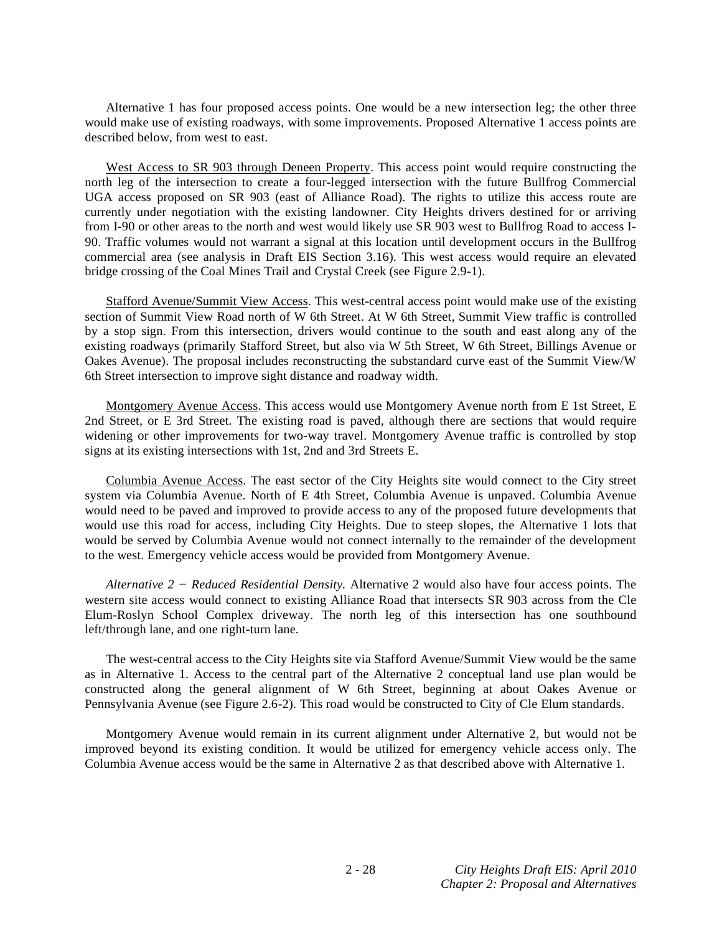Alternative 1 has four proposed access points. One would be a new intersection leg; the other three would make use of existing roadways, with some improvements. Proposed Alternative 1 access points are described below, from west to east.

West Access to SR 903 through Deneen Property. This access point would require constructing the north leg of the intersection to create a four-legged intersection with the future Bullfrog Commercial UGA access proposed on SR 903 (east of Alliance Road). The rights to utilize this access route are currently under negotiation with the existing landowner. City Heights drivers destined for or arriving from I-90 or other areas to the north and west would likely use SR 903 west to Bullfrog Road to access I-90. Traffic volumes would not warrant a signal at this location until development occurs in the Bullfrog commercial area (see analysis in Draft EIS Section 3.16). This west access would require an elevated bridge crossing of the Coal Mines Trail and Crystal Creek (see Figure 2.9-1).

 Stafford Avenue/Summit View Access. This west-central access point would make use of the existing section of Summit View Road north of W 6th Street. At W 6th Street, Summit View traffic is controlled by a stop sign. From this intersection, drivers would continue to the south and east along any of the existing roadways (primarily Stafford Street, but also via W 5th Street, W 6th Street, Billings Avenue or Oakes Avenue). The proposal includes reconstructing the substandard curve east of the Summit View/W 6th Street intersection to improve sight distance and roadway width.

 Montgomery Avenue Access. This access would use Montgomery Avenue north from E 1st Street, E 2nd Street, or E 3rd Street. The existing road is paved, although there are sections that would require widening or other improvements for two-way travel. Montgomery Avenue traffic is controlled by stop signs at its existing intersections with 1st, 2nd and 3rd Streets E.

 Columbia Avenue Access. The east sector of the City Heights site would connect to the City street system via Columbia Avenue. North of E 4th Street, Columbia Avenue is unpaved. Columbia Avenue would need to be paved and improved to provide access to any of the proposed future developments that would use this road for access, including City Heights. Due to steep slopes, the Alternative 1 lots that would be served by Columbia Avenue would not connect internally to the remainder of the development to the west. Emergency vehicle access would be provided from Montgomery Avenue.

*Alternative 2 Reduced Residential Density.* Alternative 2 would also have four access points. The western site access would connect to existing Alliance Road that intersects SR 903 across from the Cle Elum-Roslyn School Complex driveway. The north leg of this intersection has one southbound left/through lane, and one right-turn lane.

 The west-central access to the City Heights site via Stafford Avenue/Summit View would be the same as in Alternative 1. Access to the central part of the Alternative 2 conceptual land use plan would be constructed along the general alignment of W 6th Street, beginning at about Oakes Avenue or Pennsylvania Avenue (see Figure 2.6-2). This road would be constructed to City of Cle Elum standards.

 Montgomery Avenue would remain in its current alignment under Alternative 2, but would not be improved beyond its existing condition. It would be utilized for emergency vehicle access only. The Columbia Avenue access would be the same in Alternative 2 as that described above with Alternative 1.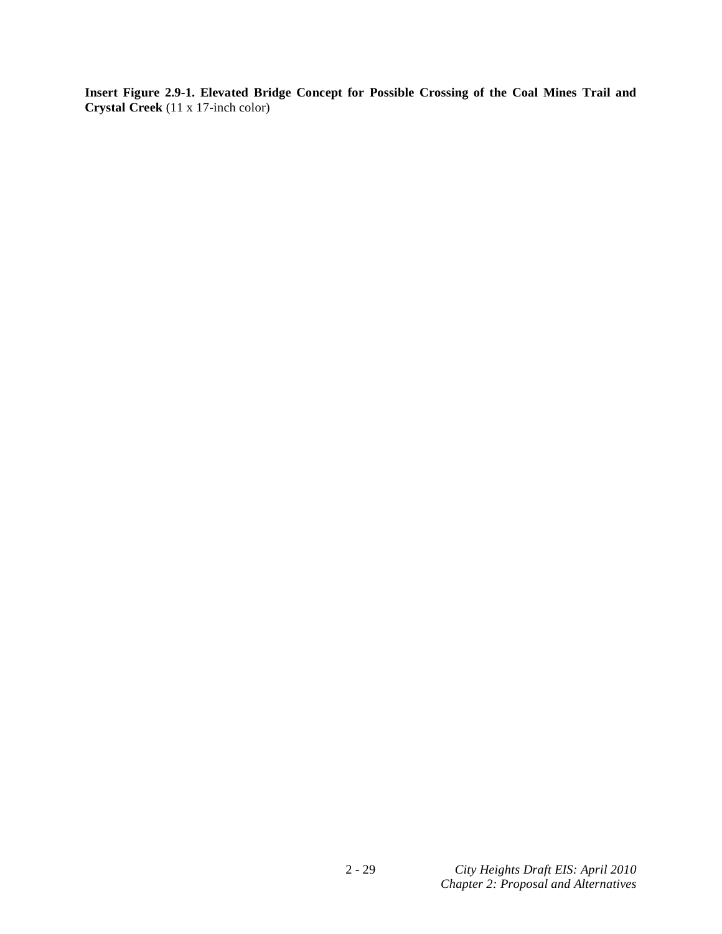**Insert Figure 2.9-1. Elevated Bridge Concept for Possible Crossing of the Coal Mines Trail and Crystal Creek** (11 x 17-inch color)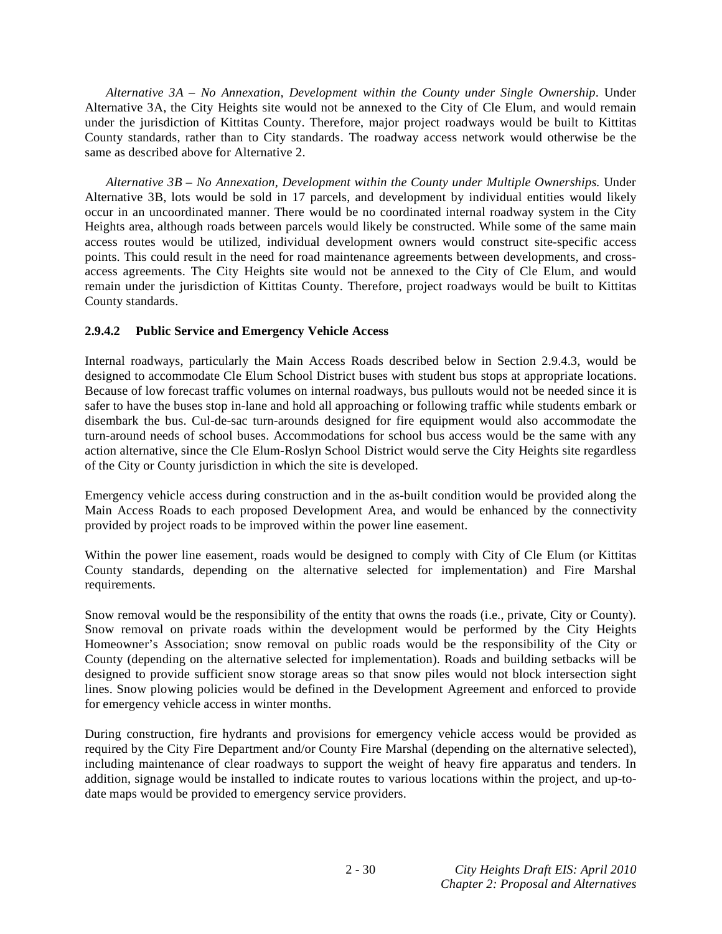*Alternative 3A – No Annexation, Development within the County under Single Ownership*. Under Alternative 3A, the City Heights site would not be annexed to the City of Cle Elum, and would remain under the jurisdiction of Kittitas County. Therefore, major project roadways would be built to Kittitas County standards, rather than to City standards. The roadway access network would otherwise be the same as described above for Alternative 2.

*Alternative 3B – No Annexation, Development within the County under Multiple Ownerships.* Under Alternative 3B, lots would be sold in 17 parcels, and development by individual entities would likely occur in an uncoordinated manner. There would be no coordinated internal roadway system in the City Heights area, although roads between parcels would likely be constructed. While some of the same main access routes would be utilized, individual development owners would construct site-specific access points. This could result in the need for road maintenance agreements between developments, and crossaccess agreements. The City Heights site would not be annexed to the City of Cle Elum, and would remain under the jurisdiction of Kittitas County. Therefore, project roadways would be built to Kittitas County standards.

# **2.9.4.2 Public Service and Emergency Vehicle Access**

Internal roadways, particularly the Main Access Roads described below in Section 2.9.4.3, would be designed to accommodate Cle Elum School District buses with student bus stops at appropriate locations. Because of low forecast traffic volumes on internal roadways, bus pullouts would not be needed since it is safer to have the buses stop in-lane and hold all approaching or following traffic while students embark or disembark the bus. Cul-de-sac turn-arounds designed for fire equipment would also accommodate the turn-around needs of school buses. Accommodations for school bus access would be the same with any action alternative, since the Cle Elum-Roslyn School District would serve the City Heights site regardless of the City or County jurisdiction in which the site is developed.

Emergency vehicle access during construction and in the as-built condition would be provided along the Main Access Roads to each proposed Development Area, and would be enhanced by the connectivity provided by project roads to be improved within the power line easement.

Within the power line easement, roads would be designed to comply with City of Cle Elum (or Kittitas County standards, depending on the alternative selected for implementation) and Fire Marshal requirements.

Snow removal would be the responsibility of the entity that owns the roads (i.e., private, City or County). Snow removal on private roads within the development would be performed by the City Heights Homeowner's Association; snow removal on public roads would be the responsibility of the City or County (depending on the alternative selected for implementation). Roads and building setbacks will be designed to provide sufficient snow storage areas so that snow piles would not block intersection sight lines. Snow plowing policies would be defined in the Development Agreement and enforced to provide for emergency vehicle access in winter months.

During construction, fire hydrants and provisions for emergency vehicle access would be provided as required by the City Fire Department and/or County Fire Marshal (depending on the alternative selected), including maintenance of clear roadways to support the weight of heavy fire apparatus and tenders. In addition, signage would be installed to indicate routes to various locations within the project, and up-todate maps would be provided to emergency service providers.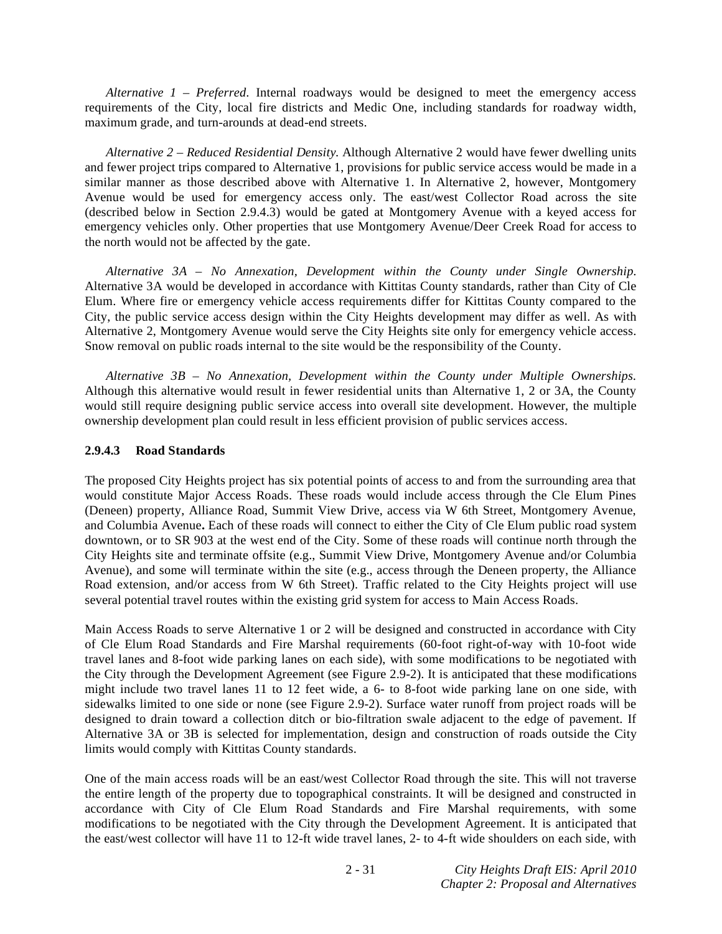*Alternative*  $1 - Preferred$ *.* Internal roadways would be designed to meet the emergency access requirements of the City, local fire districts and Medic One, including standards for roadway width, maximum grade, and turn-arounds at dead-end streets.

*Alternative 2 – Reduced Residential Density.* Although Alternative 2 would have fewer dwelling units and fewer project trips compared to Alternative 1, provisions for public service access would be made in a similar manner as those described above with Alternative 1. In Alternative 2, however, Montgomery Avenue would be used for emergency access only. The east/west Collector Road across the site (described below in Section 2.9.4.3) would be gated at Montgomery Avenue with a keyed access for emergency vehicles only. Other properties that use Montgomery Avenue/Deer Creek Road for access to the north would not be affected by the gate.

*Alternative 3A – No Annexation, Development within the County under Single Ownership.*  Alternative 3A would be developed in accordance with Kittitas County standards, rather than City of Cle Elum. Where fire or emergency vehicle access requirements differ for Kittitas County compared to the City, the public service access design within the City Heights development may differ as well. As with Alternative 2, Montgomery Avenue would serve the City Heights site only for emergency vehicle access. Snow removal on public roads internal to the site would be the responsibility of the County.

*Alternative 3B – No Annexation, Development within the County under Multiple Ownerships.*  Although this alternative would result in fewer residential units than Alternative 1, 2 or 3A, the County would still require designing public service access into overall site development. However, the multiple ownership development plan could result in less efficient provision of public services access.

# **2.9.4.3 Road Standards**

The proposed City Heights project has six potential points of access to and from the surrounding area that would constitute Major Access Roads. These roads would include access through the Cle Elum Pines (Deneen) property, Alliance Road, Summit View Drive, access via W 6th Street, Montgomery Avenue, and Columbia Avenue**.** Each of these roads will connect to either the City of Cle Elum public road system downtown, or to SR 903 at the west end of the City. Some of these roads will continue north through the City Heights site and terminate offsite (e.g., Summit View Drive, Montgomery Avenue and/or Columbia Avenue), and some will terminate within the site (e.g., access through the Deneen property, the Alliance Road extension, and/or access from W 6th Street). Traffic related to the City Heights project will use several potential travel routes within the existing grid system for access to Main Access Roads.

Main Access Roads to serve Alternative 1 or 2 will be designed and constructed in accordance with City of Cle Elum Road Standards and Fire Marshal requirements (60-foot right-of-way with 10-foot wide travel lanes and 8-foot wide parking lanes on each side), with some modifications to be negotiated with the City through the Development Agreement (see Figure 2.9-2). It is anticipated that these modifications might include two travel lanes 11 to 12 feet wide, a 6- to 8-foot wide parking lane on one side, with sidewalks limited to one side or none (see Figure 2.9-2). Surface water runoff from project roads will be designed to drain toward a collection ditch or bio-filtration swale adjacent to the edge of pavement. If Alternative 3A or 3B is selected for implementation, design and construction of roads outside the City limits would comply with Kittitas County standards.

One of the main access roads will be an east/west Collector Road through the site. This will not traverse the entire length of the property due to topographical constraints. It will be designed and constructed in accordance with City of Cle Elum Road Standards and Fire Marshal requirements, with some modifications to be negotiated with the City through the Development Agreement. It is anticipated that the east/west collector will have 11 to 12-ft wide travel lanes, 2- to 4-ft wide shoulders on each side, with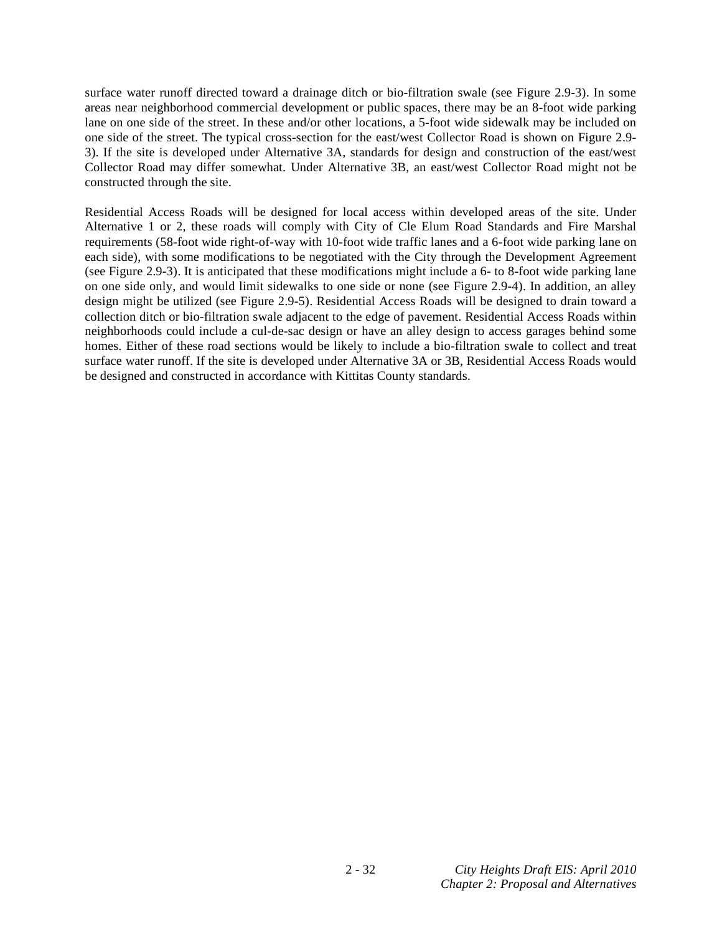surface water runoff directed toward a drainage ditch or bio-filtration swale (see Figure 2.9-3). In some areas near neighborhood commercial development or public spaces, there may be an 8-foot wide parking lane on one side of the street. In these and/or other locations, a 5-foot wide sidewalk may be included on one side of the street. The typical cross-section for the east/west Collector Road is shown on Figure 2.9- 3). If the site is developed under Alternative 3A, standards for design and construction of the east/west Collector Road may differ somewhat. Under Alternative 3B, an east/west Collector Road might not be constructed through the site.

Residential Access Roads will be designed for local access within developed areas of the site. Under Alternative 1 or 2, these roads will comply with City of Cle Elum Road Standards and Fire Marshal requirements (58-foot wide right-of-way with 10-foot wide traffic lanes and a 6-foot wide parking lane on each side), with some modifications to be negotiated with the City through the Development Agreement (see Figure 2.9-3). It is anticipated that these modifications might include a 6- to 8-foot wide parking lane on one side only, and would limit sidewalks to one side or none (see Figure 2.9-4). In addition, an alley design might be utilized (see Figure 2.9-5). Residential Access Roads will be designed to drain toward a collection ditch or bio-filtration swale adjacent to the edge of pavement. Residential Access Roads within neighborhoods could include a cul-de-sac design or have an alley design to access garages behind some homes. Either of these road sections would be likely to include a bio-filtration swale to collect and treat surface water runoff. If the site is developed under Alternative 3A or 3B, Residential Access Roads would be designed and constructed in accordance with Kittitas County standards.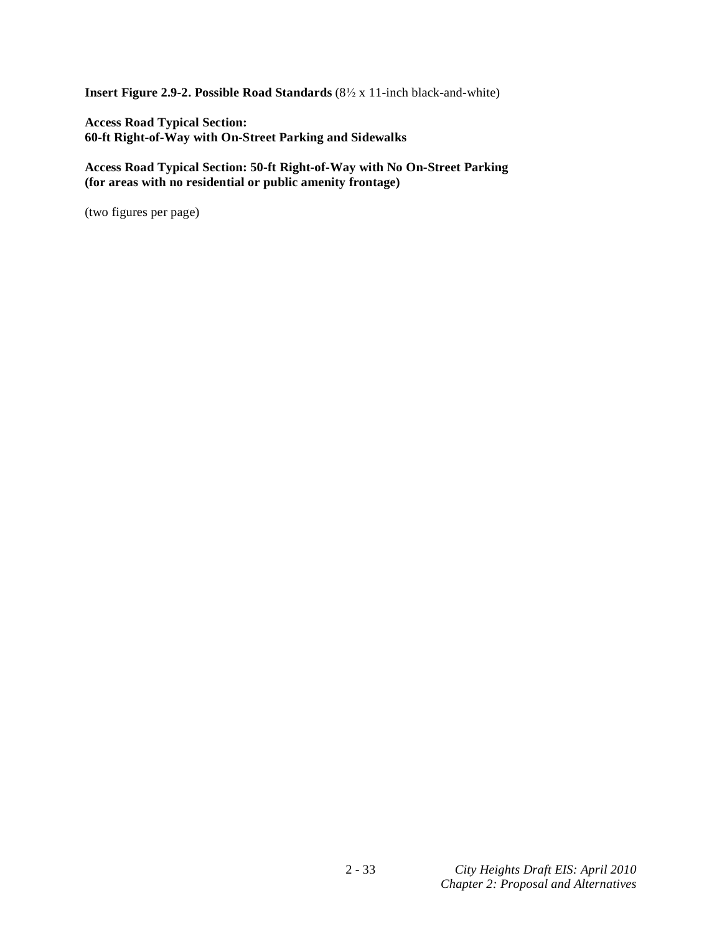**Insert Figure 2.9-2. Possible Road Standards** (8<sup>1</sup>/<sub>2</sub> x 11-inch black-and-white)

**Access Road Typical Section: 60-ft Right-of-Way with On-Street Parking and Sidewalks** 

**Access Road Typical Section: 50-ft Right-of-Way with No On-Street Parking (for areas with no residential or public amenity frontage)**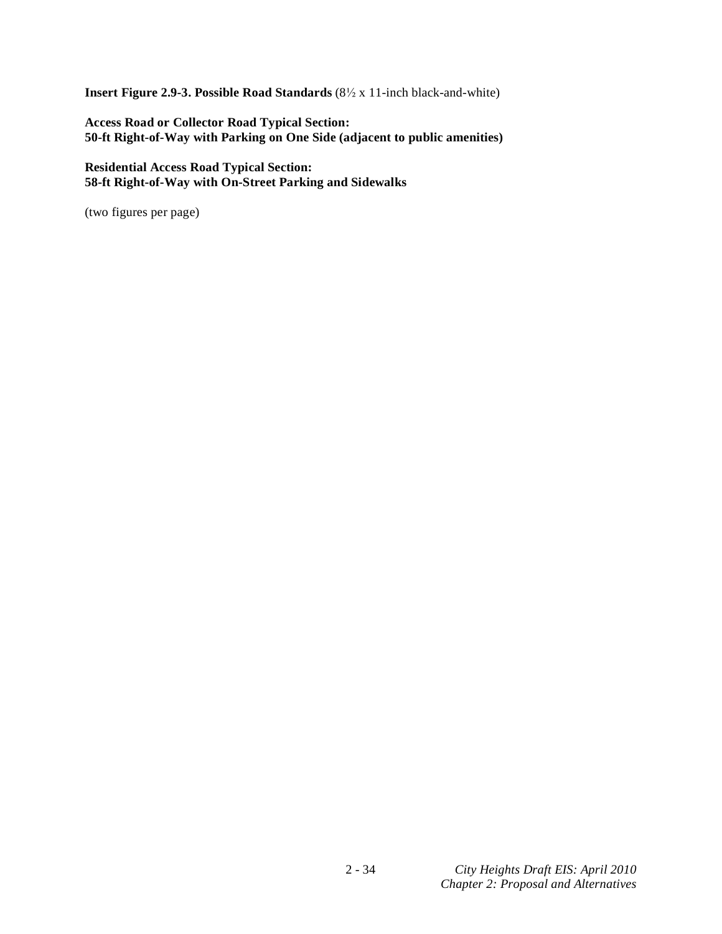**Insert Figure 2.9-3. Possible Road Standards** (8<sup>1</sup>/<sub>2</sub> x 11-inch black-and-white)

**Access Road or Collector Road Typical Section: 50-ft Right-of-Way with Parking on One Side (adjacent to public amenities)** 

**Residential Access Road Typical Section: 58-ft Right-of-Way with On-Street Parking and Sidewalks**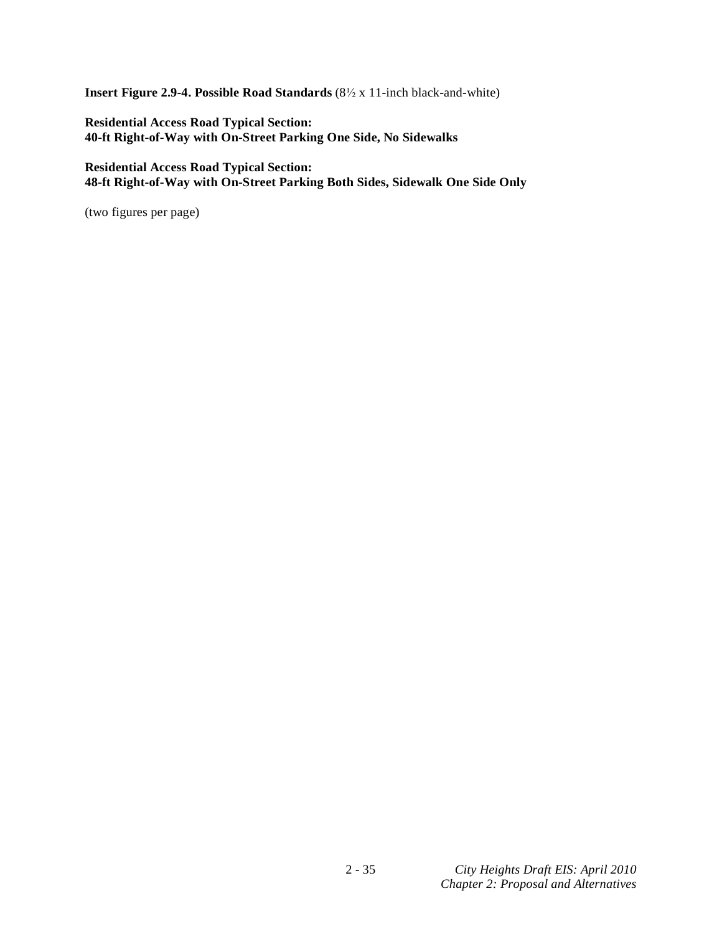**Insert Figure 2.9-4. Possible Road Standards** (8<sup>1</sup>/<sub>2</sub> x 11-inch black-and-white)

**Residential Access Road Typical Section: 40-ft Right-of-Way with On-Street Parking One Side, No Sidewalks** 

**Residential Access Road Typical Section: 48-ft Right-of-Way with On-Street Parking Both Sides, Sidewalk One Side Only**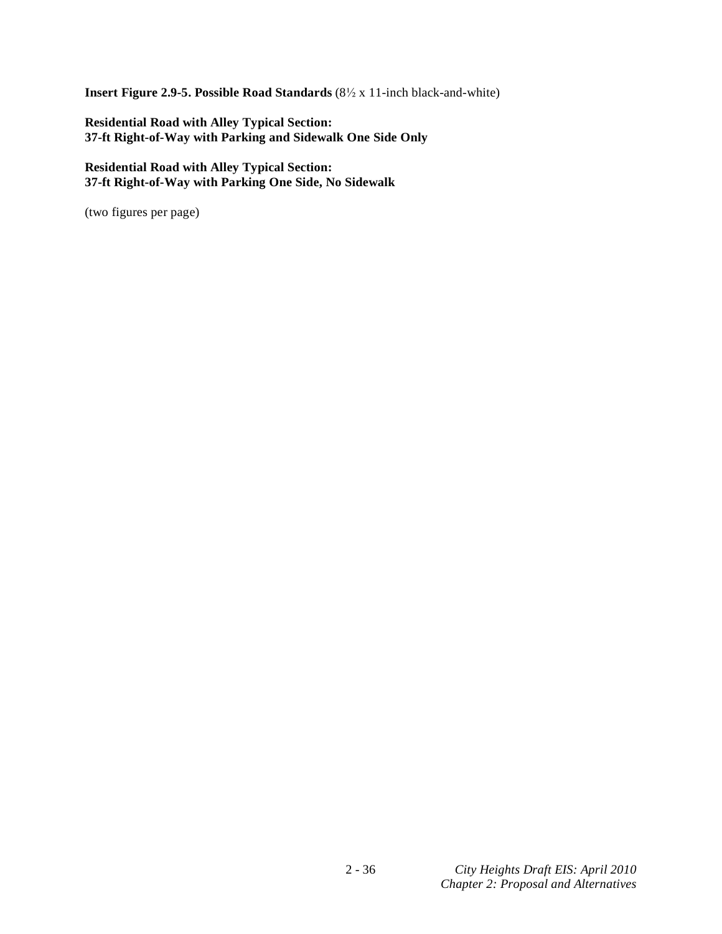**Insert Figure 2.9-5. Possible Road Standards** (8<sup>1</sup>/<sub>2</sub> x 11-inch black-and-white)

**Residential Road with Alley Typical Section: 37-ft Right-of-Way with Parking and Sidewalk One Side Only** 

**Residential Road with Alley Typical Section: 37-ft Right-of-Way with Parking One Side, No Sidewalk**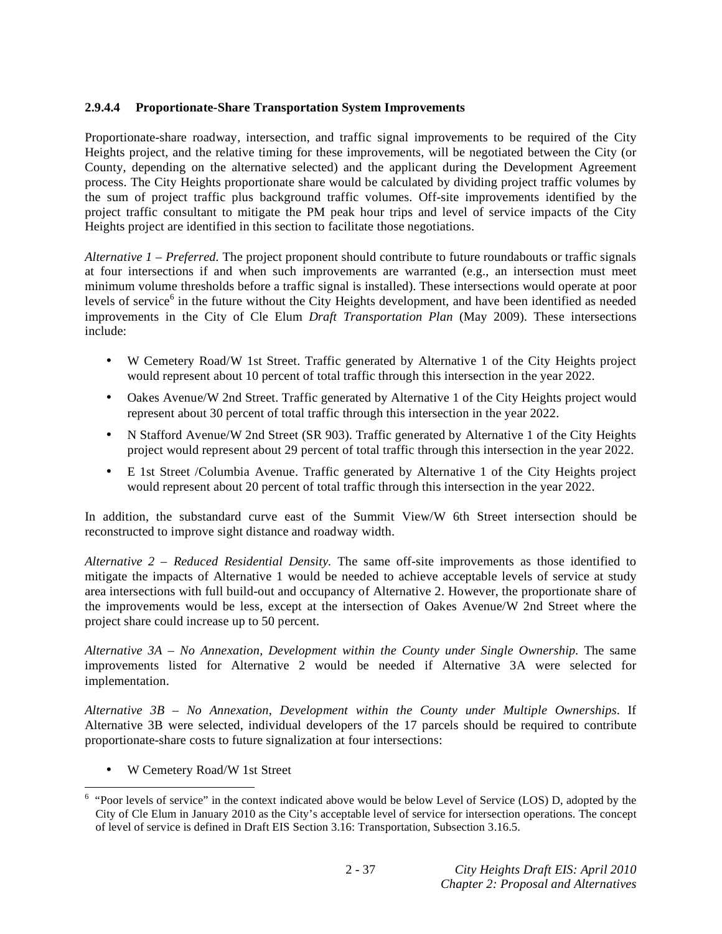# **2.9.4.4 Proportionate-Share Transportation System Improvements**

Proportionate-share roadway, intersection, and traffic signal improvements to be required of the City Heights project, and the relative timing for these improvements, will be negotiated between the City (or County, depending on the alternative selected) and the applicant during the Development Agreement process. The City Heights proportionate share would be calculated by dividing project traffic volumes by the sum of project traffic plus background traffic volumes. Off-site improvements identified by the project traffic consultant to mitigate the PM peak hour trips and level of service impacts of the City Heights project are identified in this section to facilitate those negotiations.

*Alternative 1 – Preferred.* The project proponent should contribute to future roundabouts or traffic signals at four intersections if and when such improvements are warranted (e.g., an intersection must meet minimum volume thresholds before a traffic signal is installed). These intersections would operate at poor levels of service<sup>6</sup> in the future without the City Heights development, and have been identified as needed improvements in the City of Cle Elum *Draft Transportation Plan* (May 2009). These intersections include:

- W Cemetery Road/W 1st Street. Traffic generated by Alternative 1 of the City Heights project would represent about 10 percent of total traffic through this intersection in the year 2022.
- Oakes Avenue/W 2nd Street. Traffic generated by Alternative 1 of the City Heights project would represent about 30 percent of total traffic through this intersection in the year 2022.
- N Stafford Avenue/W 2nd Street (SR 903). Traffic generated by Alternative 1 of the City Heights project would represent about 29 percent of total traffic through this intersection in the year 2022.
- E 1st Street /Columbia Avenue. Traffic generated by Alternative 1 of the City Heights project would represent about 20 percent of total traffic through this intersection in the year 2022.

In addition, the substandard curve east of the Summit View/W 6th Street intersection should be reconstructed to improve sight distance and roadway width.

*Alternative 2 – Reduced Residential Density.* The same off-site improvements as those identified to mitigate the impacts of Alternative 1 would be needed to achieve acceptable levels of service at study area intersections with full build-out and occupancy of Alternative 2. However, the proportionate share of the improvements would be less, except at the intersection of Oakes Avenue/W 2nd Street where the project share could increase up to 50 percent.

*Alternative 3A – No Annexation, Development within the County under Single Ownership.* The same improvements listed for Alternative 2 would be needed if Alternative 3A were selected for implementation.

*Alternative 3B – No Annexation, Development within the County under Multiple Ownerships*. If Alternative 3B were selected, individual developers of the 17 parcels should be required to contribute proportionate-share costs to future signalization at four intersections:

• W Cemetery Road/W 1st Street

 6 "Poor levels of service" in the context indicated above would be below Level of Service (LOS) D, adopted by the City of Cle Elum in January 2010 as the City's acceptable level of service for intersection operations. The concept of level of service is defined in Draft EIS Section 3.16: Transportation, Subsection 3.16.5.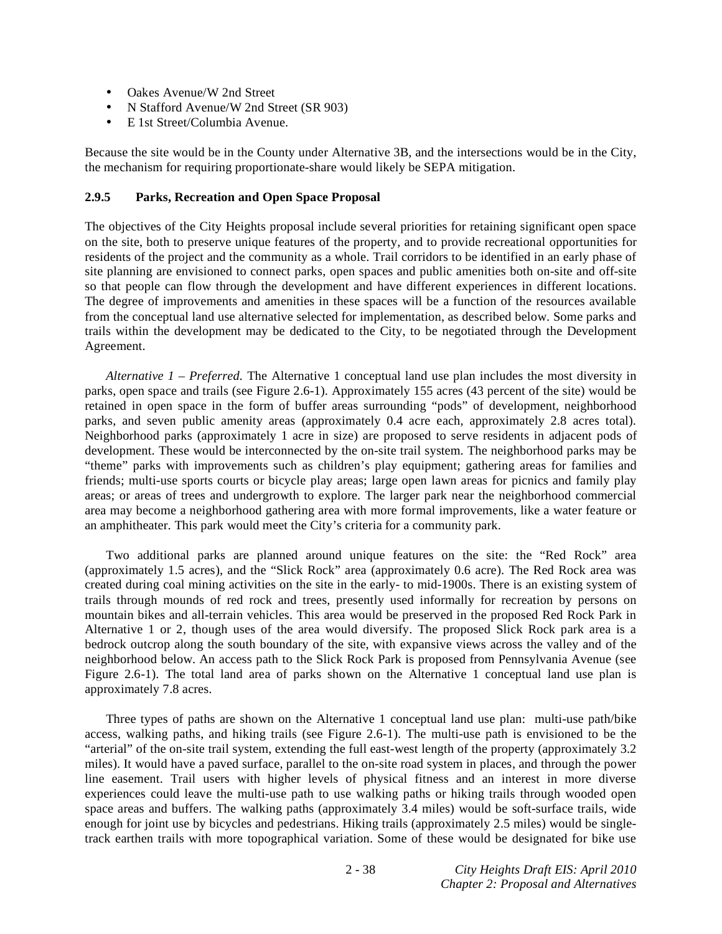- Oakes Avenue/W 2nd Street
- N Stafford Avenue/W 2nd Street (SR 903)
- E 1st Street/Columbia Avenue.

Because the site would be in the County under Alternative 3B, and the intersections would be in the City, the mechanism for requiring proportionate-share would likely be SEPA mitigation.

### **2.9.5 Parks, Recreation and Open Space Proposal**

The objectives of the City Heights proposal include several priorities for retaining significant open space on the site, both to preserve unique features of the property, and to provide recreational opportunities for residents of the project and the community as a whole. Trail corridors to be identified in an early phase of site planning are envisioned to connect parks, open spaces and public amenities both on-site and off-site so that people can flow through the development and have different experiences in different locations. The degree of improvements and amenities in these spaces will be a function of the resources available from the conceptual land use alternative selected for implementation, as described below. Some parks and trails within the development may be dedicated to the City, to be negotiated through the Development Agreement.

*Alternative 1 – Preferred.* The Alternative 1 conceptual land use plan includes the most diversity in parks, open space and trails (see Figure 2.6-1). Approximately 155 acres (43 percent of the site) would be retained in open space in the form of buffer areas surrounding "pods" of development, neighborhood parks, and seven public amenity areas (approximately 0.4 acre each, approximately 2.8 acres total). Neighborhood parks (approximately 1 acre in size) are proposed to serve residents in adjacent pods of development. These would be interconnected by the on-site trail system. The neighborhood parks may be "theme" parks with improvements such as children's play equipment; gathering areas for families and friends; multi-use sports courts or bicycle play areas; large open lawn areas for picnics and family play areas; or areas of trees and undergrowth to explore. The larger park near the neighborhood commercial area may become a neighborhood gathering area with more formal improvements, like a water feature or an amphitheater. This park would meet the City's criteria for a community park.

 Two additional parks are planned around unique features on the site: the "Red Rock" area (approximately 1.5 acres), and the "Slick Rock" area (approximately 0.6 acre). The Red Rock area was created during coal mining activities on the site in the early- to mid-1900s. There is an existing system of trails through mounds of red rock and trees, presently used informally for recreation by persons on mountain bikes and all-terrain vehicles. This area would be preserved in the proposed Red Rock Park in Alternative 1 or 2, though uses of the area would diversify. The proposed Slick Rock park area is a bedrock outcrop along the south boundary of the site, with expansive views across the valley and of the neighborhood below. An access path to the Slick Rock Park is proposed from Pennsylvania Avenue (see Figure 2.6-1). The total land area of parks shown on the Alternative 1 conceptual land use plan is approximately 7.8 acres.

 Three types of paths are shown on the Alternative 1 conceptual land use plan: multi-use path/bike access, walking paths, and hiking trails (see Figure 2.6-1). The multi-use path is envisioned to be the "arterial" of the on-site trail system, extending the full east-west length of the property (approximately 3.2 miles). It would have a paved surface, parallel to the on-site road system in places, and through the power line easement. Trail users with higher levels of physical fitness and an interest in more diverse experiences could leave the multi-use path to use walking paths or hiking trails through wooded open space areas and buffers. The walking paths (approximately 3.4 miles) would be soft-surface trails, wide enough for joint use by bicycles and pedestrians. Hiking trails (approximately 2.5 miles) would be singletrack earthen trails with more topographical variation. Some of these would be designated for bike use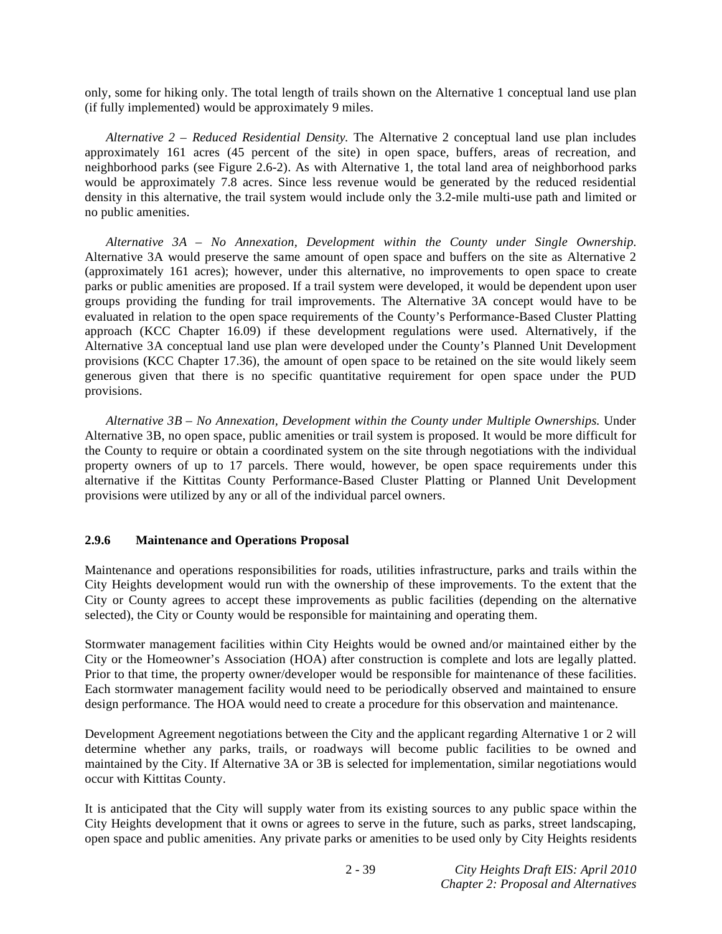only, some for hiking only. The total length of trails shown on the Alternative 1 conceptual land use plan (if fully implemented) would be approximately 9 miles.

*Alternative 2 – Reduced Residential Density.* The Alternative 2 conceptual land use plan includes approximately 161 acres (45 percent of the site) in open space, buffers, areas of recreation, and neighborhood parks (see Figure 2.6-2). As with Alternative 1, the total land area of neighborhood parks would be approximately 7.8 acres. Since less revenue would be generated by the reduced residential density in this alternative, the trail system would include only the 3.2-mile multi-use path and limited or no public amenities.

*Alternative 3A – No Annexation, Development within the County under Single Ownership.*  Alternative 3A would preserve the same amount of open space and buffers on the site as Alternative 2 (approximately 161 acres); however, under this alternative, no improvements to open space to create parks or public amenities are proposed. If a trail system were developed, it would be dependent upon user groups providing the funding for trail improvements. The Alternative 3A concept would have to be evaluated in relation to the open space requirements of the County's Performance-Based Cluster Platting approach (KCC Chapter 16.09) if these development regulations were used. Alternatively, if the Alternative 3A conceptual land use plan were developed under the County's Planned Unit Development provisions (KCC Chapter 17.36), the amount of open space to be retained on the site would likely seem generous given that there is no specific quantitative requirement for open space under the PUD provisions.

*Alternative 3B – No Annexation, Development within the County under Multiple Ownerships.* Under Alternative 3B, no open space, public amenities or trail system is proposed. It would be more difficult for the County to require or obtain a coordinated system on the site through negotiations with the individual property owners of up to 17 parcels. There would, however, be open space requirements under this alternative if the Kittitas County Performance-Based Cluster Platting or Planned Unit Development provisions were utilized by any or all of the individual parcel owners.

### **2.9.6 Maintenance and Operations Proposal**

Maintenance and operations responsibilities for roads, utilities infrastructure, parks and trails within the City Heights development would run with the ownership of these improvements. To the extent that the City or County agrees to accept these improvements as public facilities (depending on the alternative selected), the City or County would be responsible for maintaining and operating them.

Stormwater management facilities within City Heights would be owned and/or maintained either by the City or the Homeowner's Association (HOA) after construction is complete and lots are legally platted. Prior to that time, the property owner/developer would be responsible for maintenance of these facilities. Each stormwater management facility would need to be periodically observed and maintained to ensure design performance. The HOA would need to create a procedure for this observation and maintenance.

Development Agreement negotiations between the City and the applicant regarding Alternative 1 or 2 will determine whether any parks, trails, or roadways will become public facilities to be owned and maintained by the City. If Alternative 3A or 3B is selected for implementation, similar negotiations would occur with Kittitas County.

It is anticipated that the City will supply water from its existing sources to any public space within the City Heights development that it owns or agrees to serve in the future, such as parks, street landscaping, open space and public amenities. Any private parks or amenities to be used only by City Heights residents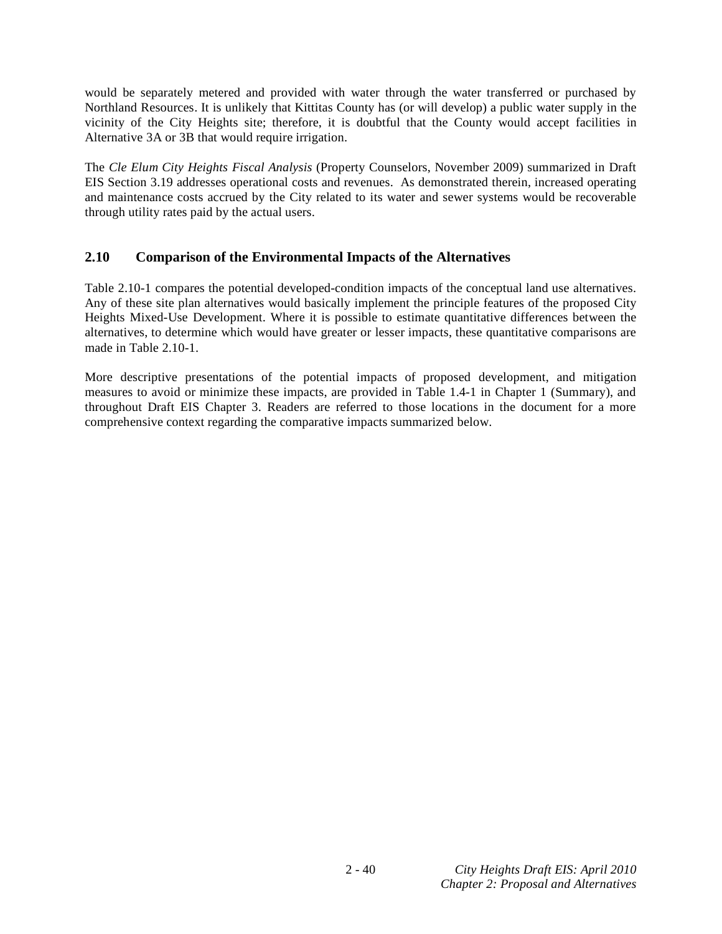would be separately metered and provided with water through the water transferred or purchased by Northland Resources. It is unlikely that Kittitas County has (or will develop) a public water supply in the vicinity of the City Heights site; therefore, it is doubtful that the County would accept facilities in Alternative 3A or 3B that would require irrigation.

The *Cle Elum City Heights Fiscal Analysis* (Property Counselors, November 2009) summarized in Draft EIS Section 3.19 addresses operational costs and revenues. As demonstrated therein, increased operating and maintenance costs accrued by the City related to its water and sewer systems would be recoverable through utility rates paid by the actual users.

# **2.10 Comparison of the Environmental Impacts of the Alternatives**

Table 2.10-1 compares the potential developed-condition impacts of the conceptual land use alternatives. Any of these site plan alternatives would basically implement the principle features of the proposed City Heights Mixed-Use Development. Where it is possible to estimate quantitative differences between the alternatives, to determine which would have greater or lesser impacts, these quantitative comparisons are made in Table 2.10-1.

More descriptive presentations of the potential impacts of proposed development, and mitigation measures to avoid or minimize these impacts, are provided in Table 1.4-1 in Chapter 1 (Summary), and throughout Draft EIS Chapter 3. Readers are referred to those locations in the document for a more comprehensive context regarding the comparative impacts summarized below.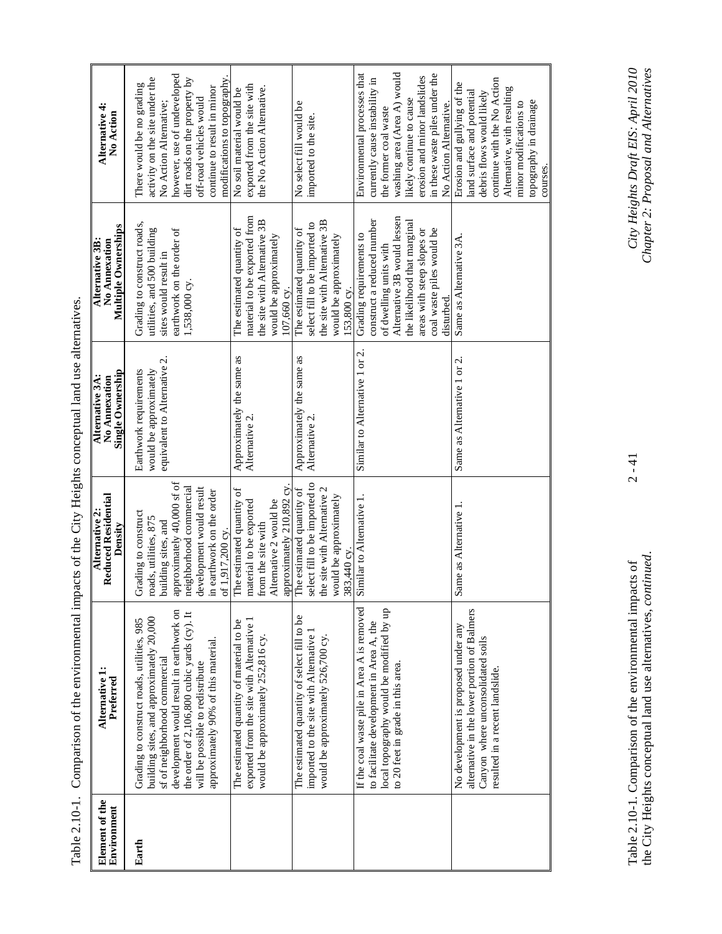| $\frac{1}{2}$<br>$\ddot{\phantom{a}}$<br>i    |
|-----------------------------------------------|
| l<br>l                                        |
|                                               |
| í                                             |
| I<br>Í<br>$\vdots$<br>$\frac{1}{2}$<br>E<br>l |

| Element of the<br>Environment | Alternative 1:<br>Preferred                                                                                                                                                                                                                                                                   | <b>Reduced Residential</b><br>Alternative 2:<br>Density                                                                                                                                                | <b>Single Ownership</b><br>Alternative 3A:<br>No Annexation                      | <b>Multiple Ownerships</b><br>Alternative 3B:<br>No Annexation                                                                                                                                                         | Alternative 4:<br>No Action                                                                                                                                                                                                                     |
|-------------------------------|-----------------------------------------------------------------------------------------------------------------------------------------------------------------------------------------------------------------------------------------------------------------------------------------------|--------------------------------------------------------------------------------------------------------------------------------------------------------------------------------------------------------|----------------------------------------------------------------------------------|------------------------------------------------------------------------------------------------------------------------------------------------------------------------------------------------------------------------|-------------------------------------------------------------------------------------------------------------------------------------------------------------------------------------------------------------------------------------------------|
| Earth                         | development would result in earthwork on<br>the order of 2,106,800 cubic yards (cy). It<br>building sites, and approximately 20,000<br>Grading to construct roads, utilities, 985<br>approximately 90% of this material.<br>sf of neighborhood commercial<br>will be possible to redistribute | pproximately 40,000 sf of<br>eighborhood commercial<br>levelopment would result<br>n earthwork on the order<br>Grading to construct<br>oads, utilities, 875<br>ouilding sites, and<br>of 1,917,200 cy. | equivalent to Alternative 2.<br>Earthwork requirements<br>would be approximately | Grading to construct roads,<br>utilities, and 500 building<br>earthwork on the order of<br>sites would result in<br>1,538,000 су.                                                                                      | however, use of undeveloped<br>modifications to topography.<br>activity on the site under the<br>dirt roads on the property by<br>There would be no grading<br>continue to result in minor<br>off-road vehicles would<br>No Action Alternative; |
|                               | The estimated quantity of material to be<br>exported from the site with Alternative 1<br>would be approximately 252,816 cy.                                                                                                                                                                   | approximately 210,892 cy<br>The estimated quantity of<br>Alternative 2 would be<br>naterial to be exported<br>rom the site with                                                                        | Approximately the same as<br>Alternative 2.                                      | material to be exported from<br>the site with Alternative 3B<br>The estimated quantity of<br>would be approximately<br>10 <u>7,660</u> cy.                                                                             | exported from the site with<br>the No Action Alternative.<br>No soil material would be                                                                                                                                                          |
|                               | The estimated quantity of select fill to be<br>imported to the site with Alternative<br>would be approximately 526,700 cy                                                                                                                                                                     | elect fill to be imported to<br>he site with Alternative 2<br>The estimated quantity of<br>would be approximately<br>83,440 cy.                                                                        | Approximately the same as<br>Alternative 2                                       | the site with Alternative 3B<br>select fill to be imported to<br>The estimated quantity of<br>would be approximately<br>153,800 cy.                                                                                    | No select fill would be<br>imported to the site.                                                                                                                                                                                                |
|                               | If the coal waste pile in Area A is removed<br>local topography would be modified by up<br>to facilitate development in Area A, the<br>to 20 feet in grade in this area.                                                                                                                      | Similar to Alternative 1.                                                                                                                                                                              | Similar to Alternative 1 or 2.                                                   | Alternative 3B would lessen<br>the likelihood that marginal<br>construct a reduced number<br>coal waste piles would be<br>areas with steep slopes or<br>Grading requirements to<br>of dwelling units with<br>disturbed | Environmental processes that<br>washing area (Area A) would<br>in these waste piles under the<br>erosion and minor landslides<br>currently cause instability in<br>likely continue to cause<br>No Action Alternative.<br>the former coal waste  |
|                               | alternative in the lower portion of Balmers<br>No development is proposed under any<br>Canyon where unconsolidated soils<br>resulted in a recent landslide.                                                                                                                                   | Same as Alternative 1.                                                                                                                                                                                 | Same as Alternative 1 or 2.                                                      | Same as Alternative 3A.                                                                                                                                                                                                | continue with the No Action<br>Erosion and gullying of the<br>Alternative, with resulting<br>land surface and potential<br>debris flows would likely<br>topography in drainage<br>minor modifications to<br>courses.                            |

Table 2.10-1. Comparison of the environmental impacts of 2 - 41 *City Heights Draft EIS: April 2010*  the City Heights conceptual land use alternatives, *continued*. *Chapter 2: Proposal and Alternatives*  Table 2.10-1. Comparison of the environmental impacts of<br>the City Heights conceptual land use alternatives, *continued*.

City Heights Draft EIS: April 2010<br>Chapter 2: Proposal and Alternatives

 $2 - 41$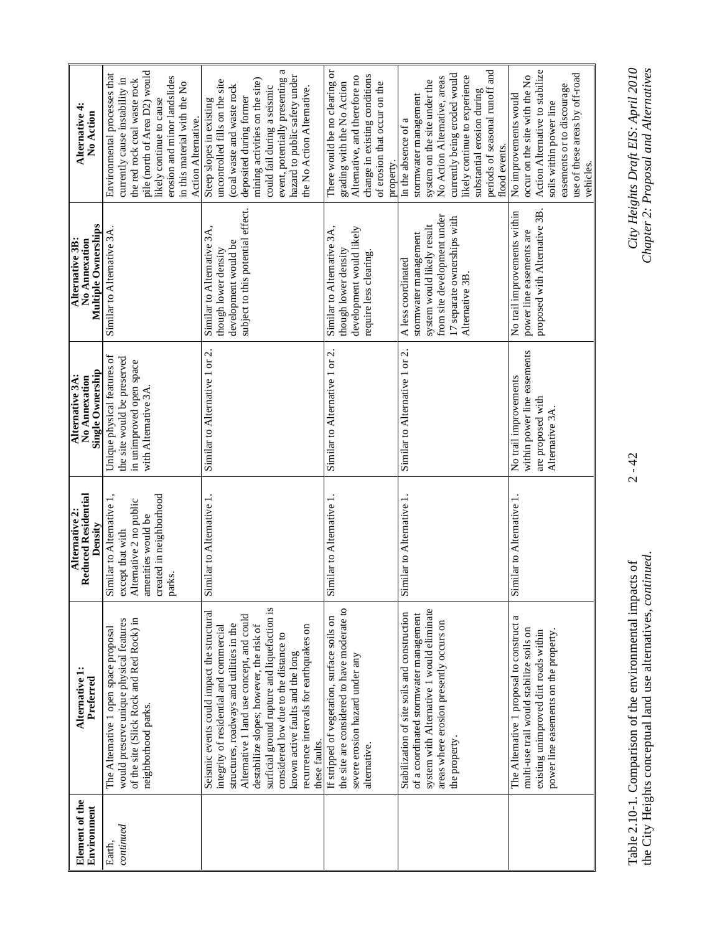| Element of the<br>Environment | Alternative 1:<br>Preferred                                                                                                                                                                                                                                                                                                                                                                                          | Reduced Residential<br>Alternative 2:<br>Density                                                                                    | Single Ownership<br>Alternative 3A:<br>No Annexation                                                          | <b>Multiple Ownerships</b><br>Alternative 3B:<br>No Annexation                                                                                             | Alternative 4:<br>No Action                                                                                                                                                                                                                                                               |
|-------------------------------|----------------------------------------------------------------------------------------------------------------------------------------------------------------------------------------------------------------------------------------------------------------------------------------------------------------------------------------------------------------------------------------------------------------------|-------------------------------------------------------------------------------------------------------------------------------------|---------------------------------------------------------------------------------------------------------------|------------------------------------------------------------------------------------------------------------------------------------------------------------|-------------------------------------------------------------------------------------------------------------------------------------------------------------------------------------------------------------------------------------------------------------------------------------------|
| continued<br>Earth,           | of the site (Slick Rock and Red Rock) in<br>would preserve unique physical features<br>The Alternative 1 open space proposal<br>neighborhood parks.                                                                                                                                                                                                                                                                  | created in neighborhood<br>Similar to Alternative 1,<br>Alternative 2 no public<br>amenities would be<br>except that with<br>parks. | Unique physical features of<br>the site would be preserved<br>in unimproved open space<br>with Alternative 3A | Similar to Alternative 3A.                                                                                                                                 | pile (north of Area D2) would<br>Environmental processes that<br>erosion and minor landslides<br>currently cause instability in<br>the red rock coal waste rock<br>in this material with the No<br>likely continue to cause<br>Action Alternative.                                        |
|                               | surficial ground rupture and liquefaction is<br>Seismic events could impact the structural<br>Alternative 1 land use concept, and could<br>structures, roadways and utilities in the<br>destabilize slopes; however, the risk of<br>recurrence intervals for earthquakes on<br>integrity of residential and commercial<br>considered low due to the distance to<br>known active faults and the long<br>these faults. | Similar to Alternative 1.                                                                                                           | Similar to Alternative 1 or 2.                                                                                | subject to this potential effect.<br>Similar to Alternative 3A,<br>development would be<br>though lower density                                            | a<br>hazard to public safety under<br>event, potentially presenting<br>mining activities on the site)<br>uncontrolled fills on the site<br>(coal waste and waste rock<br>could fail during a seismic<br>the No Action Alternative.<br>deposited during former<br>Steep slopes in existing |
|                               | the site are considered to have moderate to<br>If stripped of vegetation, surface soils on<br>severe erosion hazard under any<br>alternative.                                                                                                                                                                                                                                                                        | Similar to Alternative 1.                                                                                                           | Similar to Alternative 1 or 2.                                                                                | Similar to Alternative 3A,<br>development would likely<br>though lower density<br>require less clearing.                                                   | There would be no clearing or<br>change in existing conditions<br>Alternative, and therefore no<br>grading with the No Action<br>of erosion that occur on the<br>property.                                                                                                                |
|                               | system with Alternative 1 would eliminate<br>Stabilization of site soils and construction<br>of a coordinated stormwater management<br>areas where erosion presently occurs on<br>the property.                                                                                                                                                                                                                      | Similar to Alternative 1.                                                                                                           | Similar to Alternative 1 or 2.                                                                                | from site development under<br>17 separate ownerships with<br>system would likely result<br>stormwater management<br>A less coordinated<br>Alternative 3B. | periods of seasonal runoff and<br>currently being eroded would<br>likely continue to experience<br>No Action Alternative, areas<br>system on the site under the<br>substantial erosion during<br>stormwater management<br>In the absence of a<br>flood events.                            |
|                               | The Alternative 1 proposal to construct a<br>multi-use trail would stabilize soils on<br>power line easements on the property.<br>existing unimproved dirt roads within                                                                                                                                                                                                                                              | Similar to Alternative 1.                                                                                                           | within power line easements<br>No trail improvements<br>are proposed with<br>Alternative 3A.                  | proposed with Alternative 3B.<br>No trail improvements within<br>power line easements are                                                                  | Action Alternative to stabilize<br>use of these areas by off-road<br>occur on the site with the No<br>easements or to discourage<br>No improvements would<br>soils within power line<br>vehicles.                                                                                         |

Table 2.10-1. Comparison of the environmental impacts of 2 - 42 *City Heights Draft EIS: April 2010*  the City Heights conceptual land use alternatives, *continued*. *Chapter 2: Proposal and Alternatives*  Table 2.10-1. Comparison of the environmental impacts of<br>the City Heights conceptual land use alternatives, *continued*.

 $2 - 42$ 

# City Heights Draft EIS: April 2010<br>Chapter 2: Proposal and Alternatives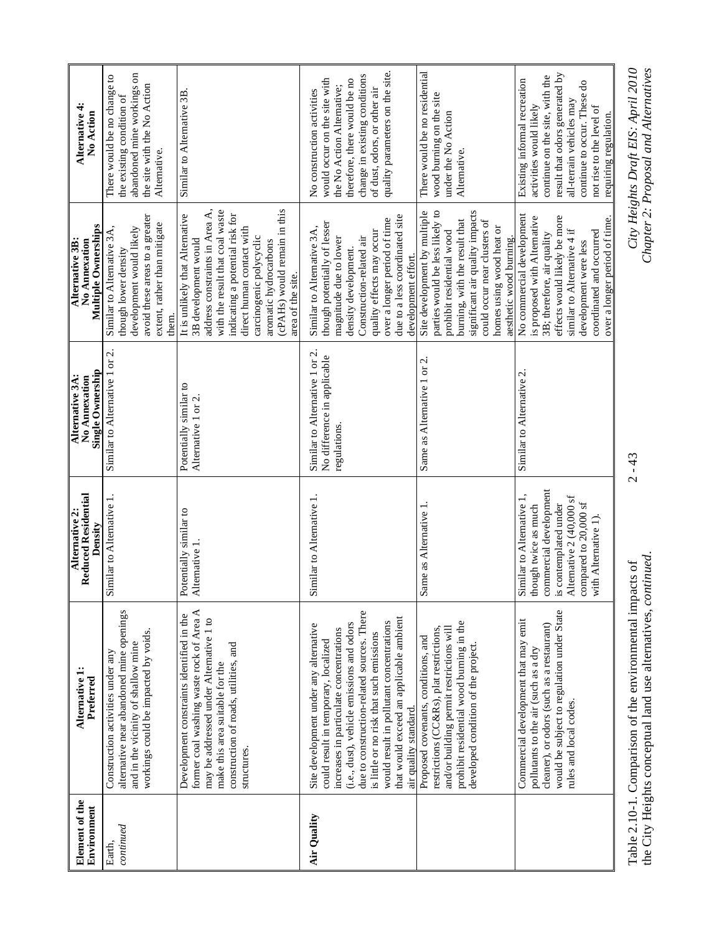| Element of the<br>Environment | Alternative 1:<br>Preferred                                                                                                                                                                                                                                                                                                                                                      | Reduced Residential<br><b>Alternative 2:</b><br>Density                                                                                                                          | Single Ownership<br><b>Alternative 3A:</b><br>No Annexation                   | Multiple Ownerships<br>Alternative 3B:<br>No Annexation                                                                                                                                                                                                                                               | Alternative 4<br>No Action                                                                                                                                                                                                                  |
|-------------------------------|----------------------------------------------------------------------------------------------------------------------------------------------------------------------------------------------------------------------------------------------------------------------------------------------------------------------------------------------------------------------------------|----------------------------------------------------------------------------------------------------------------------------------------------------------------------------------|-------------------------------------------------------------------------------|-------------------------------------------------------------------------------------------------------------------------------------------------------------------------------------------------------------------------------------------------------------------------------------------------------|---------------------------------------------------------------------------------------------------------------------------------------------------------------------------------------------------------------------------------------------|
| continued<br>Earth.           | alternative near abandoned mine openings<br>workings could be impacted by voids.<br>and in the vicinity of shallow mine<br>Construction activities under any                                                                                                                                                                                                                     | Similar to Alternative 1                                                                                                                                                         | Similar to Alternative 1 or 2.                                                | avoid these areas to a greater<br>extent, rather than mitigate<br>development would likely<br>Similar to Alternative 3A<br>though lower density<br>them.                                                                                                                                              | abandoned mine workings on<br>There would be no change to<br>the site with the No Action<br>the existing condition of<br>Alternative.                                                                                                       |
|                               | former coal washing waste rock of Area A<br>Development constraints identified in the<br>may be addressed under Alternative 1 to<br>construction of roads, utilities, and<br>make this area suitable for the<br>structures.                                                                                                                                                      | otentially similar to<br>Alternative 1.                                                                                                                                          | Potentially similar to<br>Alternative 1 or 2.                                 | (cPAHs) would remain in this<br>address constraints in Area A,<br>with the result that coal waste<br>indicating a potential risk for<br>It is unlikely that Alternative<br>direct human contact with<br>carcinogenic polycyclic<br>3B development would<br>aromatic hydrocarbons<br>area of the site. | Similar to Alternative 3B.                                                                                                                                                                                                                  |
| Air Quality                   | due to construction-related sources. There<br>that would exceed an applicable ambient<br>would result in pollutant concentrations<br>(i.e., dust), vehicle emissions and odors<br>Site development under any alternative<br>increases in particulate concentrations<br>is little or no risk that such emissions<br>could result in temporary, localized<br>air quality standard. | Similar to Alternative 1.                                                                                                                                                        | Similar to Alternative 1 or 2.<br>No difference in applicable<br>regulations. | due to a less coordinated site<br>over a longer period of time<br>though potentially of lesser<br>Similar to Alternative 3A,<br>quality effects may occur<br>Construction-related air<br>magnitude due to lower<br>density development.<br>development effort.                                        | quality parameters on the site.<br>change in existing conditions<br>would occur on the site with<br>therefore, there would be no<br>the No Action Alternative;<br>of dust, odors, or other air<br>No construction activities                |
|                               | prohibit residential wood burning in the<br>and/or building permit restrictions will<br>restrictions (CC&Rs), plat restrictions,<br>Proposed covenants, conditions, and<br>developed condition of the project                                                                                                                                                                    | Same as Alternative 1.                                                                                                                                                           | Same as Alternative 1 or 2.                                                   | significant air quality impacts<br>parties would be less likely to<br>Site development by multiple<br>burning, with the result that<br>could occur near clusters of<br>homes using wood heat or<br>prohibit residential wood<br>aesthetic wood burning.                                               | There would be no residential<br>wood burning on the site<br>under the No Action<br>Alternative.                                                                                                                                            |
|                               | would be subject to regulation under State<br>Commercial development that may emit<br>cleaner), or odors (such as a restaurant)<br>pollutants to the air (such as a dry<br>rules and local codes.                                                                                                                                                                                | commercial development<br>Similar to Alternative 1,<br>Alternative 2 (40,000 sf<br>is contemplated under<br>compared to 20,000 sf<br>though twice as much<br>with Alternative 1) | Similar to Alternative 2.                                                     | No commercial development<br>effects would likely be more<br>is proposed with Alternative<br>over a longer period of time.<br>similar to Alternative 4 if<br>coordinated and occurred<br>3B; therefore, air quality<br>development were less                                                          | result that odors generated by<br>continue on the site, with the<br>Existing informal recreation<br>continue to occur. These do<br>all-terrain vehicles may<br>activities would likely<br>not rise to the level of<br>requiring regulation. |
|                               | the City Heights conceptual land use alternatives, continued.<br>Table 2.10-1. Comparison of the environmental impacts of                                                                                                                                                                                                                                                        |                                                                                                                                                                                  | $2 - 43$                                                                      |                                                                                                                                                                                                                                                                                                       | Chapter 2: Proposal and Alternatives<br>City Heights Draft EIS: April 2010                                                                                                                                                                  |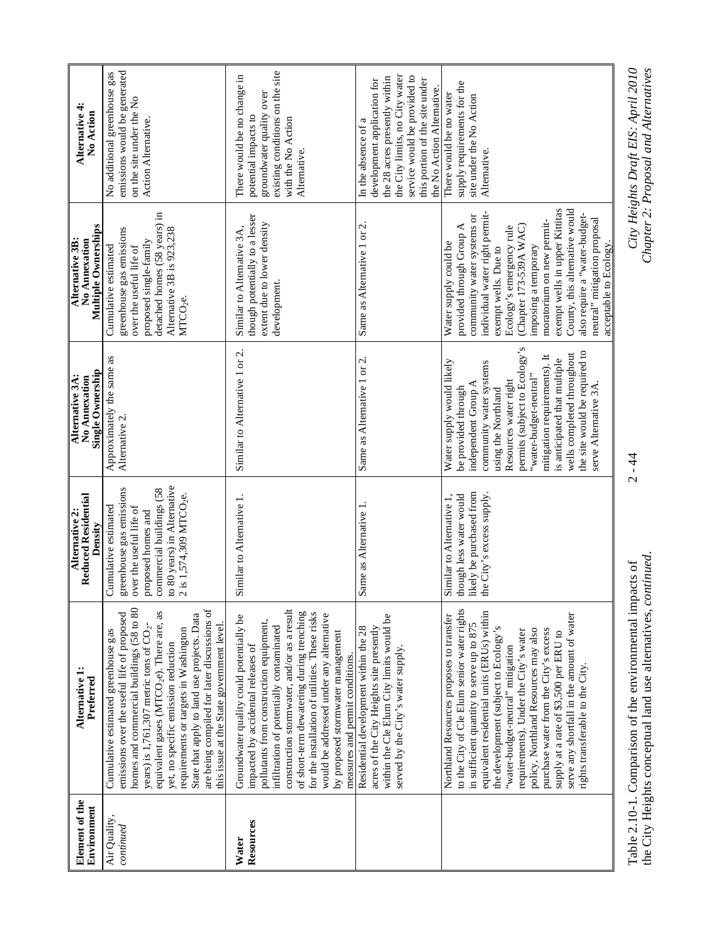| Element of the<br>Environment | Alternative 1:<br>Preferred                                                                                                                                                                                                                                                                                                                                                                                                                                                                                           | <b>Reduced Residential</b><br>Alternative 2:<br>Density                                                                                                                                            | Single Ownership<br>Alternative 3A:<br>No Annexation                                                                                                                                                                                                                                                                                                                  | Multiple Ownerships<br>Alternative 3B:<br>No Annexation                                                                                                                                                                                                                                                                                                                                                            | Alternative 4:<br>No Action                                                                                                                                                                                          |
|-------------------------------|-----------------------------------------------------------------------------------------------------------------------------------------------------------------------------------------------------------------------------------------------------------------------------------------------------------------------------------------------------------------------------------------------------------------------------------------------------------------------------------------------------------------------|----------------------------------------------------------------------------------------------------------------------------------------------------------------------------------------------------|-----------------------------------------------------------------------------------------------------------------------------------------------------------------------------------------------------------------------------------------------------------------------------------------------------------------------------------------------------------------------|--------------------------------------------------------------------------------------------------------------------------------------------------------------------------------------------------------------------------------------------------------------------------------------------------------------------------------------------------------------------------------------------------------------------|----------------------------------------------------------------------------------------------------------------------------------------------------------------------------------------------------------------------|
| Air Quality,<br>continued     | homes and commercial buildings (58 to 80<br>are being compiled for later discussions of<br>equivalent gases (MTCO <sub>2</sub> e). There are, as<br>emissions over the useful life of proposed<br>State that apply to land use projects. Data<br>years) is 1,761,307 metric tons of $CO2$ -<br>this issue at the State government level<br>requirements or targets in Washington<br>Cumulative estimated greenhouse gas<br>yet, no specific emission reduction                                                        | o 80 years) in Alternative<br>commercial buildings (58<br>greenhouse gas emissions<br>2 is 1,574,309 MTCO <sub>2</sub> e.<br>over the useful life of<br>Cumulative estimated<br>proposed homes and | Approximately the same as<br>Alternative 2.                                                                                                                                                                                                                                                                                                                           | detached homes (58 years) in<br>greenhouse gas emissions<br>Alternative 3B is 923,238<br>proposed single-family<br>over the useful life of<br>Cumulative estimated<br>MTCO <sub>2</sub> e.                                                                                                                                                                                                                         | emissions would be generated<br>No additional greenhouse gas<br>on the site under the No<br>Action Alternative.                                                                                                      |
| Resources<br>Water            | construction stormwater, and/or as a result<br>of short-term dewatering during trenching<br>for the installation of utilities. These risks<br>would be addressed under any alternative<br>Groundwater quality could potentially be<br>pollutants from construction equipment,<br>infiltration of potentially contaminated<br>by proposed stormwater management<br>impacted by accidental releases of<br>measures and permit conditions.                                                                               | Similar to Alternative 1.                                                                                                                                                                          | Similar to Alternative 1 or 2.                                                                                                                                                                                                                                                                                                                                        | though potentially to a lesser<br>extent due to lower density<br>Similar to Alternative 3A,<br>development.                                                                                                                                                                                                                                                                                                        | existing conditions on the site<br>There would be no change in<br>groundwater quality over<br>potential impacts to<br>with the No Action<br>Alternative.                                                             |
|                               | within the Cle Elum City limits would be<br>Residential development within the 28<br>acres of the City Heights site presently<br>served by the City's water supply                                                                                                                                                                                                                                                                                                                                                    | Same as Alternative 1                                                                                                                                                                              | Same as Alternative 1 or 2.                                                                                                                                                                                                                                                                                                                                           | Same as Alternative 1 or 2.                                                                                                                                                                                                                                                                                                                                                                                        | the City limits, no City water<br>service would be provided to<br>the 28 acres presently within<br>this portion of the site under<br>development application for<br>the No Action Alternative<br>In the absence of a |
|                               | to the City of Cle Elum senior water rights<br>equivalent residential units (ERUs) within<br>serve any shortfall in the amount of water<br>Northland Resources proposes to transfer<br>in sufficient quantity to serve up to 875<br>the development (subject to Ecology's<br>purchase water from the City's excess<br>policy, Northland Resources may also<br>requirements). Under the City's water<br>supply at a rate of \$3,500 per ERU to<br>"water-budget-neutral" mitigation<br>rights transferable to the City | ikely be purchased from<br>the City's excess supply.<br>hough less water would<br>Similar to Alternative 1,                                                                                        | permits (subject to Ecology's<br>the site would be required to<br>wells completed throughout<br>mitigation requirements). It<br>is anticipated that multiple<br>Water supply would likely<br>community water systems<br>"water-budget-neutral"<br>Resources water right<br>independent Group A<br>serve Alternative 3A.<br>be provided through<br>using the Northland | exempt wells in upper Kittitas<br>County, this alternative would<br>individual water right permit-<br>also require a "water-budget-<br>community water systems or<br>neutral" mitigation proposal<br>moratorium on new permit-<br>provided through Group A<br>(Chapter 173-539A WAC)<br>Ecology's emergency rule<br>Water supply could be<br>acceptable to Ecology<br>imposing a temporary<br>exempt wells. Due to | supply requirements for the<br>There would be no water<br>site under the No Action<br>Alternative.                                                                                                                   |
|                               | Table 2.10-1. Comparison of the environmental impacts of                                                                                                                                                                                                                                                                                                                                                                                                                                                              |                                                                                                                                                                                                    | $2 - 44$                                                                                                                                                                                                                                                                                                                                                              |                                                                                                                                                                                                                                                                                                                                                                                                                    | City Heights Draft EIS: April 2010                                                                                                                                                                                   |

the City Heights conceptual land use alternatives, *continued*. *Chapter 2: Proposal and Alternatives*  A divided to the comparison of the continuum impacts of the City Heights conceptual land use alternatives, *continued*.

Chapter 2: Proposal and Alternatives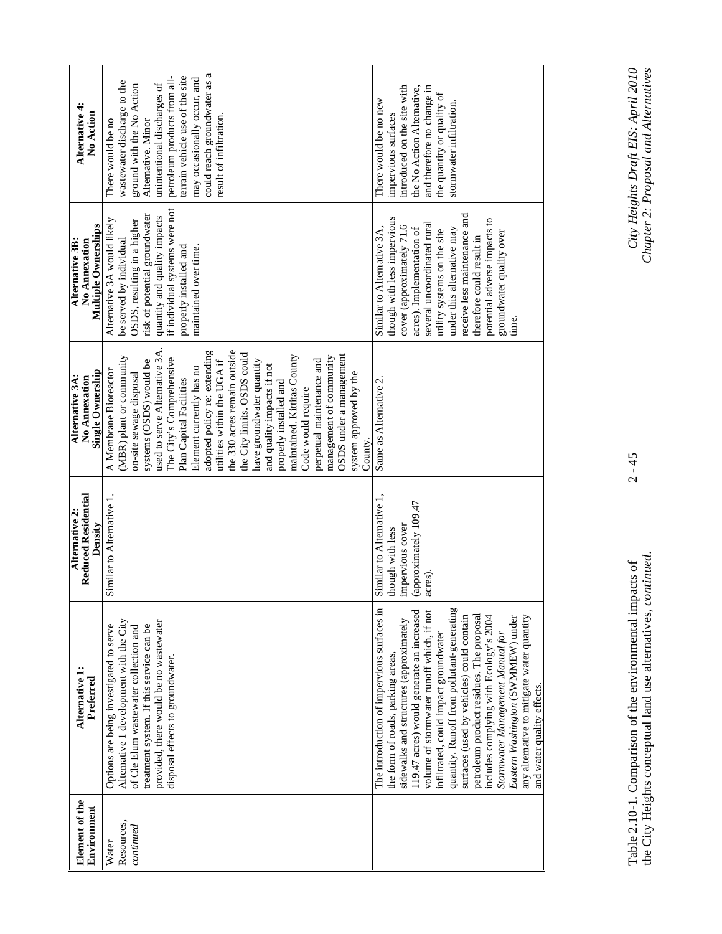| Element of the<br>Environment    | Alternative 1<br>Preferred                                                                                                                                                                                                                                                                                                                                                                                                                                                                                                                                                                          | <b>Reduced Residential</b><br>Alternative 2:<br>Density                                             | Single Ownership<br>Alternative 3A:<br>No Annexation                                                                                                                                                                                                                                                                                                                                                                                                                                                                                                                                                                        | Multiple Ownerships<br>Alternative 3B:<br>No Annexation                                                                                                                                                                                                                                                                                            | Alternative 4:<br>No Action                                                                                                                                                                                                                                                                    |
|----------------------------------|-----------------------------------------------------------------------------------------------------------------------------------------------------------------------------------------------------------------------------------------------------------------------------------------------------------------------------------------------------------------------------------------------------------------------------------------------------------------------------------------------------------------------------------------------------------------------------------------------------|-----------------------------------------------------------------------------------------------------|-----------------------------------------------------------------------------------------------------------------------------------------------------------------------------------------------------------------------------------------------------------------------------------------------------------------------------------------------------------------------------------------------------------------------------------------------------------------------------------------------------------------------------------------------------------------------------------------------------------------------------|----------------------------------------------------------------------------------------------------------------------------------------------------------------------------------------------------------------------------------------------------------------------------------------------------------------------------------------------------|------------------------------------------------------------------------------------------------------------------------------------------------------------------------------------------------------------------------------------------------------------------------------------------------|
| Resources,<br>continued<br>Water | provided, there would be no wastewater<br>Alternative 1 development with the City<br>treatment system. If this service can be<br>Options are being investigated to serve<br>of Cle Elum wastewater collection and<br>disposal effects to groundwater.                                                                                                                                                                                                                                                                                                                                               | Similar to Alternative 1                                                                            | used to serve Alternative 3A.<br>adopted policy re: extending<br>the 330 acres remain outside<br>OSDS under a management<br>the City limits. OSDS could<br>(MBR) plant or community<br>maintained. Kittitas County<br>management of community<br>The City's Comprehensive<br>perpetual maintenance and<br>systems (OSDS) would be<br>utilities within the UGA if<br>have groundwater quantity<br>and quality impacts if not<br>Element currently has no<br>A Membrane Bioreactor<br>on-site sewage disposal<br>system approved by the<br>Plan Capital Facilities<br>properly installed and<br>Code would require<br>County. | if individual systems were not<br>risk of potential groundwater<br>quantity and quality impacts<br>Alternative 3A would likely<br>OSDS, resulting in a higher<br>be served by individual<br>properly installed and<br>maintained over time.                                                                                                        | could reach groundwater as a<br>terrain vehicle use of the site<br>petroleum products from all-<br>may occasionally occur, and<br>wastewater discharge to the<br>ground with the No Action<br>unintentional discharges of<br>result of infiltration.<br>There would be no<br>Altemative. Minor |
|                                  | The introduction of impervious surfaces in<br>quantity. Runoff from pollutant-generating<br>volume of stormwater runoff which, if not<br>119.47 acres) would generate an increased<br>surfaces (used by vehicles) could contain<br>petroleum product residues. The proposal<br>includes complying with Ecology's 2004<br>Eastern Washington (SWMMEW) under<br>any alternative to mitigate water quantity<br>sidewalks and structures (approximately<br>infiltrated, could impact groundwater<br>Stormwater Management Manual for<br>the form of roads, parking areas,<br>and water quality effects. | Similar to Alternative 1,<br>(approximately 109.47<br>impervious cover<br>hough with less<br>acres) | Same as Alternative 2.                                                                                                                                                                                                                                                                                                                                                                                                                                                                                                                                                                                                      | receive less maintenance and<br>though with less impervious<br>potential adverse impacts to<br>several uncoordinated rural<br>cover (approximately 71.6<br>Similar to Alternative 3A,<br>acres). Implementation of<br>under this alternative may<br>utility systems on the site<br>ground water quality over<br>therefore could result in<br>time. | introduced on the site with<br>the No Action Alternative,<br>and therefore no change in<br>the quantity or quality of<br>There would be no new<br>stormwater infiltration.<br>impervious surfaces                                                                                              |

Table 2.10-1. Comparison of the environmental impacts of 2 - 45 *City Heights Draft EIS: April 2010*  the City Heights conceptual land use alternatives, *continued*. *Chapter 2: Proposal and Alternatives*  Table 2.10-1. Comparison of the environmental impacts of<br>the City Heights conceptual land use alternatives, *continued*.

 $2 - 45$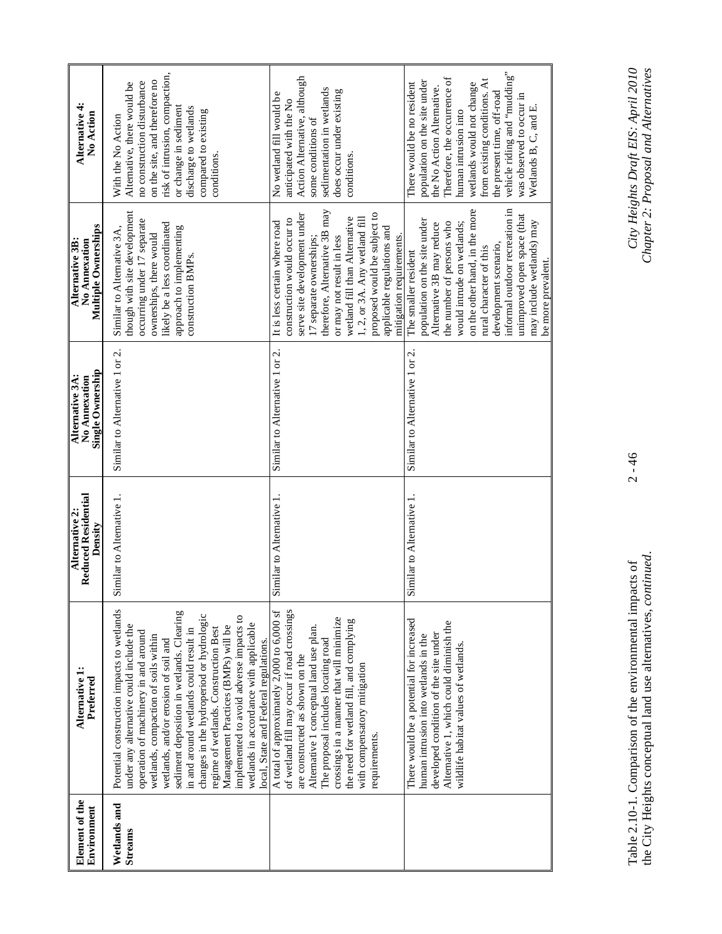| Element of the<br>Environment | Alternative 1:<br>Preferred                                                                                                                                                                                                                                                                                                                                                                                                                                                                                                                                    | <b>Reduced Residential</b><br>Alternative 2:<br>Density | Single Ownership<br>Alternative 3A:<br>No Annexation | Multiple Ownerships<br>Alternative 3B:<br>No Annexation                                                                                                                                                                                                                                                                                               | Alternative 4:<br>No Action                                                                                                                                                                                                                                                                                                      |
|-------------------------------|----------------------------------------------------------------------------------------------------------------------------------------------------------------------------------------------------------------------------------------------------------------------------------------------------------------------------------------------------------------------------------------------------------------------------------------------------------------------------------------------------------------------------------------------------------------|---------------------------------------------------------|------------------------------------------------------|-------------------------------------------------------------------------------------------------------------------------------------------------------------------------------------------------------------------------------------------------------------------------------------------------------------------------------------------------------|----------------------------------------------------------------------------------------------------------------------------------------------------------------------------------------------------------------------------------------------------------------------------------------------------------------------------------|
| Wetlands and<br>Streams       | Potential construction impacts to wetlands<br>sediment deposition in wetlands. Clearing<br>changes in the hydroperiod or hydrologic<br>implemented to avoid adverse impacts to<br>wetlands in accordance with applicable<br>under any alternative could include the<br>Management Practices (BMPs) will be<br>regime of wetlands. Construction Best<br>in and around wetlands could result in<br>operation of machinery in and around<br>wetlands, compaction of soils within<br>local, State and Federal regulations.<br>wetlands, and/or erosion of soil and | Similar to Alternative 1.                               | Similar to Alternative 1 or 2.                       | though with site development<br>occurring under 17 separate<br>likely be a less coordinated<br>approach to implementing<br>Similar to Alternative 3A,<br>ownerships, there would<br>construction BMPs.                                                                                                                                                | risk of intrusion, compaction,<br>on the site, and therefore no<br>no construction disturbance<br>Alternative, there would be<br>or change in sediment<br>discharge to wetlands<br>compared to existing<br>With the No Action<br>conditions.                                                                                     |
|                               | of wetland fill may occur if road crossings<br>A total of approximately 2,000 to 6,000 sf<br>crossings in a manner that will minimize<br>the need for wetland fill, and complying<br>Alternative 1 conceptual land use plan.<br>The proposal includes locating road<br>are constructed as shown on the<br>with compensatory mitigation<br>requirements.                                                                                                                                                                                                        | Similar to Alternative 1.                               | Similar to Alternative 1 or 2.                       | therefore, Alternative 3B may<br>proposed would be subject to<br>serve site development under<br>wetland fill than Alternative<br>1, 2, or 3A. Any wetland fill<br>construction would occur to<br>It is less certain where road<br>applicable regulations and<br>mitigation requirements.<br>or may not result in less<br>17 separate ownerships;     | Action Alternative, although<br>sedimentation in wetlands<br>does occur under existing<br>No wetland fill would be<br>anticipated with the No<br>some conditions of<br>conditions.                                                                                                                                               |
|                               | There would be a potential for increased<br>Alternative 1, which could diminish the<br>developed condition of the site under<br>human intrusion into wetlands in the<br>wildlife habitat values of wetlands.                                                                                                                                                                                                                                                                                                                                                   | Similar to Alternative 1.                               | Similar to Alternative 1 or 2.                       | informal outdoor recreation in<br>on the other hand, in the more<br>unimproved open space (that<br>population on the site under<br>may include wetlands) may<br>the number of persons who<br>would intrude on wetlands;<br>Alternative 3B may reduce<br>development scenario,<br>rural character of this<br>The smaller resident<br>be more prevalent | vehicle riding and "mudding"<br>Therefore, the occurrence of<br>from existing conditions. At<br>population on the site under<br>wetlands would not change<br>There would be no resident<br>the No Action Alternative.<br>the present time, off-road<br>was observed to occur in<br>Wetlands B, C, and E.<br>human intrusion into |

 $2 - 46$ 

Table 2.10-1. Comparison of the environmental impacts of 2 - 46 *City Heights Draft EIS: April 2010*  the City Heights conceptual land use alternatives, *continued*. *Chapter 2: Proposal and Alternatives*  Table 2.10-1. Comparison of the environmental impacts of<br>the City Heights conceptual land use alternatives, *continued*.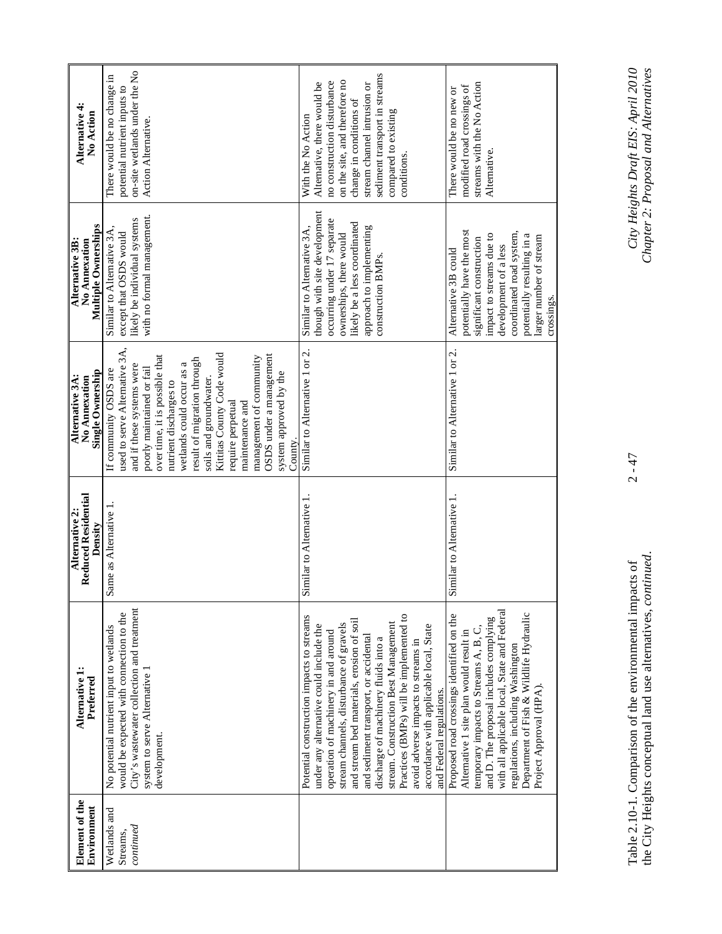| Alternative 4:<br>No Action                                    | on-site wetlands under the No<br>There would be no change in<br>potential nutrient inputs to<br>Action Alternative.                                                                                                                                                                                                                                                                                                                | sediment transport in streams<br>on the site, and therefore no<br>no construction disturbance<br>Alternative, there would be<br>stream channel intrusion or<br>change in conditions of<br>compared to existing<br>With the No Action<br>conditions.                                                                                                                                                                                                                                                    | streams with the No Action<br>modified road crossings of<br>There would be no new or<br>Alternative.                                                                                                                                                                                                                               |
|----------------------------------------------------------------|------------------------------------------------------------------------------------------------------------------------------------------------------------------------------------------------------------------------------------------------------------------------------------------------------------------------------------------------------------------------------------------------------------------------------------|--------------------------------------------------------------------------------------------------------------------------------------------------------------------------------------------------------------------------------------------------------------------------------------------------------------------------------------------------------------------------------------------------------------------------------------------------------------------------------------------------------|------------------------------------------------------------------------------------------------------------------------------------------------------------------------------------------------------------------------------------------------------------------------------------------------------------------------------------|
| <b>Multiple Ownerships</b><br>Alternative 3B:<br>No Annexation | with no formal management.<br>likely be individual systems<br>Similar to Alternative 3A,<br>except that OSDS would                                                                                                                                                                                                                                                                                                                 | though with site development<br>occurring under 17 separate<br>likely be a less coordinated<br>approach to implementing<br>Similar to Alternative 3A,<br>ownerships, there would<br>construction BMPs.                                                                                                                                                                                                                                                                                                 | potentially have the most<br>coordinated road system,<br>impact to streams due to<br>potentially resulting in a<br>larger number of stream<br>significant construction<br>development of a less<br>Alternative 3B could<br>crossings.                                                                                              |
| Single Ownership<br>Alternative 3A:<br>No Annexation           | used to serve Alternative 3A,<br>Kittitas County Code would<br>OSDS under a management<br>over time, it is possible that<br>management of community<br>result of migration through<br>wetlands could occur as a<br>and if these systems were<br>poorly maintained or fail<br>If community OSDS are<br>system approved by the<br>soils and groundwater.<br>nutrient discharges to<br>require perpetual<br>maintenance and<br>County | Similar to Alternative 1 or 2.                                                                                                                                                                                                                                                                                                                                                                                                                                                                         | Similar to Alternative 1 or 2.                                                                                                                                                                                                                                                                                                     |
| <b>Reduced Residential</b><br>Alternative 2:<br>Density        | Same as Alternative                                                                                                                                                                                                                                                                                                                                                                                                                | Similar to Alternative 1.                                                                                                                                                                                                                                                                                                                                                                                                                                                                              | Similar to Alternative 1.                                                                                                                                                                                                                                                                                                          |
| Alternative 1:<br>Preferred                                    | City's wastewater collection and treatment<br>would be expected with connection to the<br>No potential nutrient input to wetlands<br>system to serve Alternative 1<br>development.                                                                                                                                                                                                                                                 | Practices (BMPs) will be implemented to<br>Potential construction impacts to streams<br>and stream bed materials, erosion of soil<br>stream channels, disturbance of gravels<br>stream. Construction Best Management<br>accordance with applicable local, State<br>under any alternative could include the<br>operation of machinery in and around<br>and sediment transport, or accidental<br>discharge of machinery fluids into a<br>avoid adverse impacts to streams in<br>and Federal regulations. | with all applicable local, State and Federal<br>Department of Fish & Wildlife Hydraulic<br>Proposed road crossings identified on the<br>and D. The proposal includes complying<br>temporary impacts to Streams A, B, C,<br>Alternative 1 site plan would result in<br>regulations, including Washington<br>Project Approval (HPA). |
| Element of the<br>Environment                                  | Wetlands and<br>continued<br>Streams,                                                                                                                                                                                                                                                                                                                                                                                              |                                                                                                                                                                                                                                                                                                                                                                                                                                                                                                        |                                                                                                                                                                                                                                                                                                                                    |

 $2 - 47$ 

Table 2.10-1. Comparison of the environmental impacts of 2 - 47 *City Heights Draft EIS: April 2010*  the City Heights conceptual land use alternatives, *continued*. *Chapter 2: Proposal and Alternatives*  Table 2.10-1. Comparison of the environmental impacts of<br>the City Heights conceptual land use alternatives, *continued*.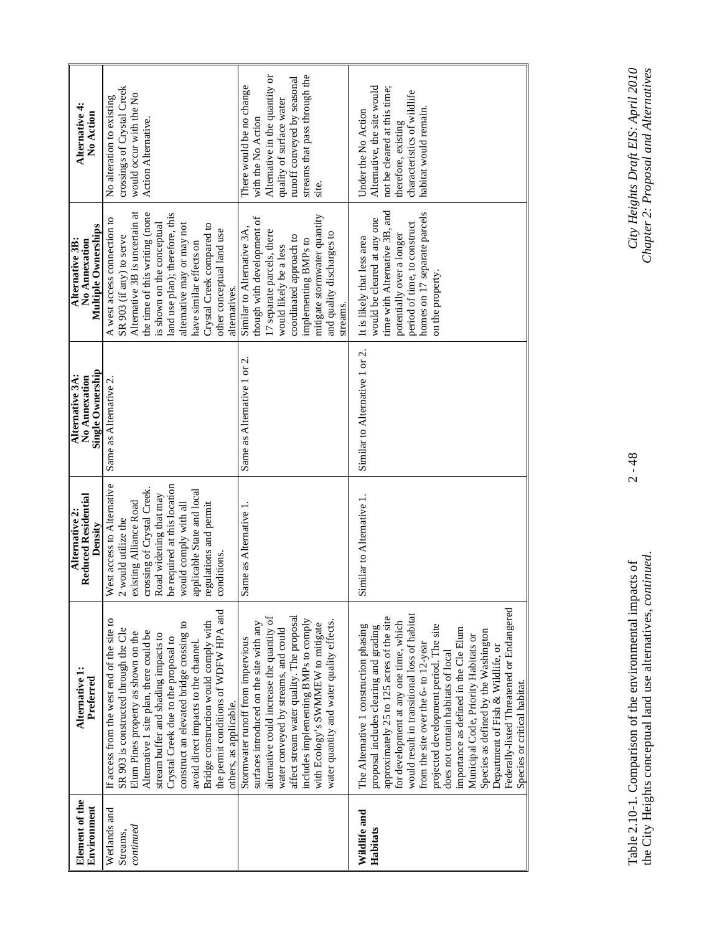| with the No Action<br>Action Alternative.<br>therefore, existing<br>site.<br>time with Alternative 3B, and<br>homes on 17 separate parcels<br>land use plan); therefore, this<br>Alternative 3B is uncertain at<br>the time of this writing (none<br>mitigate stormwater quantity<br>though with development of<br>would be cleared at any one<br>is shown on the conceptual<br>period of time, to construct<br>alternative may or may not<br>Crystal Creek compared to<br>Similar to Alternative 3A,<br>other conceptual land use<br>17 separate parcels, there<br>and quality discharges to<br>potentially over a longer<br>SR 903 (if any) to serve<br>coordinated approach to<br>It is likely that less area<br>implementing BMPs to<br>have similar effects on<br>would likely be a less<br>on the property.<br>alternatives.<br>streams.<br>Similar to Alternative 1 or 2.<br>Same as Alternative 1 or 2.<br>be required at this location<br>crossing of Crystal Creek.<br>applicable State and local<br>Road widening that may<br>Similar to Alternative 1.<br>existing Alliance Road<br>would comply with all<br>Same as Alternative 1.<br>regulations and permit<br>2 would utilize the<br>conditions.<br>Federally-listed Threatened or Endangered<br>the permit conditions of WDFW HPA and<br>would result in transitional loss of habitat<br>alternative could increase the quantity of<br>affect stream water quality. The proposal<br>approximately 25 to 125 acres of the site<br>includes implementing BMPs to comply<br>water quantity and water quality effects.<br>Bridge construction would comply with<br>construct an elevated bridge crossing to<br>surfaces introduced on the site with any<br>for development at any one time, which<br>with Ecology's SWMMEW to mitigate<br>projected development period. The site<br>The Alternative 1 construction phasing<br>proposal includes clearing and grading<br>importance as defined in the Cle Elum<br>SR 903 is constructed through the Cle<br>water conveyed by streams, and could<br>Species as defined by the Washington<br>Alternative 1 site plan, there could be<br>Elum Pines property as shown on the<br>stream buffer and shading impacts to<br>Municipal Code, Priority Habitats or<br>Crystal Creek due to the proposal to<br>Stormwater runoff from impervious<br>avoid direct impacts to the channel.<br>from the site over the 6- to 12-year<br>Department of Fish & Wildlife, or<br>does not contain habitats of local<br>others, as applicable.<br>Wildlife and<br>continued<br>Habitats<br>Streams, | Element of the<br>Environment | Alternative 1:<br>Preferred                | <b>Reduced Residential</b><br>Alternative 2:<br>Density | Single Ownership<br>Alternative 3A:<br>No Annexation | Multiple Ownerships<br>Alternative 3B:<br>No Annexation | Alternative 4<br>No Action                                                                                                                             |
|---------------------------------------------------------------------------------------------------------------------------------------------------------------------------------------------------------------------------------------------------------------------------------------------------------------------------------------------------------------------------------------------------------------------------------------------------------------------------------------------------------------------------------------------------------------------------------------------------------------------------------------------------------------------------------------------------------------------------------------------------------------------------------------------------------------------------------------------------------------------------------------------------------------------------------------------------------------------------------------------------------------------------------------------------------------------------------------------------------------------------------------------------------------------------------------------------------------------------------------------------------------------------------------------------------------------------------------------------------------------------------------------------------------------------------------------------------------------------------------------------------------------------------------------------------------------------------------------------------------------------------------------------------------------------------------------------------------------------------------------------------------------------------------------------------------------------------------------------------------------------------------------------------------------------------------------------------------------------------------------------------------------------------------------------------------------------------------------------------------------------------------------------------------------------------------------------------------------------------------------------------------------------------------------------------------------------------------------------------------------------------------------------------------------------------------------------------------------------------------------------------------------------------------------------------------------------------------------|-------------------------------|--------------------------------------------|---------------------------------------------------------|------------------------------------------------------|---------------------------------------------------------|--------------------------------------------------------------------------------------------------------------------------------------------------------|
|                                                                                                                                                                                                                                                                                                                                                                                                                                                                                                                                                                                                                                                                                                                                                                                                                                                                                                                                                                                                                                                                                                                                                                                                                                                                                                                                                                                                                                                                                                                                                                                                                                                                                                                                                                                                                                                                                                                                                                                                                                                                                                                                                                                                                                                                                                                                                                                                                                                                                                                                                                                             | Wetlands and                  | If access from the west end of the site to | West access to Alternative                              | Same as Alternative 2                                | A west access connection to                             | crossings of Crystal Creek<br>would occur with the No<br>No alteration to existing                                                                     |
|                                                                                                                                                                                                                                                                                                                                                                                                                                                                                                                                                                                                                                                                                                                                                                                                                                                                                                                                                                                                                                                                                                                                                                                                                                                                                                                                                                                                                                                                                                                                                                                                                                                                                                                                                                                                                                                                                                                                                                                                                                                                                                                                                                                                                                                                                                                                                                                                                                                                                                                                                                                             |                               |                                            |                                                         |                                                      |                                                         | Alternative in the quantity or<br>streams that pass through the<br>runoff conveyed by seasonal<br>There would be no change<br>quality of surface water |
|                                                                                                                                                                                                                                                                                                                                                                                                                                                                                                                                                                                                                                                                                                                                                                                                                                                                                                                                                                                                                                                                                                                                                                                                                                                                                                                                                                                                                                                                                                                                                                                                                                                                                                                                                                                                                                                                                                                                                                                                                                                                                                                                                                                                                                                                                                                                                                                                                                                                                                                                                                                             |                               | Species or critical habitat.               |                                                         |                                                      |                                                         | Alternative, the site would<br>not be cleared at this time;<br>characteristics of wildlife<br>habitat would remain.<br>Under the No Action             |

 $2 - 48$ 

Table 2.10-1. Comparison of the environmental impacts of 2 - 48 *City Heights Draft EIS: April 2010*  the City Heights conceptual land use alternatives, *continued*. *Chapter 2: Proposal and Alternatives*  Table 2.10-1. Comparison of the environmental impacts of<br>the City Heights conceptual land use alternatives, *continued*.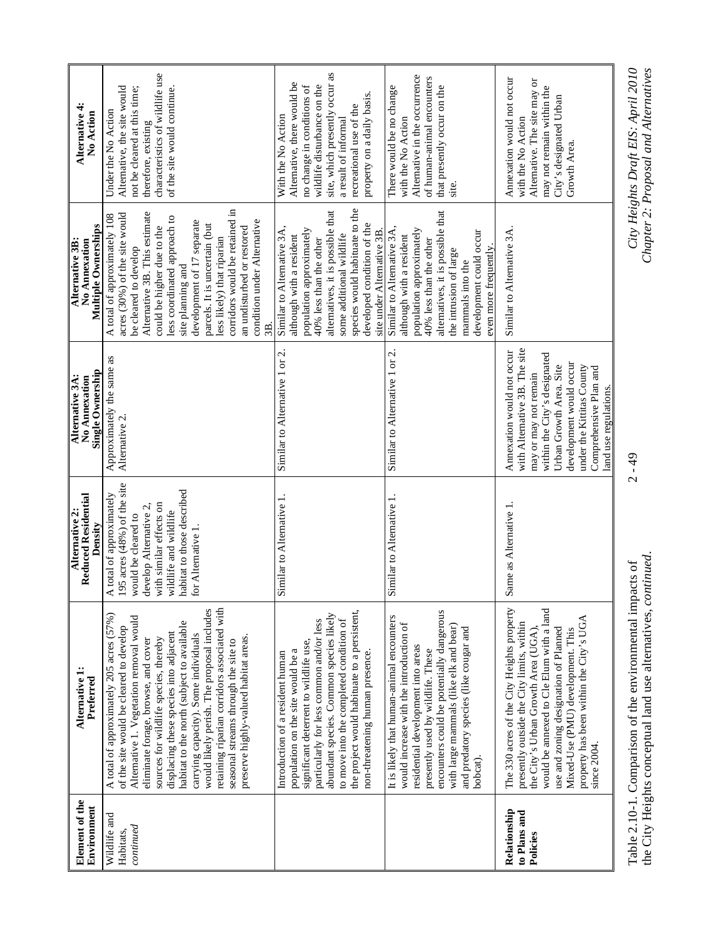| Element of the<br>Environment            | Alternative 1:<br>Preferred                                                                                                                                                                                                                                                                                                                                                                                                                                                                                                   | <b>Reduced Residential</b><br>Alternative 2:<br>Density                                                                                                                                                          | Single Ownership<br>Alternative 3A:<br>No Annexation                                                                                                                                                                                                       | Multiple Ownerships<br>Alternative 3B:<br>No Annexation                                                                                                                                                                                                                                                                                                                                                       | Alternative 4:<br>No Action                                                                                                                                                                                                       |
|------------------------------------------|-------------------------------------------------------------------------------------------------------------------------------------------------------------------------------------------------------------------------------------------------------------------------------------------------------------------------------------------------------------------------------------------------------------------------------------------------------------------------------------------------------------------------------|------------------------------------------------------------------------------------------------------------------------------------------------------------------------------------------------------------------|------------------------------------------------------------------------------------------------------------------------------------------------------------------------------------------------------------------------------------------------------------|---------------------------------------------------------------------------------------------------------------------------------------------------------------------------------------------------------------------------------------------------------------------------------------------------------------------------------------------------------------------------------------------------------------|-----------------------------------------------------------------------------------------------------------------------------------------------------------------------------------------------------------------------------------|
| Wildlife and<br>continued<br>Habitats,   | retaining riparian corridors associated with<br>would likely perish. The proposal includes<br>A total of approximately 205 acres (57%)<br>Alternative 1. Vegetation removal would<br>habitat to the north (subject to available<br>of the site would be cleared to develop<br>displacing these species into adjacent<br>carrying capacity). Some individuals<br>preserve highly-valued habitat areas.<br>sources for wildlife species, thereby<br>eliminate forage, browse, and cover<br>seasonal streams through the site to | 195 acres (48%) of the site<br>habitat to those described<br>A total of approximately<br>with similar effects on<br>develop Alternative 2,<br>wildlife and wildlife<br>would be cleared to<br>for Alternative 1. | Approximately the same as<br>Alternative 2.                                                                                                                                                                                                                | corridors would be retained in<br>Alternative 3B. This estimate<br>acres (30%) of the site would<br>A total of approximately 108<br>less coordinated approach to<br>condition under Alternative<br>development of 17 separate<br>parcels. It is uncertain (but<br>could be higher due to the<br>an undisturbed or restored<br>less likely) that riparian<br>be cleared to develop<br>site planning and<br>3B. | characteristics of wildlife use<br>Alternative, the site would<br>not be cleared at this time;<br>of the site would continue.<br>Under the No Action<br>therefore, existing                                                       |
|                                          | the project would habituate to a persistent,<br>abundant species. Common species likely<br>to move into the completed condition of<br>particularly for less common and/or less<br>significant deterrent to wildlife use,<br>population on the site would be a<br>non-threatening human presence.<br>Introduction of a resident human                                                                                                                                                                                          | Similar to Alternative 1.                                                                                                                                                                                        | Similar to Alternative 1 or 2.                                                                                                                                                                                                                             | species would habituate to the<br>alternatives, it is possible that<br>developed condition of the<br>Similar to Alternative 3A,<br>population approximately<br>site under Alternative 3B.<br>some additional wildlife<br>although with a resident<br>40% less than the other                                                                                                                                  | site, which presently occur as<br>Alternative, there would be<br>wildlife disturbance on the<br>no change in conditions of<br>property on a daily basis.<br>recreational use of the<br>With the No Action<br>a result of informal |
|                                          | encounters could be potentially dangerous<br>It is likely that human-animal encounters<br>would increase with the introduction of<br>with large mammals (like elk and bear)<br>and predatory species (like cougar and<br>residential development into areas<br>presently used by wildlife. These<br>bobcat).                                                                                                                                                                                                                  | Similar to Alternative 1.                                                                                                                                                                                        | Similar to Alternative 1 or 2.                                                                                                                                                                                                                             | alternatives, it is possible that<br>Similar to Alternative 3A.<br>population approximately<br>development could occur<br>although with a resident<br>40% less than the other<br>even more frequently.<br>the intrusion of large<br>mammals into the                                                                                                                                                          | Alternative in the occurrence<br>of human-animal encounters<br>that presently occur on the<br>There would be no change<br>with the No Action<br>site.                                                                             |
| Relationship<br>to Plans and<br>Policies | The 330 acres of the City Heights property<br>would be annexed to Cle Elum with a land<br>property has been within the City's UGA<br>presently outside the City limits, within<br>use and zoning designation of Planned<br>the City's Urban Growth Area (UGA),<br>Mixed-Use (PMU) development. This<br>since 2004                                                                                                                                                                                                             | Same as Alternative 1.                                                                                                                                                                                           | with Alternative 3B. The site<br>Annexation would not occur<br>within the City's designated<br>development would occur<br>under the Kittitas County<br>Urban Growth Area. Site<br>Comprehensive Plan and<br>may or may not remain<br>land use regulations. | Similar to Alternative 3A.                                                                                                                                                                                                                                                                                                                                                                                    | Annexation would not occur<br>Alternative. The site may or<br>may not remain within the<br>City's designated Urban<br>with the No Action<br>Growth Area.                                                                          |
| $\frac{1}{2}$                            | Table 2.10-1. Comparison of the environmental impacts of<br>į                                                                                                                                                                                                                                                                                                                                                                                                                                                                 |                                                                                                                                                                                                                  | $2 - 49$                                                                                                                                                                                                                                                   | Ğ                                                                                                                                                                                                                                                                                                                                                                                                             | City Heights Draft EIS: April 2010                                                                                                                                                                                                |

Chapter 2: Proposal and Alternatives

the City Heights conceptual land use alternatives, *continued*. *Chapter 2: Proposal and Alternatives*  the City Heights conceptual land use alternatives, continued.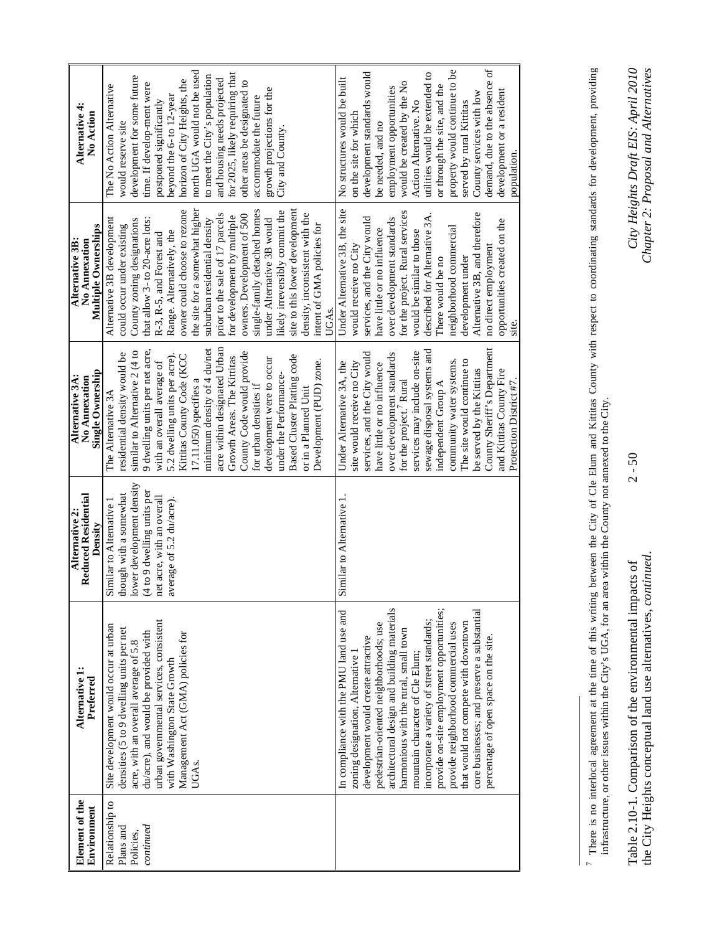| Element of the<br>Environment                          | Alternative 1:<br>Preferred                                                                                                                                                                                                                                                                                                                                                                                                                                                                                                                                 | Reduced Residential<br>Alternative 2:<br>Density                                                                                                                    | <b>Single Ownership</b><br>Alternative 3A:<br>No Annexation                                                                                                                                                                                                                                                                                                                                                                                                                                                                               | Multiple Ownerships<br>No Annexation<br>Alternative 3B.                                                                                                                                                                                                                                                                                                                                                                                                                                                                                                                                        | Alternative 4:<br>No Action                                                                                                                                                                                                                                                                                                                                                                                                                      |
|--------------------------------------------------------|-------------------------------------------------------------------------------------------------------------------------------------------------------------------------------------------------------------------------------------------------------------------------------------------------------------------------------------------------------------------------------------------------------------------------------------------------------------------------------------------------------------------------------------------------------------|---------------------------------------------------------------------------------------------------------------------------------------------------------------------|-------------------------------------------------------------------------------------------------------------------------------------------------------------------------------------------------------------------------------------------------------------------------------------------------------------------------------------------------------------------------------------------------------------------------------------------------------------------------------------------------------------------------------------------|------------------------------------------------------------------------------------------------------------------------------------------------------------------------------------------------------------------------------------------------------------------------------------------------------------------------------------------------------------------------------------------------------------------------------------------------------------------------------------------------------------------------------------------------------------------------------------------------|--------------------------------------------------------------------------------------------------------------------------------------------------------------------------------------------------------------------------------------------------------------------------------------------------------------------------------------------------------------------------------------------------------------------------------------------------|
| Relationship to<br>continued<br>Plans and<br>Policies, | urban governmental services, consistent<br>Site development would occur at urban<br>densities (5 to 9 dwelling units per net<br>Management Act (GMA) policies for<br>du/acre), and would be provided with<br>acre, with an overall average of 5.8<br>with Washington State Growth<br>UGAs.                                                                                                                                                                                                                                                                  | ower development density<br>4 to 9 dwelling units per<br>hough with a somewhat<br>net acre, with an overall<br>average of 5.2 du/acre).<br>Similar to Alternative 1 | acre within designated Urban<br>minimum density of 4 du/net<br>9 dwelling units per net acre,<br>similar to Alternative 2 (4 to<br>County Code would provide<br>residential density would be<br>5.2 dwelling units per acre).<br>Kittitas County Code (KCC<br>Based Cluster Platting code<br>Growth Areas. The Kittitas<br>development were to occur<br>Development (PUD) zone.<br>with an overall average of<br>under the Performance-<br>17.11.050) specifies a<br>for urban densities if<br>or in a Planned Unit<br>The Alternative 3A | single-family detached homes<br>the site for a somewhat higher<br>site to this lower development<br>owner could choose to rezone<br>likely irreversibly commit the<br>density, inconsistent with the<br>prior to the sale of 17 parcels<br>owners. Development of 500<br>for development by multiple<br>Alternative 3B development<br>under Alternative 3B would<br>that allow 3- to 20-acre lots:<br>suburban residential density<br>County zoning designations<br>intent of GMA policies for<br>could occur under existing<br>Range. Alternatively, the<br>R-3, R-5, and Forest and<br>UGAs. | north UGA would not be used<br>for 2025, likely requiring that<br>to meet the City's population<br>development for some future<br>and housing needs projected<br>horizon of City Heights, the<br>other areas be designated to<br>time. If develop-ment were<br>The No Action Alternative<br>growth projections for the<br>beyond the 6- to 12-year<br>accommodate the future<br>postponed significantly<br>would reserve site<br>City and County |
|                                                        | architectural design and building materials<br>provide on-site employment opportunities;<br>In compliance with the PMU land use and<br>core businesses; and preserve a substantial<br>incorporate a variety of street standards;<br>that would not compete with downtown<br>pedestrian-oriented neighborhoods; use<br>provide neighborhood commercial uses<br>harmonious with the rural, small town<br>development would create attractive<br>percentage of open space on the site.<br>zoning designation, Alternative 1<br>mountain character of Cle Elum; | Similar to Alternative 1.                                                                                                                                           | County Sheriff's Department<br>sewage disposal systems and<br>services may include on-site<br>services, and the City would<br>over development standards<br>The site would continue to<br>community water systems.<br>Under Alternative 3A, the<br>site would receive no City<br>have little or no influence<br>be served by the Kittitas<br>and Kittitas County Fire<br>Protection District #7.<br>for the project. <sup>7</sup> Rural<br>independent Group A                                                                            | Under Alternative 3B, the site<br>for the project. Rural services<br>Alternative 3B, and therefore<br>described for Alternative 3A.<br>services, and the City would<br>over development standards<br>opportunities created on the<br>neighborhood commercial<br>have little or no influence<br>would be similar to those<br>would receive no City<br>no direct employment<br>development under<br>There would be no<br>$\sin$ e.                                                                                                                                                               | $\sigma$<br>property would continue to be<br>development standards would<br>utilities would be extended to<br>No structures would be built<br>demand, due to the absence<br>would be created by the No<br>or through the site, and the<br>employment opportunities<br>development or a resident<br>County services with low<br>Action Alternative. No<br>served by rural Kittitas<br>on the site for which<br>be needed, and no<br>population.   |

 $2 - 50$ 

<sup>7</sup> There is no interlocal agreement at the time of this writing between the City of Cle Elum and Kititas County with respect to coordinating standards for development, providing infrastructure, or other issues within the Ci 7 There is no interlocal agreement at the time of this writing between the City of Cle Elum and Kittitas County with respect to coordinating standards for development, providing infrastructure, or other issues within the City's UGA, for an area within the County not annexed to the City.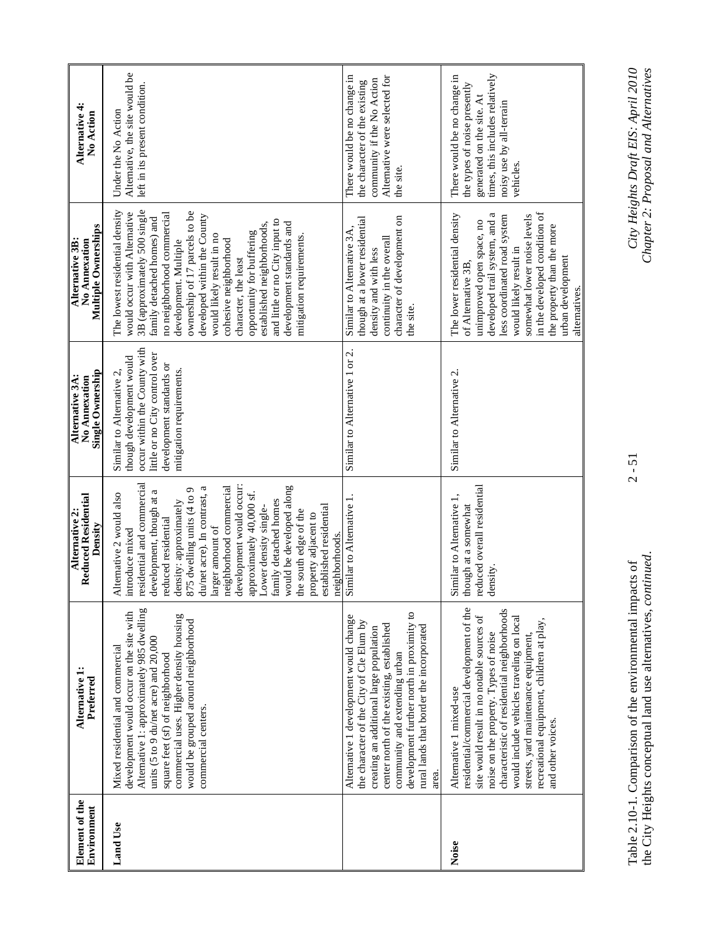| Element of the<br>Environment | Alternative 1:<br>Preferred                                                                                                                                                                                                                                                                                                                                       | <b>Reduced Residential</b><br>Alternative 2:<br>Density                                                                                                                                                                                                                                                                                                                                                                                                                                                 | Single Ownership<br>Alternative 3A:<br>No Annexation                                                                                                                            | Multiple Ownerships<br>Alternative 3B:<br>No Annexation                                                                                                                                                                                                                                                                                                                                                                                                                                 | Alternative 4:<br>No Action                                                                                                                                          |
|-------------------------------|-------------------------------------------------------------------------------------------------------------------------------------------------------------------------------------------------------------------------------------------------------------------------------------------------------------------------------------------------------------------|---------------------------------------------------------------------------------------------------------------------------------------------------------------------------------------------------------------------------------------------------------------------------------------------------------------------------------------------------------------------------------------------------------------------------------------------------------------------------------------------------------|---------------------------------------------------------------------------------------------------------------------------------------------------------------------------------|-----------------------------------------------------------------------------------------------------------------------------------------------------------------------------------------------------------------------------------------------------------------------------------------------------------------------------------------------------------------------------------------------------------------------------------------------------------------------------------------|----------------------------------------------------------------------------------------------------------------------------------------------------------------------|
| <b>Land Use</b>               | Alternative 1: approximately 985 dwelling<br>development would occur on the site with<br>commercial uses. Higher density housing<br>would be grouped around neighborhood<br>units (5 to 9 du/net acre) and 20,000<br>Mixed residential and commercial<br>square feet (sf) of neighborhood<br>commercial centers.                                                  | residential and commercial<br>neighborhood commercial<br>development would occur:<br>would be developed along<br>du/net acre). In contrast, a<br>875 dwelling units (4 to 9<br>development, though at a<br>approximately 40,000 sf.<br>Alternative 2 would also<br>family detached homes<br>density: approximately<br>established residential<br>Lower density single-<br>the south edge of the<br>property adjacent to<br>reduced residential<br>larger amount of<br>introduce mixed<br>neighborhoods. | occur within the County with<br>little or no City control over<br>though development would<br>development standards or<br>mitigation requirements.<br>Similar to Alternative 2, | 3B (approximately 500 single<br>The lowest residential density<br>ownership of 17 parcels to be<br>would occur with Alternative<br>no neighborhood commercial<br>developed within the County<br>family detached homes) and<br>and little or no City input to<br>development standards and<br>established neighborhoods,<br>opportunity for buffering<br>mitigation requirements.<br>would likely result in no<br>cohesive neighborhood<br>development. Multiple<br>character, the least | Alternative, the site would be<br>left in its present condition.<br>Under the No Action                                                                              |
|                               | development further north in proximity to<br>Alternative 1 development would change<br>the character of the City of Cle Elum by<br>center north of the existing, established<br>rural lands that border the incorporated<br>creating an additional large population<br>community and extending urban<br>area.                                                     | Similar to Alternative 1.                                                                                                                                                                                                                                                                                                                                                                                                                                                                               | Similar to Alternative 1 or 2.                                                                                                                                                  | character of development on<br>though at a lower residential<br>Similar to Alternative 3A,<br>continuity in the overall<br>density and with less<br>the site.                                                                                                                                                                                                                                                                                                                           | There would be no change in<br>Alternative were selected for<br>community if the No Action<br>the character of the existing<br>the site.                             |
| Noise                         | residential/commercial development of the<br>characteristic of residential neighborhoods<br>site would result in no notable sources of<br>would include vehicles traveling on local<br>recreational equipment, children at play,<br>noise on the property. Types of noise<br>streets, yard maintenance equipment,<br>Alternative 1 mixed-use<br>and other voices. | reduced overall residential<br>Similar to Alternative 1<br>though at a somewhat<br>density.                                                                                                                                                                                                                                                                                                                                                                                                             | Similar to Alternative 2.                                                                                                                                                       | in the developed condition of<br>developed trail system, and a<br>The lower residential density<br>somewhat lower noise levels<br>less coordinated road system<br>unimproved open space, no<br>the property than the more<br>would likely result in<br>urban development<br>of Alternative 3B<br>alternatives.                                                                                                                                                                          | times, this includes relatively<br>There would be no change in<br>the types of noise presently<br>generated on the site. At<br>noisy use by all-terrain<br>vehicles. |

Table 2.10-1. Comparison of the environmental impacts of 2 - 51 *City Heights Draft EIS: April 2010*  the City Heights conceptual land use alternatives, *continued*. *Chapter 2: Proposal and Alternatives*  Table 2.10-1. Comparison of the environmental impacts of<br>the City Heights conceptual land use alternatives, *continued*.

 $2 - 51$ 

City Heights Draft EIS: April 2010<br>Chapter 2: Proposal and Alternatives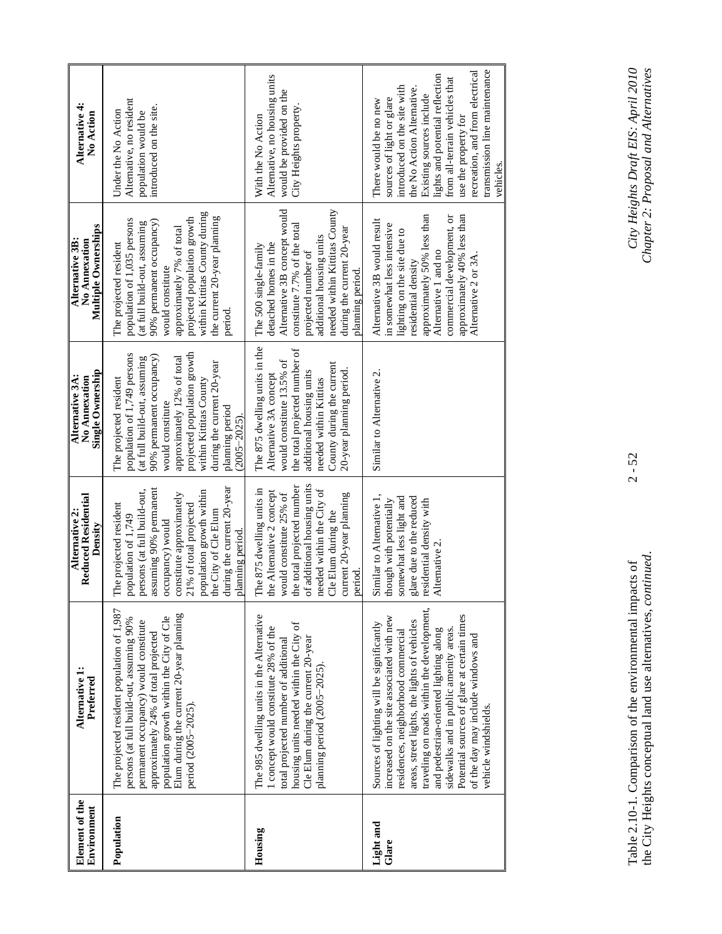| Element of the<br>Environment | Alternative 1:<br>Preferred                                                                                                                                                                                                                                                                                                                                                                                                  | <b>Reduced Residential</b><br>Alternative 2:<br>Density                                                                                                                                                                                                                            | <u>Single Ownership</u><br>Alternative 3A:<br>No Annexation                                                                                                                                                                                                                                      | <b>Multiple Ownerships</b><br>Alternative 3B:<br>No Annexation                                                                                                                                                                                                                | Alternative 4:<br>No Action                                                                                                                                                                                                                                                                                               |
|-------------------------------|------------------------------------------------------------------------------------------------------------------------------------------------------------------------------------------------------------------------------------------------------------------------------------------------------------------------------------------------------------------------------------------------------------------------------|------------------------------------------------------------------------------------------------------------------------------------------------------------------------------------------------------------------------------------------------------------------------------------|--------------------------------------------------------------------------------------------------------------------------------------------------------------------------------------------------------------------------------------------------------------------------------------------------|-------------------------------------------------------------------------------------------------------------------------------------------------------------------------------------------------------------------------------------------------------------------------------|---------------------------------------------------------------------------------------------------------------------------------------------------------------------------------------------------------------------------------------------------------------------------------------------------------------------------|
| Population                    | The projected resident population of 1,987<br>Elum during the current 20-year planning<br>population growth within the City of Cle<br>persons (at full build-out, assuming 90%<br>permanent occupancy) would constitute<br>approximately 24% of total projected<br>period (2005-2025).                                                                                                                                       | during the current 20-year<br>assuming 90% permanent<br>persons (at full build-out,<br>population growth within<br>constitute approximately<br>The projected resident<br>21% of total projected<br>he City of Cle Elum<br>population of 1,749<br>prow (kompany<br>planning period. | projected population growth<br>population of 1,749 persons<br>90% permanent occupancy)<br>approximately 12% of total<br>(at full build-out, assuming<br>during the current 20-year<br>within Kittitas County<br>The projected resident<br>would constitute<br>planning period<br>$(2005 - 2025)$ | within Kittitas County during<br>the current 20-year planning<br>projected population growth<br>population of 1,035 persons<br>90% permanent occupancy)<br>(at full build-out, assuming<br>approximately 7% of total<br>The projected resident<br>would constitute<br>period. | Alternative, no resident<br>introduced on the site.<br>Under the No Action<br>population would be                                                                                                                                                                                                                         |
| Housing                       | The 985 dwelling units in the Alternative<br>housing units needed within the City of<br>concept would constitute 28% of the<br>Cle Elum during the current 20-year<br>total projected number of additional<br>planning period (2005-2025)                                                                                                                                                                                    | of additional housing units<br>he total projected number<br>The 875 dwelling units in<br>needed within the City of<br>he Alternative 2 concept<br>would constitute 25% of<br>current 20-year planning<br>Cle Elum during the<br>period.                                            | The 875 dwelling units in the<br>the total projected number of<br>would constitute 13.5% of<br>County during the current<br>20-year planning period.<br>additional housing units<br>Alternative 3A concept<br>needed within Kittitas                                                             | needed within Kittitas County<br>Alternative 3B concept would<br>constitute 7.7% of the total<br>during the current 20-year<br>additional housing units<br>detached homes in the<br>The 500 single-family<br>projected number of<br>planning period.                          | Alternative, no housing units<br>would be provided on the<br>City Heights property<br>With the No Action                                                                                                                                                                                                                  |
| Light and<br>Glare            | traveling on roads within the development,<br>Potential sources of glare at certain times<br>increased on the site associated with new<br>areas, street lights, the lights of vehicles<br>Sources of lighting will be significantly<br>sidewalks and in public amenity areas.<br>and pedestrian-oriented lighting along<br>residences, neighborhood commercial<br>of the day may include windows and<br>vehicle windshields. | Similar to Alternative 1,<br>somewhat less light and<br>glare due to the reduced<br>hough with potentially<br>residential density with<br>Alternative 2                                                                                                                            | Similar to Alternative 2.                                                                                                                                                                                                                                                                        | approximately 50% less than<br>approximately 40% less than<br>commercial development, or<br>Alternative 3B would result<br>in somewhat less intensive<br>lighting on the site due to<br>Alternative 1 and no<br>Alternative 2 or 3A<br>residential density                    | transmission line maintenance<br>recreation, and from electrical<br>lights and potential reflection<br>from all-terrain vehicles that<br>introduced on the site with<br>the No Action Alternative.<br>Existing sources include<br>sources of light or glare<br>There would be no new<br>use the property for<br>vehicles. |

Table 2.10-1. Comparison of the environmental impacts of 2 - 52 *City Heights Draft EIS: April 2010*  the City Heights conceptual land use alternatives, *continued*. *Chapter 2: Proposal and Alternatives*  Table 2.10-1. Comparison of the environmental impacts of<br>the City Heights conceptual land use alternatives, *continued*.

 $2 - 52$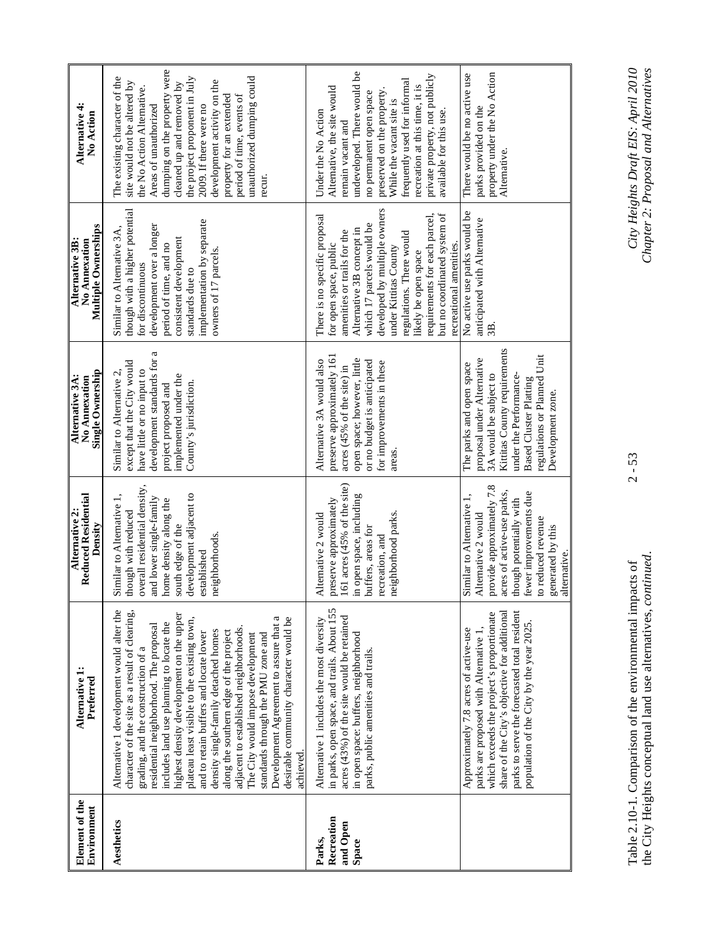| Element of the<br>Environment             | Alternative 1:<br>Preferred                                                                                                                                                                                                                                                                                                                                                                                                                                                                                                                                                                                                                                         | <b>Reduced Residential</b><br>Alternative 2:<br>Density                                                                                                                                                                    | Single Ownership<br>Alternative 3A:<br>No Annexation                                                                                                                                                                            | Multiple Ownerships<br>Alternative 3B:<br>No Annexation                                                                                                                                                                                                                                                                                                   | Alternative 4:<br>No Action                                                                                                                                                                                                                                                                                                                                                  |
|-------------------------------------------|---------------------------------------------------------------------------------------------------------------------------------------------------------------------------------------------------------------------------------------------------------------------------------------------------------------------------------------------------------------------------------------------------------------------------------------------------------------------------------------------------------------------------------------------------------------------------------------------------------------------------------------------------------------------|----------------------------------------------------------------------------------------------------------------------------------------------------------------------------------------------------------------------------|---------------------------------------------------------------------------------------------------------------------------------------------------------------------------------------------------------------------------------|-----------------------------------------------------------------------------------------------------------------------------------------------------------------------------------------------------------------------------------------------------------------------------------------------------------------------------------------------------------|------------------------------------------------------------------------------------------------------------------------------------------------------------------------------------------------------------------------------------------------------------------------------------------------------------------------------------------------------------------------------|
| Aesthetics                                | Alternative 1 development would alter the<br>character of the site as a result of clearing,<br>highest density development on the upper<br>plateau least visible to the existing town,<br>desirable community character would be<br>Development Agreement to assure that a<br>includes land use planning to locate the<br>residential neighborhood. The proposal<br>adjacent to established neighborhoods.<br>density single-family detached homes<br>along the southern edge of the project<br>and to retain buffers and locate lower<br>The City would impose development<br>standards through the PMU zone and<br>grading, and the construction of a<br>achieved | overall residential density,<br>development adjacent to<br>Similar to Alternative 1,<br>and lower single-family<br>home density along the<br>though with reduced<br>south edge of the<br>neighborhoods.<br>established     | a<br>development standards for<br>except that the City would<br>have little or no input to<br>Similar to Alternative 2,<br>implemented under the<br>County's jurisdiction.<br>project proposed and                              | though with a higher potential<br>implementation by separate<br>development over a longer<br>Similar to Alternative $3A$ ,<br>consistent development<br>period of time, and no<br>owners of 17 parcels.<br>for discontinuous<br>standards due to                                                                                                          | dumping on the property were<br>the project proponent in July<br>unauthorized dumping could<br>The existing character of the<br>development activity on the<br>cleaned up and removed by<br>site would not be altered by<br>the No Action Alternative.<br>period of time, events of<br>property for an extended<br>2009. If there were no<br>Areas of unauthorized<br>recur. |
| Recreation<br>and Open<br>Parks,<br>Space | in parks, open space, and trails. About 155<br>acres (43%) of the site would be retained<br>Alternative 1 includes the most diversity<br>in open space: buffers, neighborhood<br>parks, public amenities and trails.                                                                                                                                                                                                                                                                                                                                                                                                                                                | 161 acres $(45%$ of the site)<br>in open space, including<br>preserve approximately<br>neighborhood parks.<br>Alternative 2 would<br>buffers, areas for<br>recreation, and                                                 | preserve approximately 161<br>open space; however, little<br>Alternative 3A would also<br>or no budget is anticipated<br>for improvements in these<br>acres (45% of the site) in<br>areas.                                      | developed by multiple owners<br>but no coordinated system of<br>requirements for each parcel,<br>There is no specific proposal<br>which 17 parcels would be<br>Alternative 3B concept in<br>amenities or trails for the<br>regulations. There would<br>recreational amenities.<br>for open space, public<br>under Kittitas County<br>likely be open space | undeveloped. There would be<br>private property, not publicly<br>frequently used for informal<br>recreation at this time, it is<br>Alternative, the site would<br>preserved on the property<br>no permanent open space<br>While the vacant site is<br>available for this use.<br>Under the No Action<br>remain vacant and                                                    |
|                                           | share of the City's objective for additional<br>parks to serve the forecasted total resident<br>which exceeds the project's proportionate<br>population of the City by the year 2025.<br>Approximately 7.8 acres of active-use<br>parks are proposed with Alternative                                                                                                                                                                                                                                                                                                                                                                                               | provide approximately 7.8<br>acres of active-use parks,<br>fewer improvements due<br>though potentially with<br>Similar to Alternative 1<br>Alternative 2 would<br>to reduced revenue<br>generated by this<br>alternative. | Kittitas County requirements<br>regulations or Planned Unit<br>proposal under Alternative<br>The parks and open space<br>3A would be subject to<br>under the Performance-<br><b>Based Cluster Platting</b><br>Development zone. | No active use parks would be<br>anticipated with Alternative<br>3B                                                                                                                                                                                                                                                                                        | property under the No Action<br>There would be no active use<br>parks provided on the<br>Alternative.                                                                                                                                                                                                                                                                        |

Table 2.10-1. Comparison of the environmental impacts of 2 - 53 *City Heights Draft EIS: April 2010*  the City Heights conceptual land use alternatives, *continued*. *Chapter 2: Proposal and Alternatives*  Table 2.10-1. Comparison of the environmental impacts of<br>the City Heights conceptual land use alternatives, *continued*.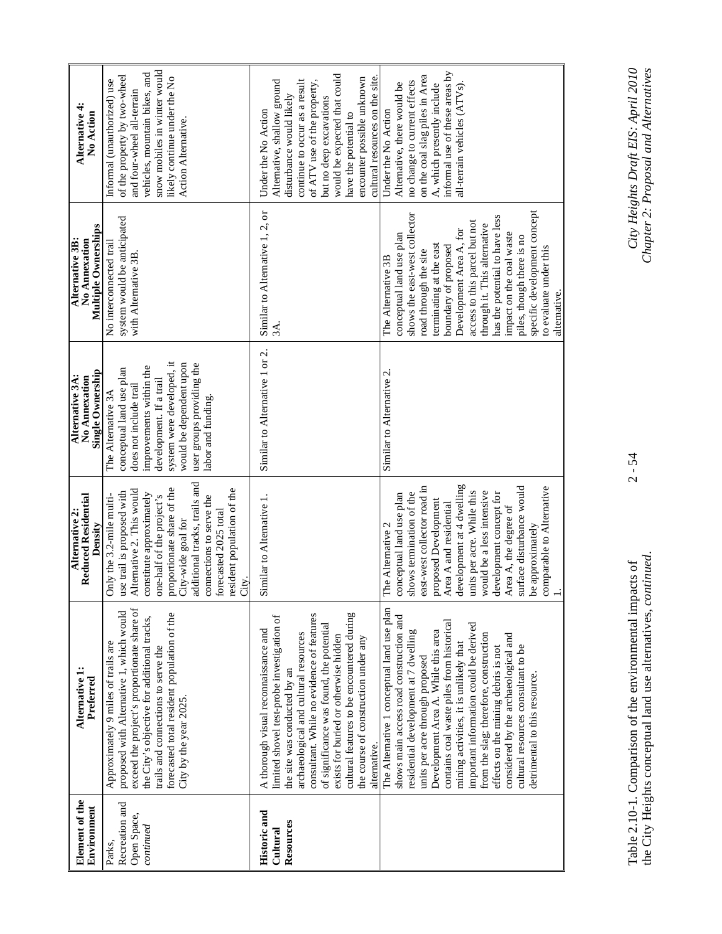| Element of the<br>Environment                        | Alternative 1:<br>Preferred                                                                                                                                                                                                                                                                                                                                                                                                                                                                                                                | <b>Reduced Residential</b><br>Alternative 2:<br>Density                                                                                                                                                                                                                                                                                                                              | Single Ownership<br>Alternative 3A:<br>No Annexation                                                                                                                                                                                      | Multiple Ownerships<br>Alternative 3B:<br>No Annexation                                                                                                                                                                                                                                                                                                                                                                      | Alternative 4:<br><b>No Action</b>                                                                                                                                                                                                                                                                  |
|------------------------------------------------------|--------------------------------------------------------------------------------------------------------------------------------------------------------------------------------------------------------------------------------------------------------------------------------------------------------------------------------------------------------------------------------------------------------------------------------------------------------------------------------------------------------------------------------------------|--------------------------------------------------------------------------------------------------------------------------------------------------------------------------------------------------------------------------------------------------------------------------------------------------------------------------------------------------------------------------------------|-------------------------------------------------------------------------------------------------------------------------------------------------------------------------------------------------------------------------------------------|------------------------------------------------------------------------------------------------------------------------------------------------------------------------------------------------------------------------------------------------------------------------------------------------------------------------------------------------------------------------------------------------------------------------------|-----------------------------------------------------------------------------------------------------------------------------------------------------------------------------------------------------------------------------------------------------------------------------------------------------|
| Recreation and<br>Open Space,<br>continued<br>Parks, | exceed the project's proportionate share of<br>proposed with Alternative 1, which would<br>forecasted total resident population of the<br>the City's objective for additional tracks,<br>Approximately 9 miles of trails are<br>trails and connections to serve the<br>City by the year 2025.                                                                                                                                                                                                                                              | additional tracks, trails and<br>proportionate share of the<br>resident population of the<br>Alternative 2. This would<br>use trail is proposed with<br>constitute approximately<br>Only the 3.2-mile multi-<br>one-half of the project's<br>connections to serve the<br>forecasted 2025 total<br>City-wide goal for<br>City.                                                        | system were developed, it<br>would be dependent upon<br>user groups providing the<br>improvements within the<br>conceptual land use plan<br>development. If a trail<br>does not include trail<br>The Alternative 3A<br>labor and funding. | system would be anticipated<br>No interconnected trail<br>with Alternative 3B                                                                                                                                                                                                                                                                                                                                                | snow mobiles in winter would<br>vehicles, mountain bikes, and<br>of the property by two-wheel<br>likely continue under the No<br>Informal (unauthorized) use<br>and four-wheel all-terrain<br>Action Alternative.                                                                                   |
| Historic and<br>Resources<br>Cultural                | cultural features to be encountered during<br>consultant. While no evidence of features<br>limited shovel test-probe investigation of<br>of significance was found, the potential<br>A thorough visual reconnaissance and<br>archaeological and cultural resources<br>exists for buried or otherwise hidden<br>the course of construction under any<br>the site was conducted by an<br>alternative.                                                                                                                                        | Similar to Alternative 1.                                                                                                                                                                                                                                                                                                                                                            | Similar to Alternative 1 or 2.                                                                                                                                                                                                            | Similar to Alternative 1, 2, or<br>3A.                                                                                                                                                                                                                                                                                                                                                                                       | would be expected that could<br>cultural resources on the site.<br>encounter possible unknown<br>continue to occur as a result<br>of ATV use of the property,<br>Alternative, shallow ground<br>disturbance would likely<br>but no deep excavations<br>Under the No Action<br>have the potential to |
|                                                      | The Alternative 1 conceptual land use plan<br>shows main access road construction and<br>contains coal waste piles from historical<br>important information could be derived<br>Development Area A. While this area<br>residential development at 7 dwelling<br>from the slag; therefore, construction<br>considered by the archaeological and<br>mining activities, it is unlikely that<br>cultural resources consultant to be<br>effects on the mining debris is not<br>units per acre through proposed<br>detrimental to this resource. | development at 4 dwelling<br>surface disturbance would<br>comparable to Alternative<br>east-west collector road in<br>units per acre. While this<br>would be a less intensive<br>development concept for<br>shows termination of the<br>conceptual land use plan<br>proposed Development<br>Area A and residential<br>Area A, the degree of<br>The Alternative 2<br>be approximately | Similar to Alternative 2.                                                                                                                                                                                                                 | specific development concept<br>shows the east-west collector<br>has the potential to have less<br>access to this parcel but not<br>through it. This alternative<br>Development Area A, for<br>impact on the coal waste<br>conceptual land use plan<br>piles, though there is no<br>terminating at the east<br>boundary of proposed<br>to evaluate under this<br>road through the site<br>The Alternative 3B<br>alternative. | informal use of these areas by<br>on the coal slag piles in Area<br>no change to current effects<br>Alternative, there would be<br>A, which presently include<br>all-terrain vehicles (ATVs)<br>Under the No Action                                                                                 |

 $2 - 54$ 

Table 2.10-1. Comparison of the environmental impacts of 2 - 54 *City Heights Draft EIS: April 2010*  the City Heights conceptual land use alternatives, *continued*. *Chapter 2: Proposal and Alternatives*  Table 2.10-1. Comparison of the environmental impacts of<br>the City Heights conceptual land use alternatives, *continued*.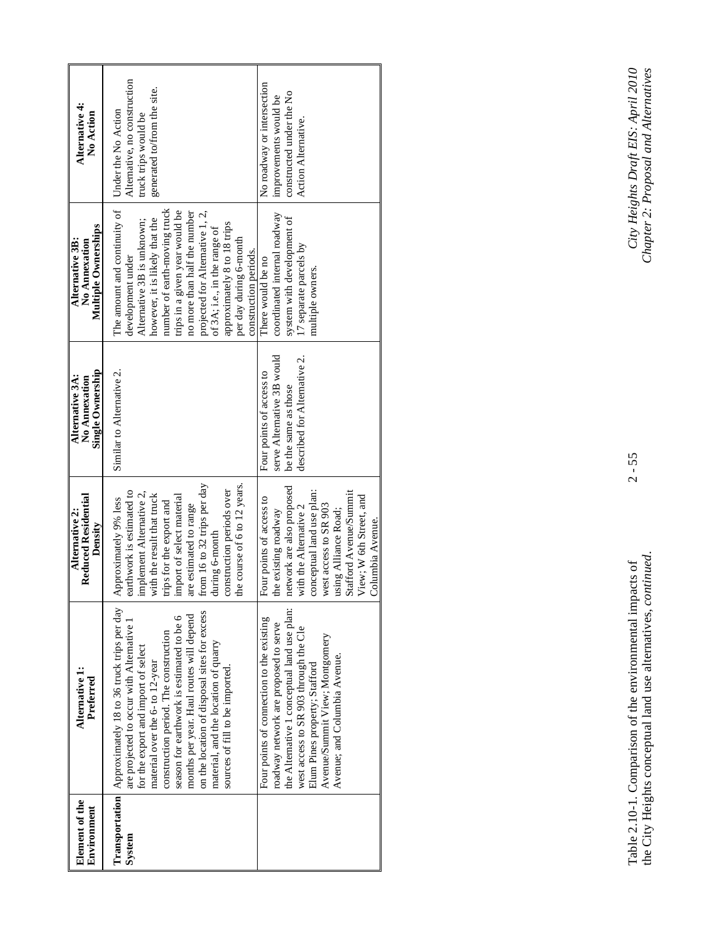| Element of the<br>Environment | Alternative 1:<br>Preferred                                                                                                                                                                                                                                                                                                                                                                                                                     | Reduced Residential<br>Alternative 2:<br>Density                                                                                                                                                                                                                                                              | Single Ownership<br>Alternative 3A:<br>No Annexation                                                           | Multiple Ownerships<br>Alternative 3B:<br>No Annexation                                                                                                                                                                                                                                                                                                                  | Alternative 4:<br>No Action                                                                                |
|-------------------------------|-------------------------------------------------------------------------------------------------------------------------------------------------------------------------------------------------------------------------------------------------------------------------------------------------------------------------------------------------------------------------------------------------------------------------------------------------|---------------------------------------------------------------------------------------------------------------------------------------------------------------------------------------------------------------------------------------------------------------------------------------------------------------|----------------------------------------------------------------------------------------------------------------|--------------------------------------------------------------------------------------------------------------------------------------------------------------------------------------------------------------------------------------------------------------------------------------------------------------------------------------------------------------------------|------------------------------------------------------------------------------------------------------------|
| System                        | Transportation   Approximately 18 to 36 truck trips per day<br>on the location of disposal sites for excess<br>months per year. Haul routes will depend<br>season for earthwork is estimated to be 6<br>are projected to occur with Alternative 1<br>construction period. The construction<br>material, and the location of quarry<br>for the export and import of select<br>material over the 6- to 12-year<br>sources of fill to be imported. | from 16 to 32 trips per day<br>the course of 6 to 12 years.<br>construction periods over<br>implement Alternative 2,<br>earthwork is estimated to<br>with the result that truck<br>import of select material<br>Approximately 9% less<br>trips for the export and<br>are estimated to range<br>during 6-month | Similar to Alternative 2.                                                                                      | The amount and continuity of<br>number of earth-moving truck<br>trips in a given year would be<br>no more than half the number<br>projected for Alternative 1, 2,<br>however, it is likely that the<br>Alternative 3B is unknown:<br>approximately 8 to 18 trips<br>of 3A; i.e., in the range of<br>per day during 6-month<br>construction periods.<br>development under | Alternative, no construction<br>generated to/from the site.<br>Under the No Action<br>truck trips would be |
|                               | the Alternative 1 conceptual land use plan:<br>Four points of connection to the existing<br>roadway network are proposed to serve<br>west access to SR 903 through the Cle<br>Avenue/Summit View; Montgomery<br>Avenue; and Columbia Avenue.<br>Elum Pines property; Stafford                                                                                                                                                                   | network are also proposed<br>conceptual land use plan:<br>Stafford Avenue/Summit<br>View; W 6th Street, and<br>Four points of access to<br>west access to SR 903<br>with the Alternative 2<br>using Alliance Road;<br>the existing roadway<br>Columbia Avenue.                                                | serve Alternative 3B would<br>described for Alternative 2.<br>Four points of access to<br>be the same as those | coordinated internal roadway<br>system with development of<br>17 separate parcels by<br>There would be no<br>multiple owners.                                                                                                                                                                                                                                            | No roadway or intersection<br>constructed under the No<br>improvements would be<br>Action Alternative.     |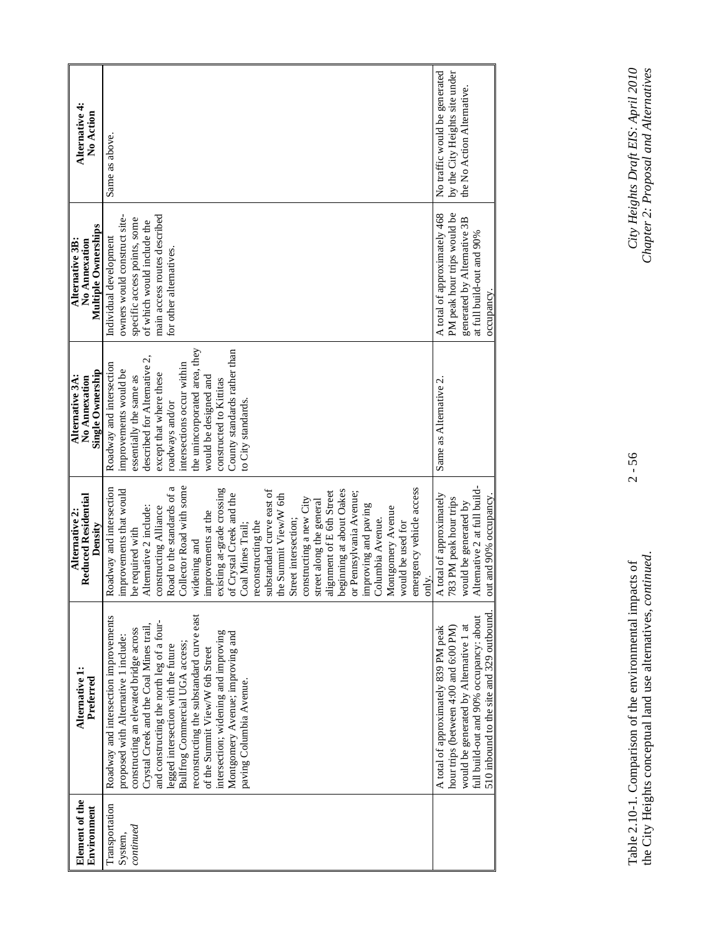| Element of the<br>Environment          | Alternative 1:<br>Preferred                                                                                                                                                                                                                                                                                                                                                                                                                                                      | <b>Reduced Residential</b><br>Alternative 2:<br>Density                                                                                                                                                                                                                                                                                                                                                                                                                                                                                                                                                                                                                       | <b>Single Ownership</b><br>Alternative 3A:<br>No Annexation                                                                                                                                                                                                                                                                         | Multiple Ownerships<br>Alternative 3B:<br>No Annexation                                                                                                                        | Alternative 4:<br>No Action                                                                   |
|----------------------------------------|----------------------------------------------------------------------------------------------------------------------------------------------------------------------------------------------------------------------------------------------------------------------------------------------------------------------------------------------------------------------------------------------------------------------------------------------------------------------------------|-------------------------------------------------------------------------------------------------------------------------------------------------------------------------------------------------------------------------------------------------------------------------------------------------------------------------------------------------------------------------------------------------------------------------------------------------------------------------------------------------------------------------------------------------------------------------------------------------------------------------------------------------------------------------------|-------------------------------------------------------------------------------------------------------------------------------------------------------------------------------------------------------------------------------------------------------------------------------------------------------------------------------------|--------------------------------------------------------------------------------------------------------------------------------------------------------------------------------|-----------------------------------------------------------------------------------------------|
| Transportation<br>continued<br>System, | reconstructing the substandard curve east<br>Roadway and intersection improvements<br>and constructing the north leg of a four-<br>Crystal Creek and the Coal Mines trail,<br>constructing an elevated bridge across<br>intersection; widening and improving<br>Montgomery Avenue; improving and<br>proposed with Alternative 1 include:<br>Bullfrog Commercial UGA access;<br>legged intersection with the future<br>of the Summit View/W 6th Street<br>paving Columbia Avenue. | Road to the standards of a<br>Collector Road with some<br>existing at-grade crossing<br>Roadway and intersection<br>energency vehicle access<br>ubstandard curve east of<br>beginning at about Oakes<br>mprovements that would<br>dignment of E 6th Street<br>or Pennsylvania Avenue;<br>of Crystal Creek and the<br>he Summit View/W 6th<br>constructing a new City<br>street along the general<br>mproving and paving<br>Alternative 2 include:<br>constructing Alliance<br>Montgomery Avenue<br>mprovements at the<br>Columbia Avenue.<br>street intersection;<br>econstructing the<br>would be used for<br>Coal Mines Trail;<br>be required with<br>widening and<br>only. | the unincorporated area, they<br>County standards rather than<br>described for Alternative 2,<br>Roadway and intersection<br>intersections occur within<br>improvements would be<br>except that where these<br>essentially the same as<br>would be designed and<br>constructed to Kittitas<br>to City standards.<br>roadways and/or | main access routes described<br>owners would construct site-<br>specific access points, some<br>of which would include the<br>Individual development<br>for other alternatives | Same as above.                                                                                |
|                                        | 510 inbound to the site and 329 outbound<br>full build-out and 90% occupancy: about<br>would be generated by Alternative 1 at<br>hour trips (between 4:00 and 6:00 PM)<br>A total of approximately 839 PM peak                                                                                                                                                                                                                                                                   | Alternative 2 at full build-<br>A total of approximately<br>out and 90% occupancy<br>783 PM peak hour trips<br>would be generated by                                                                                                                                                                                                                                                                                                                                                                                                                                                                                                                                          | Same as Alternative 2                                                                                                                                                                                                                                                                                                               | PM peak hour trips would be<br>A total of approximately 468<br>generated by Alternative 3B<br>at full build-out and 90%<br>occupancy.                                          | by the City Heights site under<br>No traffic would be generated<br>the No Action Alternative. |

 $2 - 56$ 

Table 2.10-1. Comparison of the environmental impacts of 2 - 56 *City Heights Draft EIS: April 2010*  the City Heights conceptual land use alternatives, *continued*. *Chapter 2: Proposal and Alternatives*  Table 2.10-1. Comparison of the environmental impacts of<br>the City Heights conceptual land use alternatives, *continued*.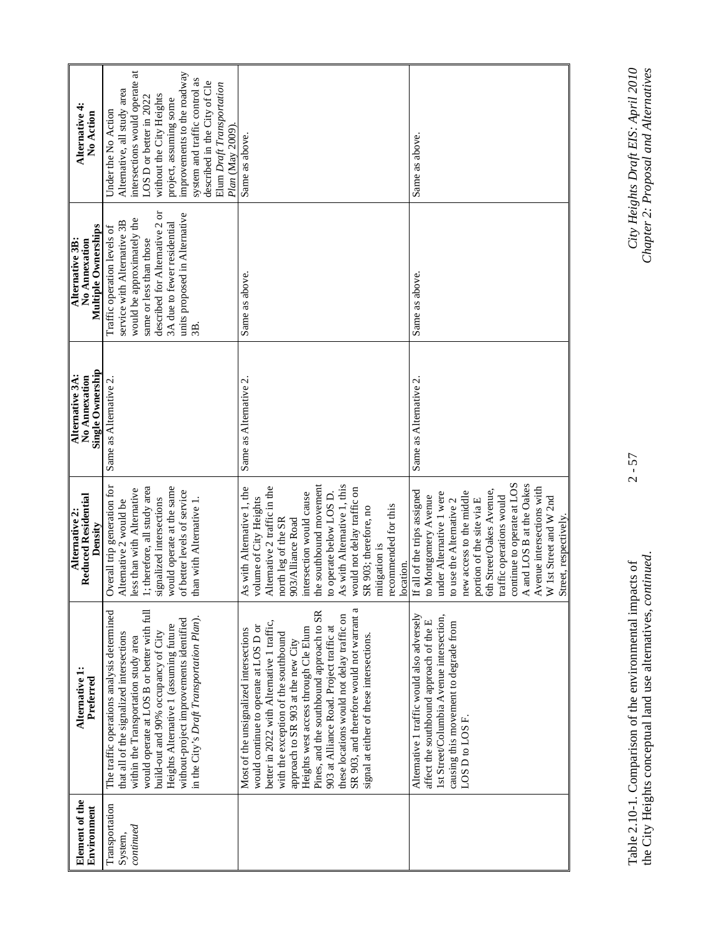| Element of the<br>Environment          | Alternative 1:<br>Preferred                                                                                                                                                                                                                                                                                                                                                                                                                                                        | <b>Reduced Residential</b><br>Alternative 2:<br>Density                                                                                                                                                                                                                                                                                                                 | Single Ownership<br>Alternative 3A:<br>No Annexation | Multiple Ownerships<br>Alternative 3B:<br>No Annexation                                                                                                                                                               | Alternative 4:<br>No Action                                                                                                                                                                                                                                                                                            |
|----------------------------------------|------------------------------------------------------------------------------------------------------------------------------------------------------------------------------------------------------------------------------------------------------------------------------------------------------------------------------------------------------------------------------------------------------------------------------------------------------------------------------------|-------------------------------------------------------------------------------------------------------------------------------------------------------------------------------------------------------------------------------------------------------------------------------------------------------------------------------------------------------------------------|------------------------------------------------------|-----------------------------------------------------------------------------------------------------------------------------------------------------------------------------------------------------------------------|------------------------------------------------------------------------------------------------------------------------------------------------------------------------------------------------------------------------------------------------------------------------------------------------------------------------|
| Transportation<br>continued<br>System, | The traffic operations analysis determined<br>would operate at LOS B or better with full<br>in the City's Draft Transportation Plan).<br>without-project improvements identified<br>Heights Alternative 1 (assuming future<br>build-out and 90% occupancy of City<br>that all of the signalized intersections<br>within the Transportation study area                                                                                                                              | Overall trip generation for<br>: therefore, all study area<br>would operate at the same<br>less than with Alternative<br>of better levels of service<br>signalized intersections<br>than with Alternative 1.<br>Alternative 2 would be                                                                                                                                  | Same as Alternative 2                                | described for Alternative 2 or<br>units proposed in Alternative<br>would be approximately the<br>service with Alternative 3B<br>3A due to fewer residential<br>Traffic operation levels of<br>same or less than those | intersections would operate at<br>improvements to the roadway<br>system and traffic control as<br>described in the City of Cle<br>Elum Draft Transportation<br>Alternative, all study area<br>without the City Heights<br>LOS D or better in 2022<br>project, assuming some<br>Under the No Action<br>Plan (May 2009). |
|                                        | SR 903, and therefore would not warrant a<br>Pines, and the southbound approach to SR<br>these locations would not delay traffic on<br>better in 2022 with Alternative 1 traffic,<br>would continue to operate at LOS D or<br>903 at Alliance Road. Project traffic at<br>Heights west access through Cle Elum<br>Most of the unsignalized intersections<br>with the exception of the southbound<br>signal at either of these intersections.<br>approach to SR 903 at the new City | As with Alternative 1, this<br>the southbound movement<br>Alternative 2 traffic in the<br>As with Alternative 1, the<br>would not delay traffic on<br>intersection would cause<br>to operate below LOS D.<br>volume of City Heights<br>recommended for this<br>SR 903; therefore, no<br>north leg of the SR<br>903/Alliance Road<br>mitigation is<br>location.          | Same as Alternative 2.                               | Same as above.                                                                                                                                                                                                        | Same as above.                                                                                                                                                                                                                                                                                                         |
|                                        | Alternative 1 traffic would also adversely<br>Ist Street/Columbia Avenue intersection,<br>affect the southbound approach of the E<br>causing this movement to degrade from<br>LOS D to LOS F.                                                                                                                                                                                                                                                                                      | continue to operate at LOS<br>A and LOS B at the Oakes<br>Avenue intersections with<br>5th Street/Oakes Avenue,<br>If all of the trips assigned<br>new access to the middle<br>under Alternative 1 were<br>to Montgomery Avenue<br>traffic operations would<br>W 1st Street and W 2nd<br>portion of the site via E<br>to use the Alternative 2<br>Street, respectively. | Same as Alternative 2.                               | Same as above.                                                                                                                                                                                                        | Same as above.                                                                                                                                                                                                                                                                                                         |

Table 2.10-1. Comparison of the environmental impacts of 2 - 57 *City Heights Draft EIS: April 2010*  the City Heights conceptual land use alternatives, *continued*. *Chapter 2: Proposal and Alternatives*  Table 2.10-1. Comparison of the environmental impacts of<br>the City Heights conceptual land use alternatives, *continued*.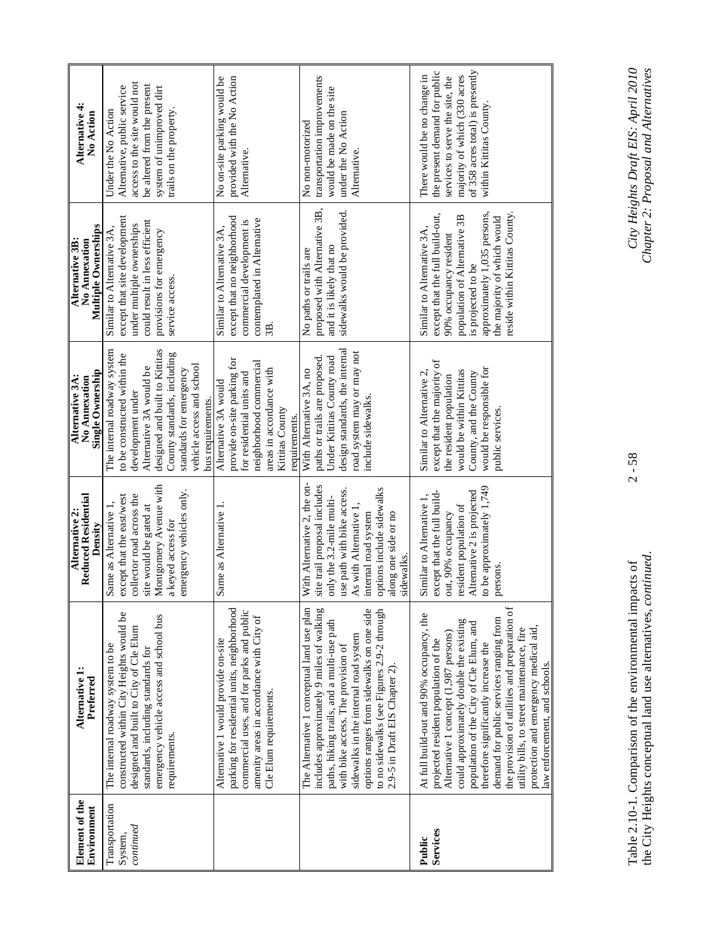| Element of the<br>Environment | Alternative 1:<br>Preferred                   | <b>Reduced Residential</b><br>Alternative 2:<br>Density | Single Ownership<br>Alternative 3A:<br>No Annexation | Multiple Ownerships<br>Alternative 3B:<br>No Annexation | Alternative 4:<br>No Action      |
|-------------------------------|-----------------------------------------------|---------------------------------------------------------|------------------------------------------------------|---------------------------------------------------------|----------------------------------|
| Transportation                | The internal roadway system to be             | Same as Alternative                                     | The internal roadway system                          | Similar to Alternative 3A,                              | Under the No Action              |
| System,                       | constructed within City Heights would be      | except that the east/west                               | to be constructed within the                         | except that site development                            | Alternative, public service      |
| continued                     | designed and built to City of Cle Elum        | collector road across the                               | development under                                    | under multiple ownerships                               | access to the site would not     |
|                               | standards, including standards for            | site would be gated at                                  | Alternative 3A would be                              | could result in less efficient                          | be altered from the present      |
|                               | emergency vehicle access and school bus       | Montgomery Avenue with                                  | designed and built to Kittitas                       | provisions for emergency                                | system of unimproved dirt        |
|                               | requirements.                                 | a keyed access for                                      | County standards, including                          | service access.                                         | trails on the property           |
|                               |                                               | emergency vehicles only.                                | standards for emergency                              |                                                         |                                  |
|                               |                                               |                                                         | vehicle access and school                            |                                                         |                                  |
|                               |                                               |                                                         | bus requirements.                                    |                                                         |                                  |
|                               | Alternative 1 would provide on-site           | Same as Alternative 1.                                  | Alternative 3A would                                 | Similar to Alternative 3A,                              | No on-site parking would be      |
|                               | parking for residential units, neighborhood   |                                                         | provide on-site parking for                          | except that no neighborhood                             | provided with the No Action      |
|                               | commercial uses, and for parks and public     |                                                         | for residential units and                            | commercial development is                               | Alternative.                     |
|                               | amenity areas in accordance with City of      |                                                         | neighborhood commercial                              | contemplated in Alternative                             |                                  |
|                               | Cle Elum requirements.                        |                                                         | areas in accordance with                             | 3B.                                                     |                                  |
|                               |                                               |                                                         | Kittitas County                                      |                                                         |                                  |
|                               |                                               |                                                         | requirements.                                        |                                                         |                                  |
|                               | The Alternative 1 conceptual land use plan    | With Alternative 2, the on-                             | With Alternative 3A, no                              | No paths or trails are                                  | No non-motorized                 |
|                               | includes approximately 9 miles of walking     | site trail proposal includes                            | paths or trails are proposed                         | proposed with Alternative 3B,                           | transportation improvements      |
|                               | paths, hiking trails, and a multi-use path    | only the 3.2-mile multi-                                | Under Kittitas County road                           | and it is likely that no                                | would be made on the site        |
|                               | with bike access. The provision of            | use path with bike access.                              | design standards, the internal                       | sidewalks would be provided.                            | under the No Action              |
|                               | sidewalks in the internal road system         | As with Alternative 1                                   | road system may or may not                           |                                                         | Alternative.                     |
|                               | options ranges from sidewalks on one side     | internal road system                                    | include sidewalks.                                   |                                                         |                                  |
|                               | to no sidewalks (see Figures 2.9-2 through    | options include sidewalks                               |                                                      |                                                         |                                  |
|                               | 2.9-5 in Draft EIS Chapter 2).                | along one side or no                                    |                                                      |                                                         |                                  |
|                               |                                               | sidewalks.                                              |                                                      |                                                         |                                  |
| Public                        | At full build-out and 90% occupancy, the      | Similar to Alternative 1,                               | Similar to Alternative 2,                            | Similar to Alternative 3A.                              | There would be no change in      |
| Services                      | projected resident population of the          | except that the full build-                             | except that the majority of                          | except that the full build-out,                         | the present demand for public    |
|                               | Alternative 1 concept (1,987 persons)         | out, 90% occupancy                                      | the resident population                              | 90% occupancy resident                                  | services to serve the site, the  |
|                               | could approximately double the existing       | resident population of                                  | would be within Kittitas                             | population of Alternative 3B                            | majority of which (330 acres     |
|                               | population of the City of Cle Elum, and       | Alternative 2 is projected                              | County, and the County                               | is projected to be                                      | of 358 acres total) is presently |
|                               | therefore significantly increase the          | to be approximately 1,749                               | would be responsible for                             | approximately 1,035 persons,                            | within Kittitas County           |
|                               | demand for public services ranging from       | persons                                                 | public services.                                     | the majority of which would                             |                                  |
|                               | the provision of utilities and preparation of |                                                         |                                                      | reside within Kittitas County.                          |                                  |
|                               | utility bills, to street maintenance, fire    |                                                         |                                                      |                                                         |                                  |
|                               | protection and emergency medical aid,         |                                                         |                                                      |                                                         |                                  |
|                               | law enforcement, and schools.                 |                                                         |                                                      |                                                         |                                  |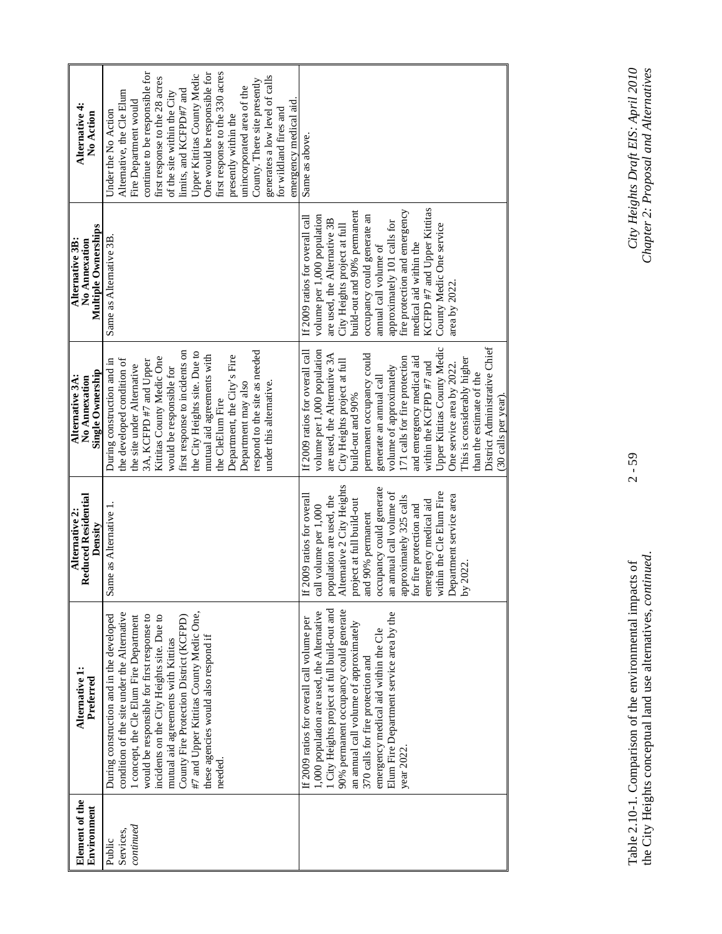| Element of the<br>Environment    | Alternative 1:<br>Preferred                                                                                                                                                                                                                                                                                                                                                                                   | Reduced Residential<br>Alternative 2:<br>Density                                                                                                                                                                                                                                                                                                                          | Single Ownership<br>Alternative 3A:<br>No Annexation                                                                                                                                                                                                                                                                                                                                                                                                                                                                   | <b>Multiple Ownerships</b><br>Alternative 3B:<br>No Annexation                                                                                                                                                                                                                                                                                                                             | Alternative 4:<br>No Action                                                                                                                                                                                                                                                                                                                                                                                                                                                           |
|----------------------------------|---------------------------------------------------------------------------------------------------------------------------------------------------------------------------------------------------------------------------------------------------------------------------------------------------------------------------------------------------------------------------------------------------------------|---------------------------------------------------------------------------------------------------------------------------------------------------------------------------------------------------------------------------------------------------------------------------------------------------------------------------------------------------------------------------|------------------------------------------------------------------------------------------------------------------------------------------------------------------------------------------------------------------------------------------------------------------------------------------------------------------------------------------------------------------------------------------------------------------------------------------------------------------------------------------------------------------------|--------------------------------------------------------------------------------------------------------------------------------------------------------------------------------------------------------------------------------------------------------------------------------------------------------------------------------------------------------------------------------------------|---------------------------------------------------------------------------------------------------------------------------------------------------------------------------------------------------------------------------------------------------------------------------------------------------------------------------------------------------------------------------------------------------------------------------------------------------------------------------------------|
| continued<br>Services,<br>Public | condition of the site under the Alternative<br>#7 and Upper Kittitas County Medic One,<br>would be responsible for first response to<br>During construction and in the developed<br>incidents on the City Heights site. Due to<br>1 concept, the C1e Elum Fire Department<br>County Fire Protection District (KCFPD)<br>these agencies would also respond if<br>mutual aid agreements with Kittitas<br>needed | Same as Alternative 1                                                                                                                                                                                                                                                                                                                                                     | first response to incidents on<br>respond to the site as needed<br>the City Heights site. Due to<br>mutual aid agreements with<br>Department, the City's Fire<br>Kittitas County Medic One<br>During construction and in<br>the developed condition of<br>3A, KCFPD #7 and Upper<br>the site under Alternative<br>would be responsible for<br>under this alternative.<br>Department may also<br>the CleElum Fire                                                                                                       | Same as Alternative 3B                                                                                                                                                                                                                                                                                                                                                                     | continue to be responsible for<br>One would be responsible for<br>first response to the 330 acres<br>Upper Kittitas County Medic<br>generates a low level of calls<br>first response to the 28 acres<br>County. There site presently<br>unincorporated area of the<br>limits, and KCFPD#7 and<br>Alternative, the Cle Elum<br>of the site within the City<br>Fire Department would<br>emergency medical aid.<br>for wildland fires and<br>Under the No Action<br>presently within the |
|                                  | 1 City Heights project at full build-out and<br>90% permanent occupancy could generate<br>1,000 population are used, the Alternative<br>Elum Fire Department service area by the<br>If 2009 ratios for overall call volume per<br>an annual call volume of approximately<br>emergency medical aid within the Cle<br>370 calls for fire protection and<br>year 2022                                            | Alternative 2 City Heights<br>occupancy could generate<br>within the Cle Elum Fire<br>an annual call volume of<br>If 2009 ratios for overall<br>Department service area<br>population are used, the<br>approximately 325 calls<br>project at full build-out<br>emergency medical aid<br>for fire protection and<br>call volume per 1,000<br>and 90% permanent<br>by 2022. | <b>Upper Kittitas County Medic</b><br>District Administrative Chief<br>volume per 1,000 population<br>If 2009 ratios for overall call<br>permanent occupancy could<br>are used, the Alternative 3A<br>171 calls for fire protection<br>and emergency medical aid<br>This is considerably higher<br>City Heights project at full<br>within the KCFPD #7 and<br>One service area by 2022.<br>volume of approximately<br>than the estimate of the<br>generate an annual call<br>build-out and 90%<br>(30 calls per year). | KCFPD #7 and Upper Kittitas<br>build-out and 90% permanent<br>fire protection and emergency<br>volume per 1,000 population<br>occupancy could generate an<br>If 2009 ratios for overall call<br>approximately 101 calls for<br>are used, the Alternative 3B<br>County Medic One service<br>City Heights project at full<br>medical aid within the<br>annual call volume of<br>area by 2022 | Same as above.                                                                                                                                                                                                                                                                                                                                                                                                                                                                        |

 $2 - 59$ 

Table 2.10-1. Comparison of the environmental impacts of 2 - 59 *City Heights Draft EIS: April 2010*  the City Heights conceptual land use alternatives, *continued*. *Chapter 2: Proposal and Alternatives*  Table 2.10-1. Comparison of the environmental impacts of<br>the City Heights conceptual land use alternatives, *continued*.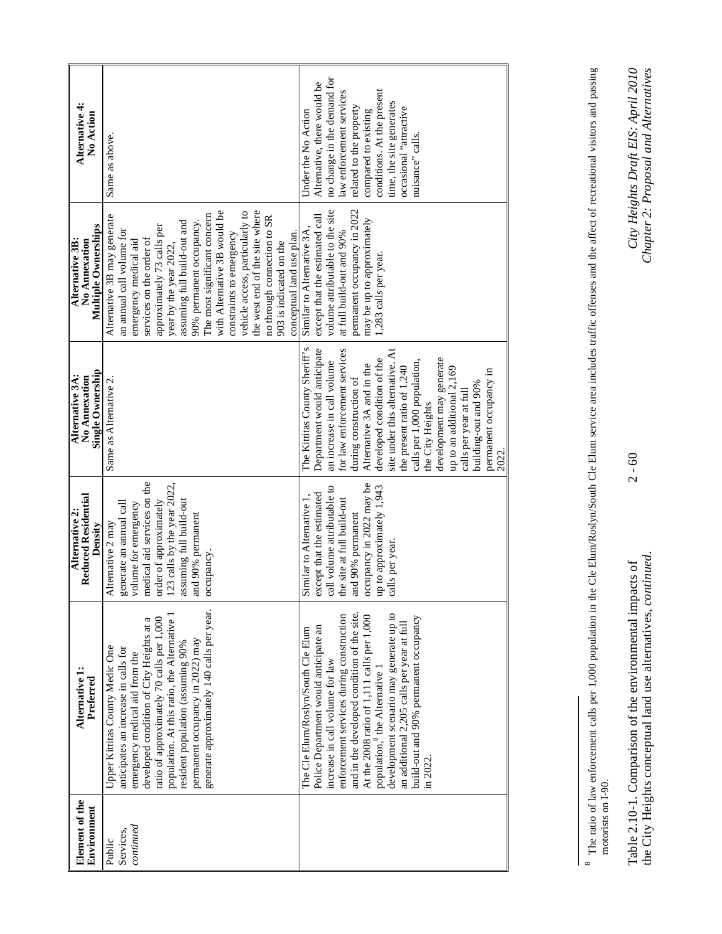| Element of the<br>Environment            | Alternative 1:<br>Preferred                                                                                                                                                                                                                                                                                                                                                                                                                        | Reduced Residential<br>Alternative 2:<br>Density                                                                                                                                                                           | Single Ownership<br>Alternative 3A:<br>No Annexation                                                                                                                                                                                                                                                                                                                                                                                                                     | <b>Multiple Ownerships</b><br>Alternative 3B:<br>No Annexation                                                                                                                                                                                                                                                                                                                                                                                                                           | Alternative 4:<br><b>No Action</b>                                                                                                                                                                                                                                       |
|------------------------------------------|----------------------------------------------------------------------------------------------------------------------------------------------------------------------------------------------------------------------------------------------------------------------------------------------------------------------------------------------------------------------------------------------------------------------------------------------------|----------------------------------------------------------------------------------------------------------------------------------------------------------------------------------------------------------------------------|--------------------------------------------------------------------------------------------------------------------------------------------------------------------------------------------------------------------------------------------------------------------------------------------------------------------------------------------------------------------------------------------------------------------------------------------------------------------------|------------------------------------------------------------------------------------------------------------------------------------------------------------------------------------------------------------------------------------------------------------------------------------------------------------------------------------------------------------------------------------------------------------------------------------------------------------------------------------------|--------------------------------------------------------------------------------------------------------------------------------------------------------------------------------------------------------------------------------------------------------------------------|
| ${\it continued}$<br>Services,<br>Public | generate approximately 140 calls per year.<br>population. At this ratio, the Alternative 1<br>ratio of approximately 70 calls per 1,000<br>developed condition of City Heights at a<br>permanent occupancy in 2022) may<br>resident population (assuming 90%<br>Upper Kittitas County Medic One<br>anticipates an increase in calls for<br>emergency medical aid from the                                                                          | medical aid services on the<br>123 calls by the year 2022,<br>assuming full build-out<br>order of approximately<br>generate an annual call<br>volume for emergency<br>and 90% permanent<br>Alternative 2 may<br>occupancy. | Same as Alternative 2.                                                                                                                                                                                                                                                                                                                                                                                                                                                   | with Alternative 3B would be<br>the west end of the site where<br>vehicle access, particularly to<br>The most significant concern<br>Alternative 3B may generate<br>no through connection to SR<br>assuming full build-out and<br>90% permanent occupancy.<br>approximately 73 calls per<br>an annual call volume for<br>conceptual land use plan.<br>constraints to emergency<br>services on the order of<br>emergency medical aid<br>903 is indicated on the<br>year by the year 2022. | Same as above.                                                                                                                                                                                                                                                           |
|                                          | development scenario may generate up to<br>and in the developed condition of the site.<br>enforcement services during construction<br>At the 2008 ratio of 1,111 calls per 1,000<br>build-out and 90% permanent occupancy<br>an additional 2,205 calls per year at full<br>Police Department would anticipate an<br>The Cle Elum/Roslyn/South Cle Elum<br>ncrease in call volume for law<br>population, <sup>8</sup> the Alternative 1<br>in 2022. | occupancy in 2022 may be<br>up to approximately 1,943<br>call volume attributable to<br>except that the estimated<br>Similar to Alternative 1,<br>the site at full build-out<br>and 90% permanent<br>calls per year.       | The Kittitas County Sheriff's<br>Department would anticipate<br>for law enforcement services<br>site under this alternative. At<br>development may generate<br>developed condition of the<br>calls per 1,000 population,<br>an increase in call volume<br>Alternative 3A and in the<br>the present ratio of 1,240<br>up to an additional 2,169<br>permanent occupancy in<br>during construction of<br>building-out and 90%<br>calls per year at full<br>the City Heights | volume attributable to the site<br>permanent occupancy in 2022<br>except that the estimated call<br>may be up to approximately<br>Similar to Alternative 3A,<br>at full build-out and 90%<br>.,283 calls per year.                                                                                                                                                                                                                                                                       | no change in the demand for<br>Alternative, there would be<br>conditions. At the present<br>law enforcement services<br>time, the site generates<br>related to the property<br>occasional "attractive<br>Under the No Action<br>compared to existing<br>nuisance" calls. |

<sup>&</sup>lt;sup>8</sup> The ratio of law enforcement calls per 1,000 population in the Cle Elum/Roslyn/South Cle Elum service area includes traffic offenses and the affect of recreational visitors and passing motorists on 1-90. The ratio of law enforcement calls per 1,000 population in the Cle Elum/Roslyn/South Cle Elum service area includes traffic offenses and the affect of recreational visitors and passing motorists on I-90.

City Heights Draft EIS: April 2010<br>Chapter 2: Proposal and Alternatives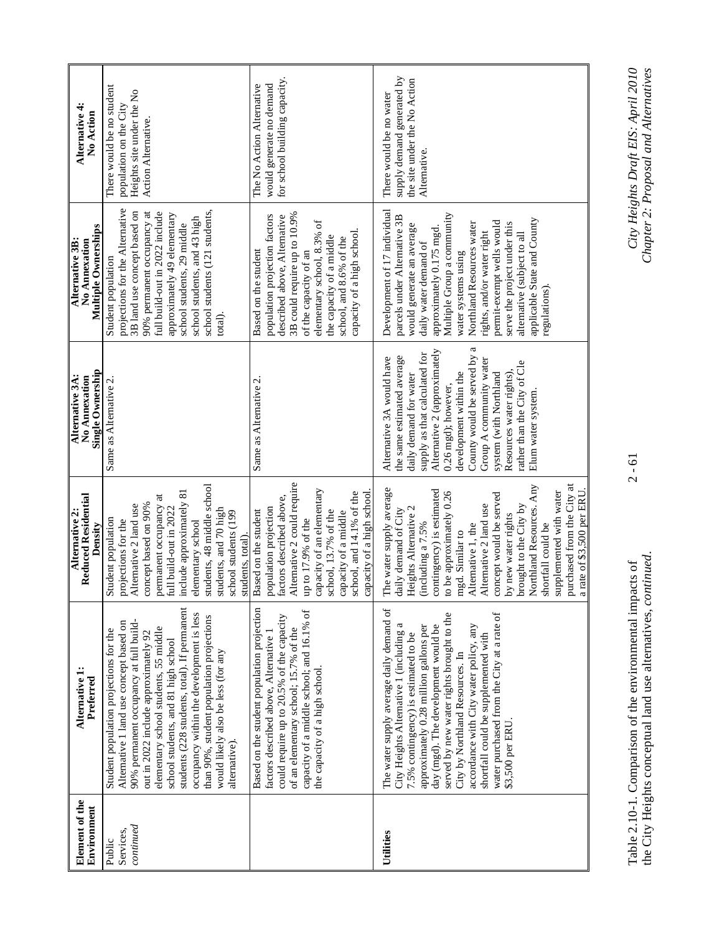| Element of the<br>Environment | Alternative 1:<br>Preferred                                                                                                                                                                                                                                                                                                                                                                                                                        | <b>Reduced Residential</b><br>Alternative 2:<br>Density                                                                                                                                                                                                                                                                                                                                                                                       | Single Ownership<br>Alternative 3A:<br>No Annexation                                                                                                                                                                                                                                                                                                                       | Multiple Ownerships<br>Alternative 3B:<br>No Annexation                                                                                                                                                                                                                                                                                                                                                  | Alternative 4:<br>No Action                                                                             |
|-------------------------------|----------------------------------------------------------------------------------------------------------------------------------------------------------------------------------------------------------------------------------------------------------------------------------------------------------------------------------------------------------------------------------------------------------------------------------------------------|-----------------------------------------------------------------------------------------------------------------------------------------------------------------------------------------------------------------------------------------------------------------------------------------------------------------------------------------------------------------------------------------------------------------------------------------------|----------------------------------------------------------------------------------------------------------------------------------------------------------------------------------------------------------------------------------------------------------------------------------------------------------------------------------------------------------------------------|----------------------------------------------------------------------------------------------------------------------------------------------------------------------------------------------------------------------------------------------------------------------------------------------------------------------------------------------------------------------------------------------------------|---------------------------------------------------------------------------------------------------------|
|                               | students (228 students, total). If permanent<br>occupancy within the development is less<br>than 90%, student population projections<br>90% permanent occupancy at full build-<br>Alternative 1 land use concept based on<br>elementary school students, 55 middle<br>Student population projections for the<br>out in 2022 include approximately 92<br>school students, and 81 high school<br>would likely also be less (for any<br>alternative). | students, 48 middle school<br>nclude approximately 81<br>permanent occupancy at<br>Alternative 2 land use<br>concept based on 90%<br>ull build-out in 2022<br>students, and 70 high<br>school students (199<br>Student population<br>projections for the<br>elmentary school<br>students, total).                                                                                                                                             | Same as Alternative 2                                                                                                                                                                                                                                                                                                                                                      | projections for the Alternative<br>school students (121 students,<br>3B land use concept based on<br>full build-out in 2022 include<br>90% permanent occupancy at<br>approximately 49 elementary<br>school students, and 43 high<br>school students, 29 middle<br>Student population<br>total).                                                                                                          | There would be no student<br>Heights site under the No<br>population on the City<br>Action Alternative. |
|                               | Based on the student population projection<br>capacity of a middle school; and 16.1% of<br>could require up to 20.5% of the capacity<br>of an elementary school; 15.7% of the<br>factors described above, Alternative 1<br>the capacity of a high school                                                                                                                                                                                           | Alternative 2 could require<br>capacity of an elementary<br>school, and 14.1% of the<br>capacity of a high school<br>actors described above,<br>opulation projection<br>Based on the student<br>school, 13.7% of the<br>capacity of a middle<br>up to 17.9% of the                                                                                                                                                                            | Same as Alternative 2.                                                                                                                                                                                                                                                                                                                                                     | 3B could require up to 10.9%<br>population projection factors<br>described above, Alternative<br>elementary school, 8.3% of<br>capacity of a high school.<br>the capacity of a middle<br>school, and 8.6% of the<br>Based on the student<br>of the capacity of an                                                                                                                                        | for school building capacity.<br>would generate no demand<br>The No Action Alternative                  |
|                               | The water supply average daily demand of<br>water purchased from the City at a rate of<br>served by new water rights brought to the<br>City Heights Alternative 1 (including a<br>accordance with City water policy, any<br>approximately 0.28 million gallons per<br>day (mgd). The development would be<br>7.5% contingency) is estimated to be<br>shortfall could be supplemented with<br>City by Northland Resources. In<br>\$3,500 per ERU.   | purchased from the City at<br>Northland Resources. Any<br>The water supply average<br>a rate of \$3,500 per ERU.<br>contingency) is estimated<br>supplemented with water<br>o be approximately 0.26<br>concept would be served<br>Alternative 2 land use<br>prought to the City by<br>Heights Alternative 2<br>laily demand of City<br>by new water rights<br>including a 7.5%<br>shortfall could be<br>Alternative 1, the<br>ngd. Similar to | a<br>Alternative 2 (approximately<br>supply as that calculated for<br>County would be served by<br>the same estimated average<br>Alternative 3A would have<br>Group A community water<br>rather than the City of Cle<br>development within the<br>system (with Northland<br>daily demand for water<br>Resources water rights)<br>0.26 mgd); however,<br>Elum water system. | Development of 17 individual<br>Multiple Group a community<br>parcels under Alternative 3B<br>applicable State and County<br>permit-exempt wells would<br>Northland Resources water<br>serve the project under this<br>would generate an average<br>approximately 0.175 mgd<br>alternative (subject to all<br>rights, and/or water right<br>daily water demand of<br>water systems using<br>regulations) | supply demand generated by<br>the site under the No Action<br>There would be no water<br>Alternative.   |

Table 2.10-1. Comparison of the environmental impacts of 2 - 61 *City Heights Draft EIS: April 2010*  the City Heights conceptual land use alternatives, *continued*. *Chapter 2: Proposal and Alternatives*  Table 2.10-1. Comparison of the environmental impacts of<br>the City Heights conceptual land use alternatives, *continued*.

 $2 - 61$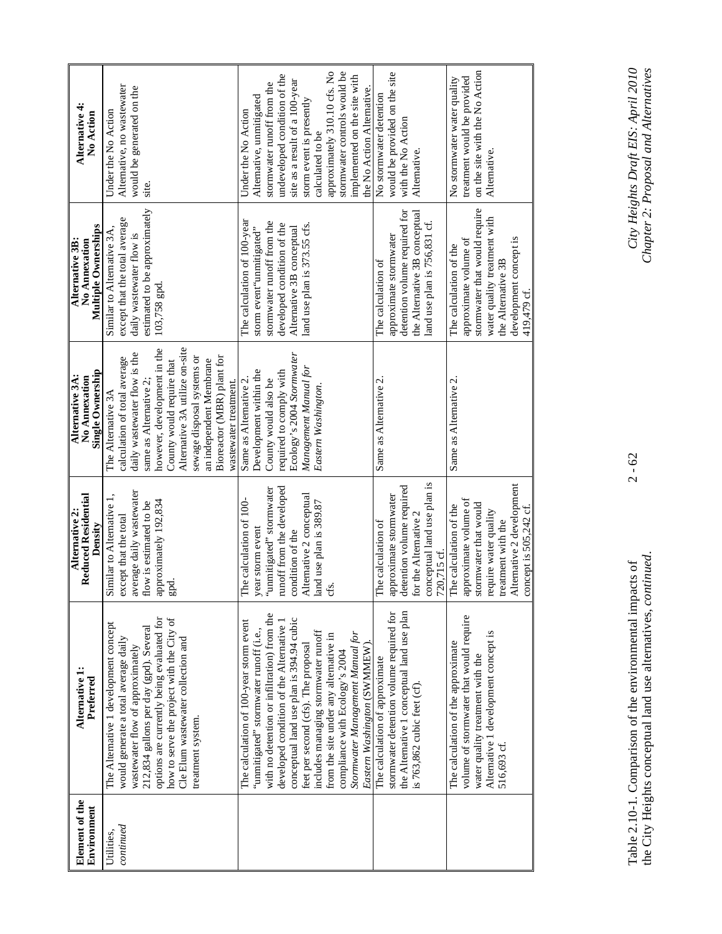| Element of the<br>Environment | Alternative 1:<br>Preferred                                                                                                                                                                                                                                                                                                                                                                                                                            | Reduced Residential<br>Alternative 2:<br>Density                                                                                                                                        | Single Ownership<br>Alternative 3A:<br>No Annexation                                                                                                                                                                                                                                                                       | Multiple Ownerships<br>Alternative 3B:<br>No Annexation                                                                                                                              | Alternative 4:<br>No Action                                                                                                                                                                                                                                                                                                  |
|-------------------------------|--------------------------------------------------------------------------------------------------------------------------------------------------------------------------------------------------------------------------------------------------------------------------------------------------------------------------------------------------------------------------------------------------------------------------------------------------------|-----------------------------------------------------------------------------------------------------------------------------------------------------------------------------------------|----------------------------------------------------------------------------------------------------------------------------------------------------------------------------------------------------------------------------------------------------------------------------------------------------------------------------|--------------------------------------------------------------------------------------------------------------------------------------------------------------------------------------|------------------------------------------------------------------------------------------------------------------------------------------------------------------------------------------------------------------------------------------------------------------------------------------------------------------------------|
| continued<br>Utilities,       | how to serve the project with the City of<br>options are currently being evaluated for<br>The Alternative 1 development concept<br>212,834 gallons per day (gpd). Several<br>Cle Elum wastewater collection and<br>would generate a total average daily<br>wastewater flow of approximately<br>treatment system.                                                                                                                                       | average daily wastewater<br>approximately 192,834<br>flow is estimated to be<br>Similar to Alternative<br>except that the total<br>epd.                                                 | Alternative 3A utilize on-site<br>however, development in the<br>daily wastewater flow is the<br>sewage disposal systems or<br>Bioreactor (MBR) plant for<br>calculation of total average<br>an independent Membrane<br>County would require that<br>wastewater treatment.<br>same as Alternative 2.<br>The Alternative 3A | estimated to be approximately<br>except that the total average<br>Similar to Alternative 3A.<br>daily wastewater flow is<br>103,758 gpd.                                             | Alternative, no wastewater<br>would be generated on the<br>Under the No Action<br>site.                                                                                                                                                                                                                                      |
|                               | with no detention or infiltration) from the<br>conceptual land use plan is 394.94 cubic<br>The calculation of 100-year storm event<br>developed condition of the Alternative 1<br>"unmitigated" stormwater runoff (i.e.,<br>includes managing stormwater runoff<br>Stormwater Management Manual for<br>from the site under any alternative in<br>Eastern Washington (SWMMEW).<br>feet per second (cfs). The proposal<br>compliance with Ecology's 2004 | runoff from the developed<br>"unmitigated" stormwater<br>Alternative 2 conceptual<br>The calculation of 100-<br>land use plan is 389.87<br>year storm event<br>condition of the<br>cfs. | Ecology's 2004 Stormwater<br>Management Manual for<br>Development within the<br>required to comply with<br>Same as Alternative 2.<br>County would also be<br>Eastern Washington.                                                                                                                                           | The calculation of 100-year<br>stormwater runoff from the<br>developed condition of the<br>land use plan is 373.55 cfs.<br>Alternative 3B conceptual<br>storm event<br>"unmitigated" | approximately 310.10 cfs. No<br>stormwater controls would be<br>undeveloped condition of the<br>implemented on the site with<br>site as a result of a 100-year<br>stormwater runoff from the<br>the No Action Alternative<br>Alternative, unmitigated<br>storm event is presently<br>Under the No Action<br>calculated to be |
|                               | stormwater detention volume required for<br>the Alternative 1 conceptual land use plan<br>The calculation of approximate<br>is 763,862 cubic feet (cf)                                                                                                                                                                                                                                                                                                 | conceptual land use plan is<br>detention volume required<br>approximate stormwater<br>for the Alternative 2<br>The calculation of<br>720,715 cf.                                        | Same as Alternative 2.                                                                                                                                                                                                                                                                                                     | detention volume required for<br>the Alternative 3B conceptual<br>land use plan is 756,831 cf.<br>approximate stormwater<br>The calculation of                                       | would be provided on the site<br>No stormwater detention<br>with the No Action<br>Alternative.                                                                                                                                                                                                                               |
|                               | volume of stormwater that would require<br>Alternative 1 development concept is<br>The calculation of the approximate<br>water quality treatment with the<br>516,693 cf.                                                                                                                                                                                                                                                                               | Alternative 2 development<br>approximate volume of<br>stormwater that would<br>The calculation of the<br>concept is 505,242 cf.<br>require water quality<br>reatment with the           | Same as Alternative 2.                                                                                                                                                                                                                                                                                                     | stormwater that would require<br>water quality treatment with<br>development concept is<br>approximate volume of<br>The calculation of the<br>the Alternative 3B<br>419,479 cf.      | on the site with the No Action<br>No stormwater water quality<br>treatment would be provided<br>Alternative.                                                                                                                                                                                                                 |

Table 2.10-1. Comparison of the environmental impacts of 2 - 62 *City Heights Draft EIS: April 2010*  the City Heights conceptual land use alternatives, *continued*. *Chapter 2: Proposal and Alternatives*  Table 2.10-1. Comparison of the environmental impacts of<br>the City Heights conceptual land use alternatives, *continued*.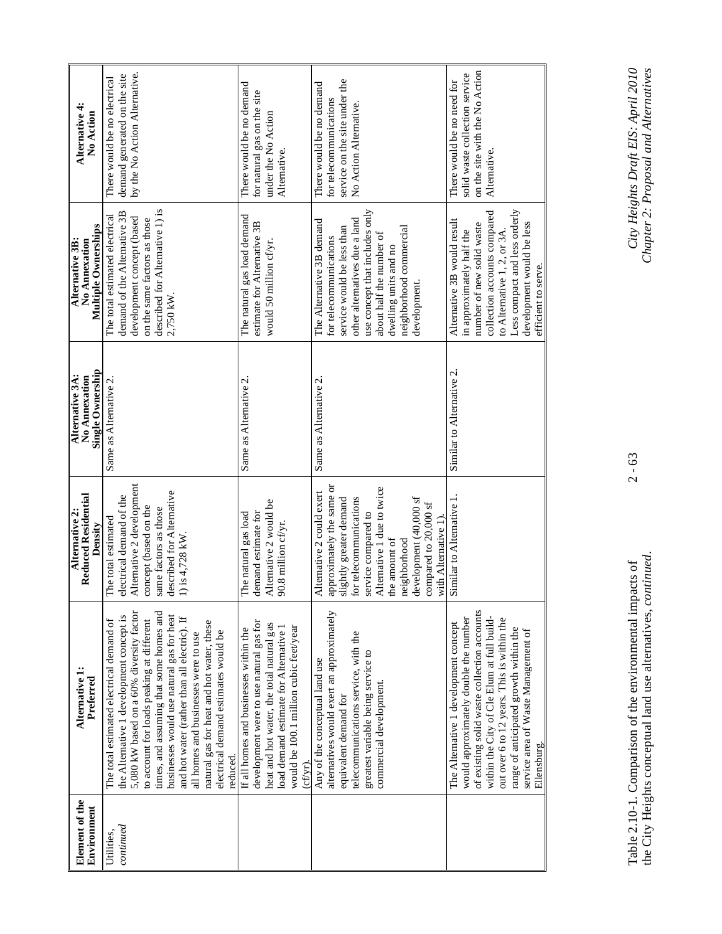| Element of the    | Alternative 1:                                                                       | Reduced Residential<br>Alternative 2:              | Alternative 3A:<br>No Annexation | Alternative 3B:<br>No Annexation                                | Alternative 4:                 |
|-------------------|--------------------------------------------------------------------------------------|----------------------------------------------------|----------------------------------|-----------------------------------------------------------------|--------------------------------|
| Environment       | Preferred                                                                            | Density                                            | Single Ownership                 | Multiple Ownerships                                             | No Action                      |
| Jtilities,        | The total estimated electrical demand of                                             | The total estimated                                | Same as Alternative 2.           | The total estimated electrical                                  | There would be no electrical   |
| ${\it continued}$ | the Alternative 1 development concept is                                             | electrical demand of the                           |                                  | demand of the Alternative 3B                                    | demand generated on the site   |
|                   | 5,080 kW based on a 60% diversity factor                                             | Alternative 2 development                          |                                  | development concept (based                                      | by the No Action Alternative.  |
|                   | to account for loads peaking at different                                            | concept (based on the                              |                                  | described for Alternative 1) is<br>on the same factors as those |                                |
|                   | times, and assuming that some homes and<br>businesses would use natural gas for heat | described for Alternative<br>same factors as those |                                  | 2,750 kW.                                                       |                                |
|                   | and hot water (rather than all electric). If                                         | 1) is 4,728 kW.                                    |                                  |                                                                 |                                |
|                   | all homes and businesses were to use                                                 |                                                    |                                  |                                                                 |                                |
|                   | natural gas for heat and hot water, these                                            |                                                    |                                  |                                                                 |                                |
|                   | electrical demand estimates would be<br>reduced.                                     |                                                    |                                  |                                                                 |                                |
|                   | If all homes and businesses within the                                               | The natural gas load                               | Same as Alternative 2.           | The natural gas load demand                                     | There would be no demand       |
|                   | development were to use natural gas for                                              | demand estimate for                                |                                  | estimate for Alternative 3B                                     | for natural gas on the site    |
|                   | heat and hot water, the total natural gas                                            | Alternative 2 would be                             |                                  | would 50 million cf/yr.                                         | under the No Action            |
|                   | load demand estimate for Alternative 1                                               | 90.8 million cf/yr.                                |                                  |                                                                 | Alternative.                   |
|                   | would be 100.1 million cubic feet/year                                               |                                                    |                                  |                                                                 |                                |
|                   | $(cfyr)$ .                                                                           |                                                    |                                  |                                                                 |                                |
|                   | Any of the conceptual land use                                                       | Alternative 2 could exert                          | Same as Alternative 2.           | The Alternative 3B demand                                       | There would be no demand       |
|                   | alternatives would exert an approximately                                            | approximately the same or                          |                                  | for telecommunications                                          | for telecommunications         |
|                   | equivalent demand for                                                                | slightly greater demand                            |                                  | service would be less than                                      | service on the site under the  |
|                   | telecommunications service, with the                                                 | for telecommunications                             |                                  | other alternatives due a land                                   | No Action Alternative.         |
|                   | greatest variable being service to                                                   | service compared to                                |                                  | use concept that includes only                                  |                                |
|                   | commercial development.                                                              | Alternative 1 due to twice                         |                                  | about half the number of                                        |                                |
|                   |                                                                                      | the amount of                                      |                                  | dwelling units and no                                           |                                |
|                   |                                                                                      | neighborhood                                       |                                  | neighborhood commercial                                         |                                |
|                   |                                                                                      | development (40,000 sf                             |                                  | development.                                                    |                                |
|                   |                                                                                      | compared to 20,000 sf<br>with Alternative 1        |                                  |                                                                 |                                |
|                   | The Alternative 1 development concept                                                | Similar to Alternative 1                           | Similar to Alternative 2.        | Alternative 3B would result                                     | There would be no need for     |
|                   | would approximately double the number                                                |                                                    |                                  | in approximately half the                                       | solid waste collection service |
|                   | of existing solid waste collection accounts                                          |                                                    |                                  | number of new solid waste                                       | on the site with the No Action |
|                   | within the City of Cle Elum at full build-                                           |                                                    |                                  | collection accounts compared                                    | Alternative.                   |
|                   | out over 6 to 12 years. This is within the                                           |                                                    |                                  | to Alternative 1, 2, or 3A                                      |                                |
|                   | range of anticipated growth within the                                               |                                                    |                                  | Less compact and less orderly                                   |                                |
|                   | service area of Waste Management of<br>Ellensburg.                                   |                                                    |                                  | development would be less<br>efficient to serve.                |                                |
|                   |                                                                                      |                                                    |                                  |                                                                 |                                |

 $2 - 63$ 

Table 2.10-1. Comparison of the environmental impacts of 2 - 63 *City Heights Draft EIS: April 2010*  the City Heights conceptual land use alternatives, *continued*. *Chapter 2: Proposal and Alternatives*  Table 2.10-1. Comparison of the environmental impacts of<br>the City Heights conceptual land use alternatives, *continued*.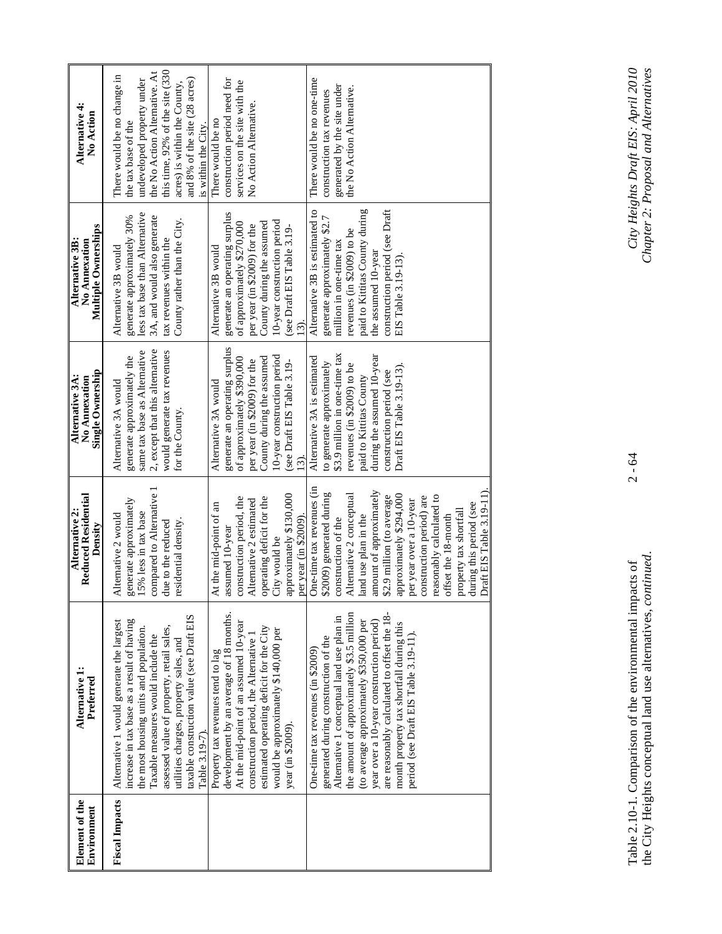| Alternative 4:<br>No Action                             | the No Action Alternative. At<br>this time, 92% of the site (330<br>There would be no change in<br>and 8% of the site (28 acres)<br>construction period need for<br>undeveloped property under<br>services on the site with the<br>acres) is within the County,<br>No Action Alternative<br>There would be no<br>the tax base of the<br>is within the City.                                                                                                                                      | There would be no one-time<br>generated by the site under<br>the No Action Alternative.<br>construction tax revenues                                                                                                                                                                                                                                                                                                                                                                                             |
|---------------------------------------------------------|--------------------------------------------------------------------------------------------------------------------------------------------------------------------------------------------------------------------------------------------------------------------------------------------------------------------------------------------------------------------------------------------------------------------------------------------------------------------------------------------------|------------------------------------------------------------------------------------------------------------------------------------------------------------------------------------------------------------------------------------------------------------------------------------------------------------------------------------------------------------------------------------------------------------------------------------------------------------------------------------------------------------------|
| Multiple Ownerships<br>Alternative 3B:<br>No Annexation | generate an operating surplus<br>less tax base than Alternative<br>3A, and would also generate<br>generate approximately 30%<br>County rather than the City.<br>of approximately \$270,000<br>per year (in \$2009) for the<br>tax revenues within the<br>Alternative 3B would<br>Alternative 3B would                                                                                                                                                                                            | paid to Kittitas County during<br>construction period (see Draft<br>Alternative 3B is estimated to<br>generate approximately \$2.7<br>10-year construction period<br>County during the assumed<br>(see Draft EIS Table 3.19-<br>revenues (in \$2009) to be<br>million in one-time tax<br>the assumed 10-year<br>EIS Table 3.19-13)<br>$\widehat{\Xi}$                                                                                                                                                            |
| Single Ownership<br>Alternative 3A:<br>No Annexation    | generate an operating surplus<br>2, except that this alternative<br>would generate tax revenues<br>same tax base as Alternative<br>generate approximately the<br>of approximately \$390,000<br>per year (in \$2009) for the<br>Alternative 3A would<br>Alternative 3A would<br>for the County.                                                                                                                                                                                                   | \$3.9 million in one-time tax<br>during the assumed 10-year<br>10-year construction period<br>County during the assumed<br>Alternative 3A is estimated<br>(see Draft EIS Table 3.19-<br>to generate approximately<br>revenues (in \$2009) to be<br>Draft EIS Table 3.19-13)<br>construction period (see<br>paid to Kittitas County<br>$\widehat{\mathcal{E}}$                                                                                                                                                    |
| Reduced Residential<br>Alternative 2:<br>Density        | compared to Alternative<br>construction period, the<br>generate approximately<br>Alternative 2 estimated<br>At the mid-point of an<br>15% less in tax base<br>Alternative 2 would<br>residential density.<br>due to the reduced<br>assumed 10-year                                                                                                                                                                                                                                               | One-time tax revenues (in<br>Draft EIS Table 3.19-11).<br>amount of approximately<br>\$2009) generated during<br>approximately \$130,000<br>approximately \$294,000<br>Alternative 2 conceptual<br>reasonably calculated to<br>\$2.9 million (to average<br>construction period) are<br>operating deficit for the<br>per year over a 10-year<br>during this period (see<br>property tax shortfall<br>land use plan in the<br>offset the 18-month<br>per year (in \$2009)<br>construction of the<br>City would be |
| Alternative 1:<br>Preferred                             | development by an average of 18 months.<br>taxable construction value (see Draft EIS<br>Alternative 1 would generate the largest<br>increase in tax base as a result of having<br>At the mid-point of an assumed 10-year<br>assessed value of property, retail sales,<br>the most housing units and population.<br>Taxable measures would include the<br>construction period, the Alternative 1<br>utilities charges, property sales, and<br>Property tax revenues tend to lag<br>Table 3.19-7). | the amount of approximately \$3.5 million<br>are reasonably calculated to offset the 18-<br>Alternative 1 conceptual land use plan in<br>year over a 10-year construction period)<br>(to average approximately \$350,000 per<br>month property tax shortfall during this<br>estimated operating deficit for the City<br>would be approximately \$140,000 per<br>period (see Draft EIS Table 3.19-11).<br>generated during construction of the<br>One-time tax revenues (in \$2009)<br>year (in \$2009).          |
| Element of the<br>Environment                           | <b>Fiscal Impacts</b>                                                                                                                                                                                                                                                                                                                                                                                                                                                                            |                                                                                                                                                                                                                                                                                                                                                                                                                                                                                                                  |

 $2 - 64$ 

Table 2.10-1. Comparison of the environmental impacts of 2 - 64 *City Heights Draft EIS: April 2010*  the City Heights conceptual land use alternatives, *continued*. *Chapter 2: Proposal and Alternatives*  Table 2.10-1. Comparison of the environmental impacts of<br>the City Heights conceptual land use alternatives, *continued*.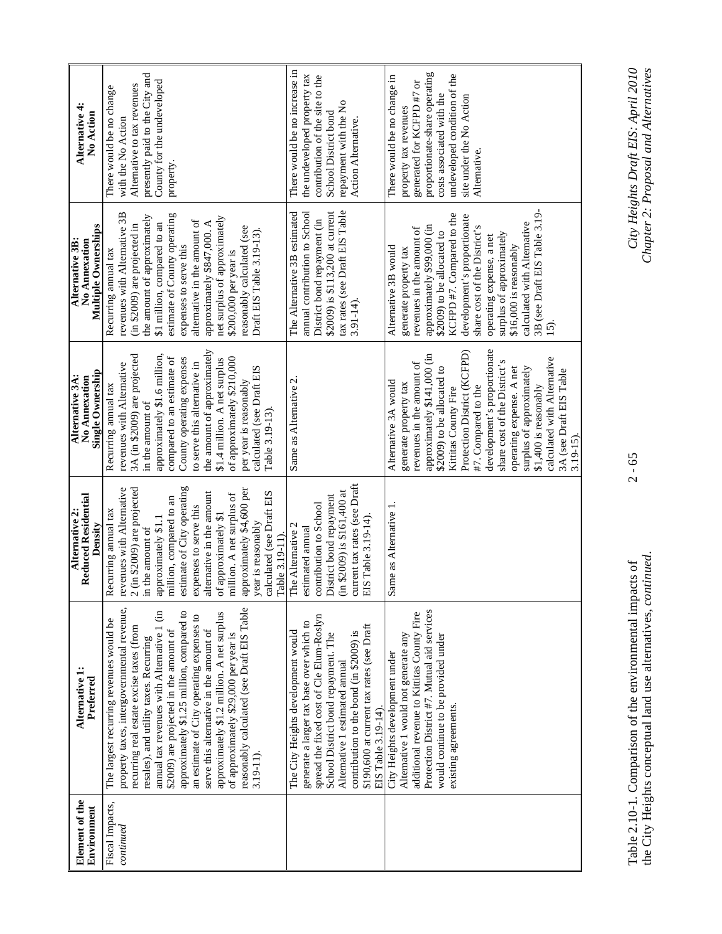| Alternative 4:<br>No Action                             | presently paid to the City and<br>County for the undeveloped<br>Alternative to tax revenues<br>There would be no change<br>with the No Action<br>property.                                                                                                                                                                                                                                                                                                                                                                                                | There would be no increase in<br>the undeveloped property tax<br>contribution of the site to the<br>repayment with the No<br>School District bond<br>Action Alternative.                                                                                                                                          | proportionate-share operating<br>undeveloped condition of the<br>There would be no change in<br>generated for KCFPD #7 or<br>costs associated with the<br>site under the No Action<br>property tax revenues<br>Alternative.                                                                                                                                                                                                                    |
|---------------------------------------------------------|-----------------------------------------------------------------------------------------------------------------------------------------------------------------------------------------------------------------------------------------------------------------------------------------------------------------------------------------------------------------------------------------------------------------------------------------------------------------------------------------------------------------------------------------------------------|-------------------------------------------------------------------------------------------------------------------------------------------------------------------------------------------------------------------------------------------------------------------------------------------------------------------|------------------------------------------------------------------------------------------------------------------------------------------------------------------------------------------------------------------------------------------------------------------------------------------------------------------------------------------------------------------------------------------------------------------------------------------------|
| Multiple Ownerships<br>Alternative 3B:<br>No Annexation | revenues with Alternative 3B<br>estimate of County operating<br>the amount of approximately<br>net surplus of approximately<br>alternative in the amount of<br>approximately \$847,000. A<br>\$1 million, compared to an<br>(in \$2009) are projected in<br>reasonably calculated (see<br>Draft EIS Table 3.19-13).<br>expenses to serve this<br>Recurring annual tax<br>\$200,000 per year is                                                                                                                                                            | tax rates (see Draft EIS Table<br>\$2009) is \$113,200 at current<br>annual contribution to School<br>The Alternative 3B estimated<br>District bond repayment (in<br>$3.91 - 14$                                                                                                                                  | 3B (see Draft EIS Table 3.19-<br>KCFPD #7. Compared to the<br>development's proportionate<br>calculated with Alternative<br>approximately \$99,000 (in<br>share cost of the District's<br>revenues in the amount of<br>\$2009) to be allocated to<br>surplus of approximately<br>operating expense, a net<br>\$16,000 is reasonably<br>Alternative 3B would<br>generate property tax<br>$\overline{15}$ .                                      |
| Single Ownership<br>Alternative 3A:<br>No Annexation    | the amount of approximately<br>3A (in \$2009) are projected<br>approximately \$1.6 million,<br>County operating expenses<br>of approximately \$210,000<br>compared to an estimate of<br>\$1.4 million. A net surplus<br>to serve this alternative in<br>revenues with Alternative<br>calculated (see Draft EIS<br>per year is reasonably<br>Recurring annual tax<br>in the amount of<br>Table 3.19-13).                                                                                                                                                   | Same as Alternative 2.                                                                                                                                                                                                                                                                                            | development's proportionate<br>Protection District (KCFPD)<br>approximately \$141,000 (in<br>calculated with Alternative<br>share cost of the District's<br>revenues in the amount of<br>operating expense. A net<br>surplus of approximately<br>\$2009) to be allocated to<br>3A (see Draft EIS Table<br>Alternative 3A would<br>generate property tax<br>\$1,400 is reasonably<br>#7. Compared to the<br>Kittitas County Fire<br>$3.19 - 15$ |
| <b>Reduced Residential</b><br>Alternative 2:<br>Density | estimate of City operating<br>revenues with Alternative<br>2 (in \$2009) are projected<br>approximately \$4,600 per<br>alternative in the amount<br>calculated (see Draft EIS<br>million. A net surplus of<br>million, compared to an<br>expenses to serve this<br>Recurring annual tax<br>of approximately \$1<br>approximately \$1.1<br>year is reasonably<br>in the amount of<br>Table 3.19-11)                                                                                                                                                        | current tax rates (see Draft<br>$(in $2009)$ is \$161,400 at<br>District bond repayment<br>contribution to School<br>EIS Table 3.19-14).<br>The Alternative 2<br>estimated annual                                                                                                                                 | Same as Alternative 1.                                                                                                                                                                                                                                                                                                                                                                                                                         |
| Alternative 1<br>Preferred                              | property taxes, intergovernmental revenue,<br>reasonably calculated (see Draft EIS Table<br>approximately \$1.25 million, compared to<br>annual tax revenues with Alternative 1 (in<br>approximately \$1.2 million. A net surplus<br>an estimate of City operating expenses to<br>The largest recurring revenues would be<br>recurring real estate excise taxes (from<br>serve this alternative in the amount of<br>\$2009) are projected in the amount of<br>of approximately \$29,000 per year is<br>resales), and utility taxes. Recurring<br>3.19-11) | spread the fixed cost of Cle Elum-Roslyn<br>generate a larger tax base over which to<br>\$190,600 at current tax rates (see Draft<br>The City Heights development would<br>contribution to the bond (in \$2009) is<br>School District bond repayment. The<br>Alternative 1 estimated annual<br>EIS Table 3.19-14) | Protection District #7. Mutual aid services<br>additional revenue to Kittitas County Fire<br>Alternative 1 would not generate any<br>would continue to be provided under<br>City Heights development under<br>existing agreements.                                                                                                                                                                                                             |
| Element of the<br>Environment                           | Fiscal Impacts,<br>${\it continued}$                                                                                                                                                                                                                                                                                                                                                                                                                                                                                                                      |                                                                                                                                                                                                                                                                                                                   |                                                                                                                                                                                                                                                                                                                                                                                                                                                |

Table 2.10-1. Comparison of the environmental impacts of 2 - 65 *City Heights Draft EIS: April 2010*  the City Heights conceptual land use alternatives, *continued*. *Chapter 2: Proposal and Alternatives*  Table 2.10-1. Comparison of the environmental impacts of<br>the City Heights conceptual land use alternatives, *continued*.

 $2 - 65$ 

City Heights Draft EIS: April 2010<br>Chapter 2: Proposal and Alternatives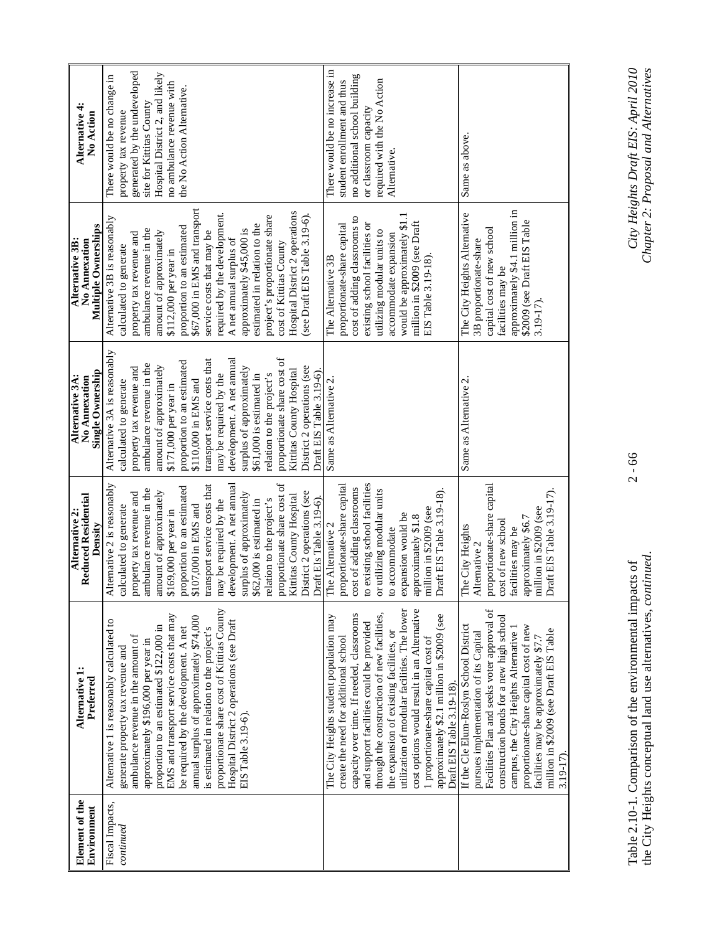| Alternative 4<br>No Action                              | generated by the undeveloped<br>Hospital District 2, and likely<br>There would be no change in<br>no ambulance revenue with<br>the No Action Alternative.<br>site for Kittitas County<br>property tax revenue                                                                                                                                                                                                                                                                                                             | There would be no increase in<br>no additional school building<br>required with the No Action<br>student enrollment and thus<br>or classroom capacity<br>Alternative.                                                                                                                                                                                                                                                                                                                   | Same as above.                                                                                                                                                                                                                                                                                                                                                    |
|---------------------------------------------------------|---------------------------------------------------------------------------------------------------------------------------------------------------------------------------------------------------------------------------------------------------------------------------------------------------------------------------------------------------------------------------------------------------------------------------------------------------------------------------------------------------------------------------|-----------------------------------------------------------------------------------------------------------------------------------------------------------------------------------------------------------------------------------------------------------------------------------------------------------------------------------------------------------------------------------------------------------------------------------------------------------------------------------------|-------------------------------------------------------------------------------------------------------------------------------------------------------------------------------------------------------------------------------------------------------------------------------------------------------------------------------------------------------------------|
| Multiple Ownerships<br>Alternative 3B:<br>No Annexation | \$67,000 in EMS and transport<br>Hospital District 2 operations<br>required by the development.<br>project's proportionate share<br>see Draft EIS Table 3.19-6).<br>Alternative 3B is reasonably<br>estimated in relation to the<br>proportion to an estimated<br>ambulance revenue in the<br>approximately \$45,000 is<br>amount of approximately<br>service costs that may be<br>property tax revenue and<br>A net annual surplus of<br>cost of Kittitas County<br>calculated to generate<br>\$112,000 per year in      | would be approximately \$1.1<br>cost of adding classrooms to<br>million in \$2009 (see Draft<br>proportionate-share capital<br>existing school facilities or<br>utilizing modular units to<br>accommodate expansion<br>EIS Table 3.19-18).<br>The Alternative 3B                                                                                                                                                                                                                        | approximately \$4.1 million in<br>The City Heights Alternative<br>\$2009 (see Draft EIS Table<br>capital cost of new school<br>3B proportionate-share<br>facilities may be<br>3.19-17)                                                                                                                                                                            |
| Single Ownership<br>Alternative 3A:<br>No Annexation    | Alternative 3A is reasonably<br>proportionate share cost of<br>development. A net annual<br>transport service costs that<br>proportion to an estimated<br>ambulance revenue in the<br>amount of approximately<br>District 2 operations (see<br>property tax revenue and<br>surplus of approximately<br>Kittitas County Hospital<br>Draft EIS Table 3.19-6).<br>may be required by the<br>\$61,000 is estimated in<br>relation to the project's<br>calculated to generate<br>\$110,000 in EMS and<br>\$171,000 per year in | Same as Alternative 2                                                                                                                                                                                                                                                                                                                                                                                                                                                                   | Same as Alternative 2.                                                                                                                                                                                                                                                                                                                                            |
| <b>Reduced Residential</b><br>Alternative 2:<br>Density | proportionate share cost of<br>Alternative 2 is reasonably<br>transport service costs that<br>development. A net annual<br>proportion to an estimated<br>ambulance revenue in the<br>amount of approximately<br>District 2 operations (see<br>property tax revenue and<br>surplus of approximately<br>Kittitas County Hospital<br>Draft EIs Table 3.19-6).<br>may be required by the<br>relation to the project's<br>\$62,000 is estimated in<br>calculated to generate<br>\$107,000 in EMS and<br>\$169,000 per year in  | to existing school facilities<br>proportionate-share capital<br>cost of adding classrooms<br>or utilizing modular units<br>Draft EIS Table 3.19-18)<br>million in \$2009 (see<br>expansion would be<br>approximately \$1.8<br>The Alternative 2<br>to accommodate                                                                                                                                                                                                                       | proportionate-share capital<br>Draft EIS Table 3.19-17).<br>million in \$2009 (see<br>approximately \$6.7<br>cost of new school<br>The City Heights<br>facilities may be<br>Alternative 2                                                                                                                                                                         |
| Alternative 1:<br>Preferred                             | proportionate share cost of Kittitas County<br>EMS and transport service costs that may<br>annual surplus of approximately \$74,000<br>Hospital District 2 operations (see Draft<br>Alternative 1 is reasonably calculated to<br>proportion to an estimated \$122,000 in<br>be required by the development. A net<br>is estimated in relation to the project's<br>ambulance revenue in the amount of<br>approximately \$196,000 per year in<br>generate property tax revenue and<br>EIS Table 3.19-6).                    | utilization of modular facilities. The lower<br>cost options would result in an Alternative<br>through the construction of new facilities,<br>capacity over time. If needed, classrooms<br>approximately \$2.1 million in \$2009 (see<br>The City Heights student population may<br>and support facilities could be provided<br>the expansion of existing facilities, or<br>create the need for additional school<br>I proportionate-share capital cost of<br>Draft EIS Table 3.19-18). | Facilities Plan and seeks voter approval of<br>construction bonds for a new high school<br>If the Cle Elum-Roslyn School District<br>proportionate-share capital cost of new<br>campus, the City Heights Alternative 1<br>million in \$2009 (see Draft EIS Table<br>pursues implementation of its Capital<br>facilities may be approximately \$7.7<br>$3.19 - 17$ |
| Element of the<br>Environment                           | Fiscal Impacts,<br>continued                                                                                                                                                                                                                                                                                                                                                                                                                                                                                              |                                                                                                                                                                                                                                                                                                                                                                                                                                                                                         |                                                                                                                                                                                                                                                                                                                                                                   |

Table 2.10-1. Comparison of the environmental impacts of 2 - 66 *City Heights Draft EIS: April 2010*  the City Heights conceptual land use alternatives, *continued*. *Chapter 2: Proposal and Alternatives*  Table 2.10-1. Comparison of the environmental impacts of<br>the City Heights conceptual land use alternatives, *continued*.

 $2 - 66$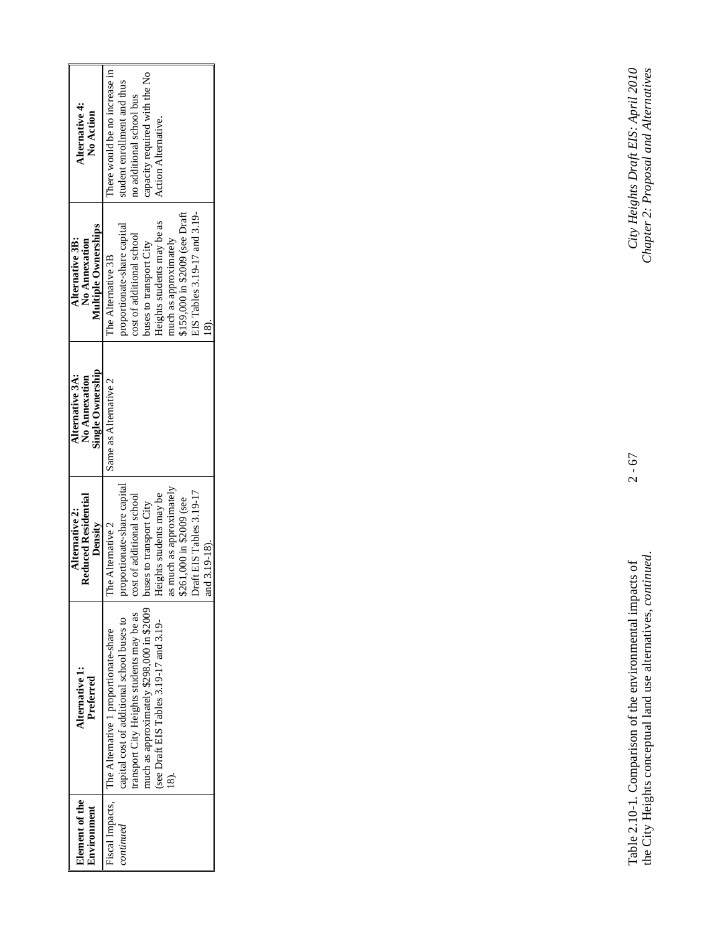| <b>Element</b> of the<br>Environment | Alternative 1:<br>Preferred                           | Reduced Residential<br>Alternative 2:<br>Density | Single Ownership<br>Alternative 3A:<br>No Annexation | <b>Multiple Ownerships</b><br>Alternative 3B:<br>No Annexation | Alternative 4:<br>No Action   |
|--------------------------------------|-------------------------------------------------------|--------------------------------------------------|------------------------------------------------------|----------------------------------------------------------------|-------------------------------|
|                                      | Fiscal Impacts, The Alternative 1 proportionate-share | The Alternative 2                                | Same as Alternative 2                                | The Alternative 3B                                             | here would be no increase in  |
| continued                            | capital cost of additional school buses to            | proportionate-share capital                      |                                                      | proportionate-share capital                                    | student enrollment and thus   |
|                                      | transport City Heights students may be as             | ost of additional school                         |                                                      | cost of additional school                                      | no additional school bus      |
|                                      | much as approximately \$298,000 in \$2009             | ouses to transport City                          |                                                      | buses to transport City                                        | capacity required with the No |
|                                      | (see Draft EIS Tables 3.19-17 and 3.19-               | deights students may be                          |                                                      | Heights students may be as                                     | Action Alternative.           |
|                                      | $\widehat{\mathbf{s}}$                                | as much as approximately                         |                                                      | much as approximately                                          |                               |
|                                      |                                                       | \$261,000 in \$2009 (see                         |                                                      | \$159,000 in \$2009 (see Draft                                 |                               |
|                                      |                                                       | Draft EIS Tables 3.19-17                         |                                                      | EIS Tables 3.19-17 and 3.19-                                   |                               |
|                                      |                                                       | md 3.19-18)                                      |                                                      |                                                                |                               |

Table 2.10-1. Comparison of the environmental impacts of 2 - 67 *City Heights Draft EIS: April 2010*  the City Heights conceptual land use alternatives, *continued*. *Chapter 2: Proposal and Alternatives*  Table 2.10-1. Comparison of the environmental impacts of<br>the City Heights conceptual land use alternatives, *continued*.

 $2 - 67$